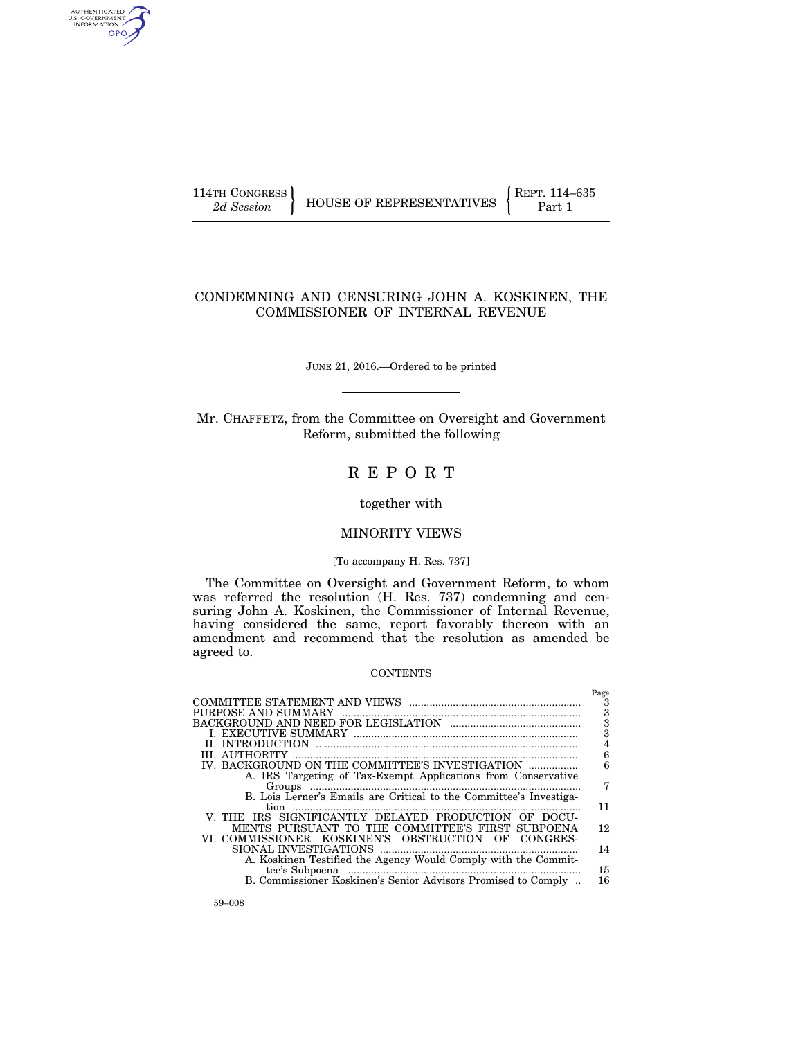AUTHENTICATED<br>U.S. GOVERNMENT<br>INFORMATION GPO

Page

# CONDEMNING AND CENSURING JOHN A. KOSKINEN, THE COMMISSIONER OF INTERNAL REVENUE

JUNE 21, 2016.—Ordered to be printed

Mr. CHAFFETZ, from the Committee on Oversight and Government Reform, submitted the following

R E P O R T

together with

# MINORITY VIEWS

### [To accompany H. Res. 737]

The Committee on Oversight and Government Reform, to whom was referred the resolution (H. Res. 737) condemning and censuring John A. Koskinen, the Commissioner of Internal Revenue, having considered the same, report favorably thereon with an amendment and recommend that the resolution as amended be agreed to.

### **CONTENTS**

|                                                                                                            | ւ ա <sub>5</sub> ւ |
|------------------------------------------------------------------------------------------------------------|--------------------|
| COMMITTEE STATEMENT AND VIEWS                                                                              | 3                  |
| PURPOSE AND SUMMARY                                                                                        | 3                  |
| BACKGROUND AND NEED FOR LEGISLATION Entrarrell contract the set of the BACKGROUND AND NEED FOR LEGISLATION | 3                  |
|                                                                                                            | 3                  |
| II. INTRODUCTION                                                                                           |                    |
| III. AUTHORITY                                                                                             | 6                  |
| IV. BACKGROUND ON THE COMMITTEE'S INVESTIGATION                                                            |                    |
| A. IRS Targeting of Tax-Exempt Applications from Conservative                                              |                    |
| Groups                                                                                                     | 7                  |
| B. Lois Lerner's Emails are Critical to the Committee's Investiga-                                         |                    |
| tion                                                                                                       | 11                 |
| V. THE IRS SIGNIFICANTLY DELAYED PRODUCTION OF DOCU-                                                       |                    |
| MENTS PURSUANT TO THE COMMITTEE'S FIRST SUBPOENA                                                           | 12                 |
| VI. COMMISSIONER KOSKINEN'S OBSTRUCTION OF<br>CONGRES-                                                     |                    |
| SIONAL INVESTIGATIONS                                                                                      | 14                 |
| A. Koskinen Testified the Agency Would Comply with the Commit-                                             |                    |
| tee's Subpoena                                                                                             | 15                 |
| B. Commissioner Koskinen's Senior Advisors Promised to Comply                                              | 16                 |
|                                                                                                            |                    |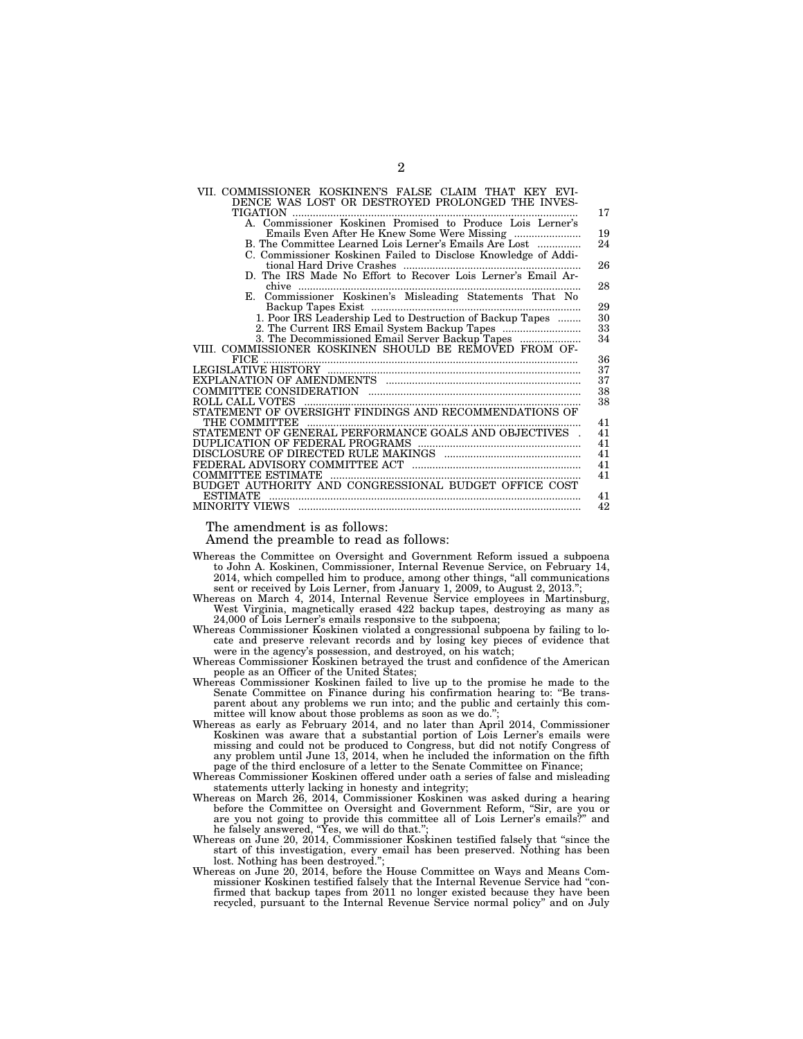| VII. COMMISSIONER KOSKINEN'S FALSE CLAIM THAT KEY EVI-         |    |
|----------------------------------------------------------------|----|
| DENCE WAS LOST OR DESTROYED PROLONGED THE INVES-               |    |
| TIGATION                                                       | 17 |
| A. Commissioner Koskinen Promised to Produce Lois Lerner's     |    |
|                                                                | 19 |
| B. The Committee Learned Lois Lerner's Emails Are Lost         | 24 |
| C. Commissioner Koskinen Failed to Disclose Knowledge of Addi- |    |
|                                                                | 26 |
| D. The IRS Made No Effort to Recover Lois Lerner's Email Ar-   |    |
| chive $\ldots$                                                 | 28 |
| E. Commissioner Koskinen's Misleading Statements That No       |    |
| Backup Tapes Exist                                             | 29 |
|                                                                | 30 |
| 2. The Current IRS Email System Backup Tapes                   | 33 |
| 3. The Decommissioned Email Server Backup Tapes                | 34 |
| VIII. COMMISSIONER KOSKINEN SHOULD BE REMOVED FROM OF-         |    |
| FICE                                                           | 36 |
|                                                                | 37 |
|                                                                | 37 |
|                                                                | 38 |
| ROLL CALL VOTES                                                | 38 |
| STATEMENT OF OVERSIGHT FINDINGS AND RECOMMENDATIONS OF         |    |
| THE COMMITTEE                                                  | 41 |
| STATEMENT OF GENERAL PERFORMANCE GOALS AND OBJECTIVES.         | 41 |
|                                                                | 41 |
|                                                                | 41 |
|                                                                | 41 |
| COMMITTEE ESTIMATE                                             | 41 |
| BUDGET AUTHORITY AND CONGRESSIONAL BUDGET OFFICE COST          |    |
| <b>ESTIMATE</b>                                                | 41 |
|                                                                | 42 |

The amendment is as follows:

Amend the preamble to read as follows:

- Whereas the Committee on Oversight and Government Reform issued a subpoena to John A. Koskinen, Commissioner, Internal Revenue Service, on February 14, 2014, which compelled him to produce, among other things, "all communications sent or received by Lois Lerner, from January 1, 2009, to August 2, 2013.'
- Whereas on March 4, 2014, Internal Revenue Service employees in Martinsburg, West Virginia, magnetically erased 422 backup tapes, destroying as many as 24,000 of Lois Lerner's emails responsive to the subpoena;
- Whereas Commissioner Koskinen violated a congressional subpoena by failing to locate and preserve relevant records and by losing key pieces of evidence that were in the agency's possession, and destroyed, on his watch;
- Whereas Commissioner Koskinen betrayed the trust and confidence of the American people as an Officer of the United States;
- Whereas Commissioner Koskinen failed to live up to the promise he made to the Senate Committee on Finance during his confirmation hearing to: ''Be transparent about any problems we run into; and the public and certainly this committee will know about those problems as soon as we do.
- Whereas as early as February 2014, and no later than April 2014, Commissioner Koskinen was aware that a substantial portion of Lois Lerner's emails were missing and could not be produced to Congress, but did not notify Congress of any problem until June 13, 2014, when he included the information on the fifth page of the third enclosure of a letter to the Senate Committee on Finance;
- Whereas Commissioner Koskinen offered under oath a series of false and misleading statements utterly lacking in honesty and integrity;
- Whereas on March 26, 2014, Commissioner Koskinen was asked during a hearing before the Committee on Oversight and Government Reform, ''Sir, are you or are you not going to provide this committee all of Lois Lerner's emails?'' and he falsely answered, ''Yes, we will do that.'';
- Whereas on June 20, 2014, Commissioner Koskinen testified falsely that ''since the start of this investigation, every email has been preserved. Nothing has been lost. Nothing has been destroyed.'
- Whereas on June 20, 2014, before the House Committee on Ways and Means Commissioner Koskinen testified falsely that the Internal Revenue Service had ''confirmed that backup tapes from 2011 no longer existed because they have been recycled, pursuant to the Internal Revenue Service normal policy'' and on July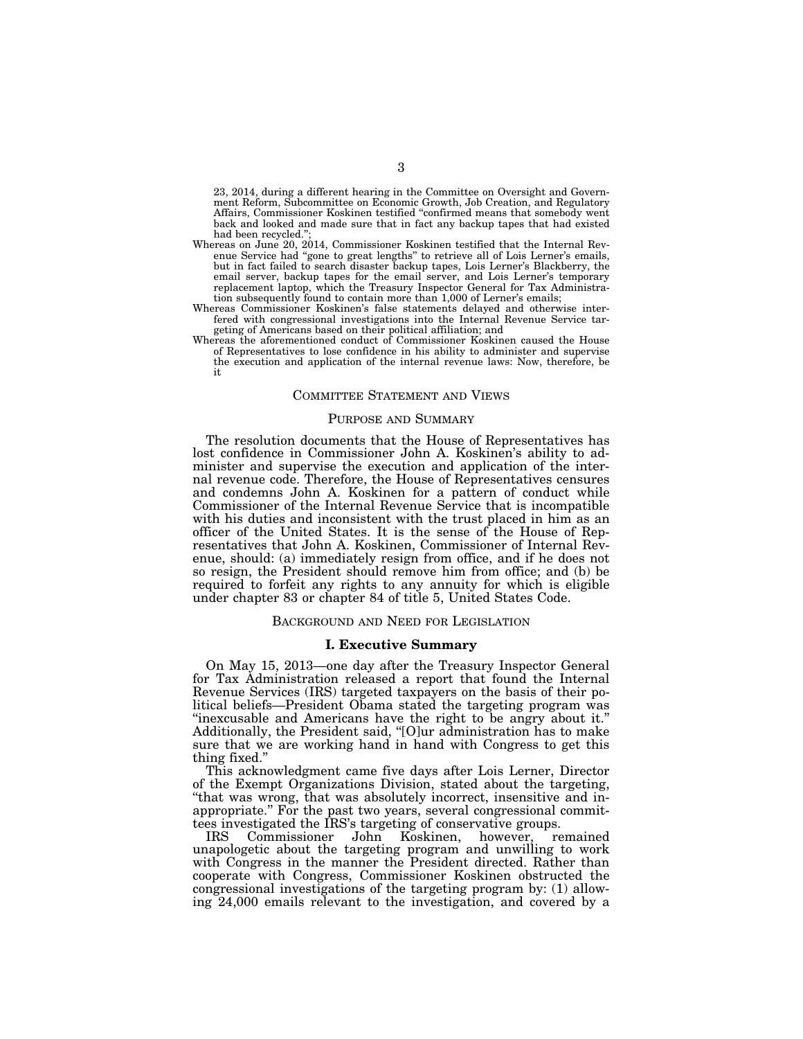23, 2014, during a different hearing in the Committee on Oversight and Government Reform, Subcommittee on Economic Growth, Job Creation, and Regulatory Affairs, Commissioner Koskinen testified ''confirmed means that somebody went back and looked and made sure that in fact any backup tapes that had existed had been recycled.'';

- Whereas on June 20, 2014, Commissioner Koskinen testified that the Internal Revenue Service had ''gone to great lengths'' to retrieve all of Lois Lerner's emails, but in fact failed to search disaster backup tapes, Lois Lerner's Blackberry, the email server, backup tapes for the email server, and Lois Lerner's temporary replacement laptop, which the Treasury Inspector General for Tax Administration subsequently found to contain more than 1,000 of Lerner's emails;
- Whereas Commissioner Koskinen's false statements delayed and otherwise interfered with congressional investigations into the Internal Revenue Service targeting of Americans based on their political affiliation; and
- Whereas the aforementioned conduct of Commissioner Koskinen caused the House of Representatives to lose confidence in his ability to administer and supervise the execution and application of the internal revenue laws: Now, therefore, be it

### COMMITTEE STATEMENT AND VIEWS

### PURPOSE AND SUMMARY

The resolution documents that the House of Representatives has lost confidence in Commissioner John A. Koskinen's ability to administer and supervise the execution and application of the internal revenue code. Therefore, the House of Representatives censures and condemns John A. Koskinen for a pattern of conduct while Commissioner of the Internal Revenue Service that is incompatible with his duties and inconsistent with the trust placed in him as an officer of the United States. It is the sense of the House of Representatives that John A. Koskinen, Commissioner of Internal Revenue, should: (a) immediately resign from office, and if he does not so resign, the President should remove him from office; and (b) be required to forfeit any rights to any annuity for which is eligible under chapter 83 or chapter 84 of title 5, United States Code.

### BACKGROUND AND NEED FOR LEGISLATION

### **I. Executive Summary**

On May 15, 2013—one day after the Treasury Inspector General for Tax Administration released a report that found the Internal Revenue Services (IRS) targeted taxpayers on the basis of their political beliefs—President Obama stated the targeting program was ''inexcusable and Americans have the right to be angry about it.'' Additionally, the President said, ''[O]ur administration has to make sure that we are working hand in hand with Congress to get this thing fixed.''

This acknowledgment came five days after Lois Lerner, Director of the Exempt Organizations Division, stated about the targeting, ''that was wrong, that was absolutely incorrect, insensitive and inappropriate.'' For the past two years, several congressional committees investigated the IRS's targeting of conservative groups.

IRS Commissioner John Koskinen, however, remained unapologetic about the targeting program and unwilling to work with Congress in the manner the President directed. Rather than cooperate with Congress, Commissioner Koskinen obstructed the congressional investigations of the targeting program by: (1) allowing 24,000 emails relevant to the investigation, and covered by a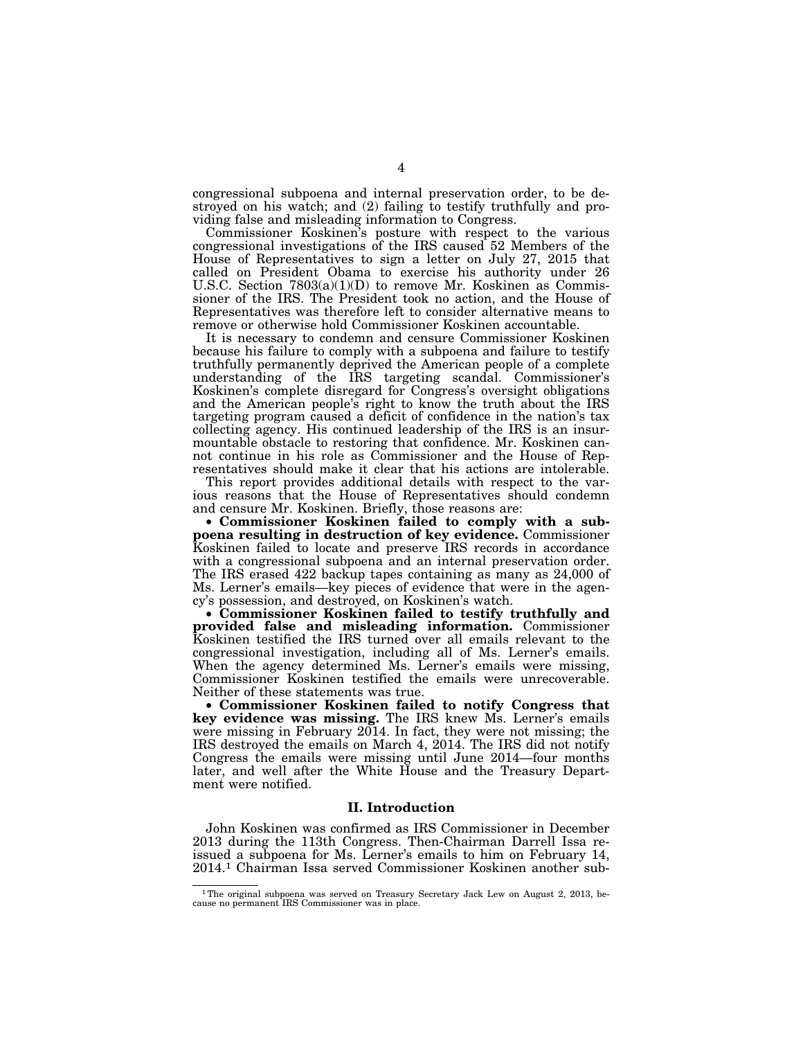congressional subpoena and internal preservation order, to be destroyed on his watch; and (2) failing to testify truthfully and providing false and misleading information to Congress.

Commissioner Koskinen's posture with respect to the various congressional investigations of the IRS caused 52 Members of the House of Representatives to sign a letter on July 27, 2015 that called on President Obama to exercise his authority under 26 U.S.C. Section 7803(a)(1)(D) to remove Mr. Koskinen as Commissioner of the IRS. The President took no action, and the House of Representatives was therefore left to consider alternative means to remove or otherwise hold Commissioner Koskinen accountable.

It is necessary to condemn and censure Commissioner Koskinen because his failure to comply with a subpoena and failure to testify truthfully permanently deprived the American people of a complete understanding of the IRS targeting scandal. Commissioner's Koskinen's complete disregard for Congress's oversight obligations and the American people's right to know the truth about the IRS targeting program caused a deficit of confidence in the nation's tax collecting agency. His continued leadership of the IRS is an insurmountable obstacle to restoring that confidence. Mr. Koskinen cannot continue in his role as Commissioner and the House of Representatives should make it clear that his actions are intolerable.

This report provides additional details with respect to the various reasons that the House of Representatives should condemn and censure Mr. Koskinen. Briefly, those reasons are:

• **Commissioner Koskinen failed to comply with a subpoena resulting in destruction of key evidence.** Commissioner Koskinen failed to locate and preserve IRS records in accordance with a congressional subpoena and an internal preservation order. The IRS erased 422 backup tapes containing as many as 24,000 of Ms. Lerner's emails—key pieces of evidence that were in the agency's possession, and destroyed, on Koskinen's watch.

• **Commissioner Koskinen failed to testify truthfully and provided false and misleading information.** Commissioner Koskinen testified the IRS turned over all emails relevant to the congressional investigation, including all of Ms. Lerner's emails. When the agency determined Ms. Lerner's emails were missing, Commissioner Koskinen testified the emails were unrecoverable. Neither of these statements was true.

• **Commissioner Koskinen failed to notify Congress that key evidence was missing.** The IRS knew Ms. Lerner's emails were missing in February 2014. In fact, they were not missing; the IRS destroyed the emails on March 4, 2014. The IRS did not notify Congress the emails were missing until June 2014—four months later, and well after the White House and the Treasury Department were notified.

### **II. Introduction**

John Koskinen was confirmed as IRS Commissioner in December 2013 during the 113th Congress. Then-Chairman Darrell Issa reissued a subpoena for Ms. Lerner's emails to him on February 14, 2014.1 Chairman Issa served Commissioner Koskinen another sub-

<sup>1</sup>The original subpoena was served on Treasury Secretary Jack Lew on August 2, 2013, be-cause no permanent IRS Commissioner was in place.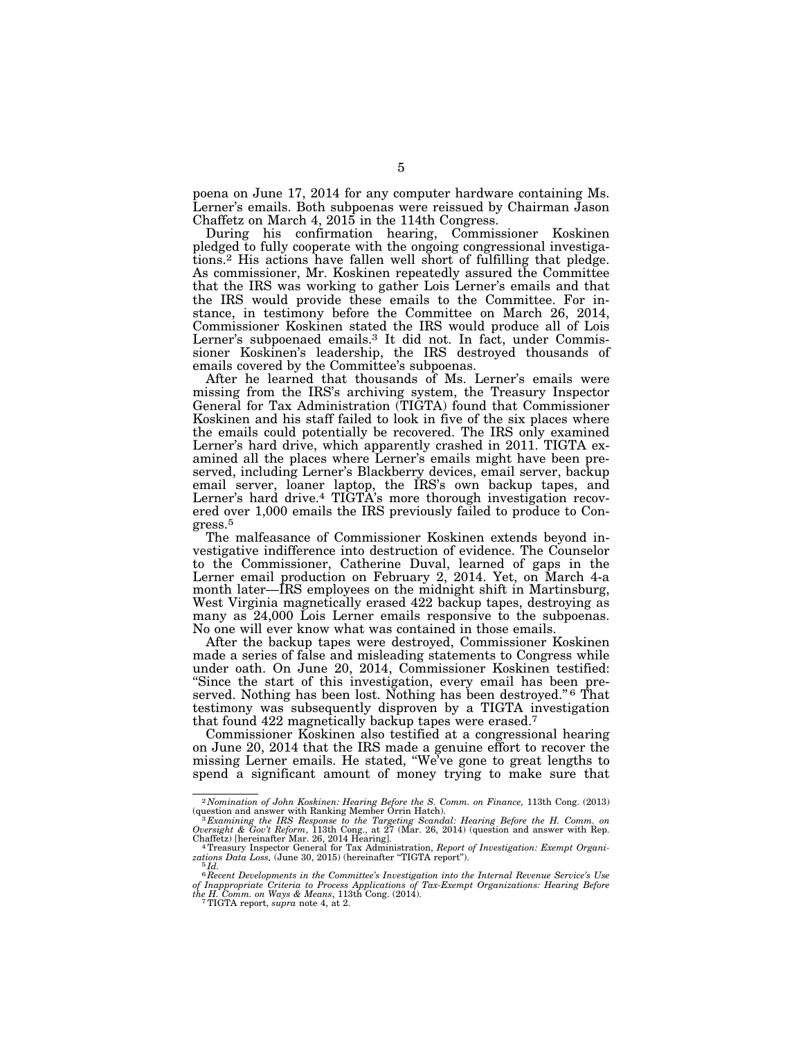poena on June 17, 2014 for any computer hardware containing Ms. Lerner's emails. Both subpoenas were reissued by Chairman Jason Chaffetz on March 4, 2015 in the 114th Congress.

During his confirmation hearing, Commissioner Koskinen pledged to fully cooperate with the ongoing congressional investigations.2 His actions have fallen well short of fulfilling that pledge. As commissioner, Mr. Koskinen repeatedly assured the Committee that the IRS was working to gather Lois Lerner's emails and that the IRS would provide these emails to the Committee. For instance, in testimony before the Committee on March 26, 2014, Commissioner Koskinen stated the IRS would produce all of Lois Lerner's subpoenaed emails.<sup>3</sup> It did not. In fact, under Commissioner Koskinen's leadership, the IRS destroyed thousands of emails covered by the Committee's subpoenas.

After he learned that thousands of Ms. Lerner's emails were missing from the IRS's archiving system, the Treasury Inspector General for Tax Administration (TIGTA) found that Commissioner Koskinen and his staff failed to look in five of the six places where the emails could potentially be recovered. The IRS only examined Lerner's hard drive, which apparently crashed in 2011. TIGTA examined all the places where Lerner's emails might have been preserved, including Lerner's Blackberry devices, email server, backup email server, loaner laptop, the IRS's own backup tapes, and Lerner's hard drive.<sup>4</sup> TIGTA's more thorough investigation recovered over 1,000 emails the IRS previously failed to produce to Congress.5

The malfeasance of Commissioner Koskinen extends beyond investigative indifference into destruction of evidence. The Counselor to the Commissioner, Catherine Duval, learned of gaps in the Lerner email production on February 2, 2014. Yet, on March 4-a month later—IRS employees on the midnight shift in Martinsburg, West Virginia magnetically erased 422 backup tapes, destroying as many as 24,000 Lois Lerner emails responsive to the subpoenas. No one will ever know what was contained in those emails.

After the backup tapes were destroyed, Commissioner Koskinen made a series of false and misleading statements to Congress while under oath. On June 20, 2014, Commissioner Koskinen testified: ''Since the start of this investigation, every email has been preserved. Nothing has been lost. Nothing has been destroyed."<sup>6</sup> That testimony was subsequently disproven by a TIGTA investigation that found 422 magnetically backup tapes were erased.7

Commissioner Koskinen also testified at a congressional hearing on June 20, 2014 that the IRS made a genuine effort to recover the missing Lerner emails. He stated, ''We've gone to great lengths to spend a significant amount of money trying to make sure that

<sup>&</sup>lt;sup>2</sup>Nomination of John Koskinen: Hearing Before the S. Comm. on Finance, 113th Cong. (2013) (question and answer with Ranking Member Orrin Hatch).<br><sup>3</sup> Examining the IRS Response to the Targeting Scandal: Hearing Before the

zations Data Loss, (June 30, 2015) (hereinafter "TIGTA report"). <sup>5</sup>*Id.* 

<sup>6</sup> *Recent Developments in the Committee's Investigation into the Internal Revenue Service's Use*  of Inappropriate Criteria to Process Applications of Tax-Exempt Organizations: Hearing Before<br>the H. Comm. on Ways & Means, 113th Cong. (2014).<br><sup>7</sup> TIGTA report, supra note 4, at 2.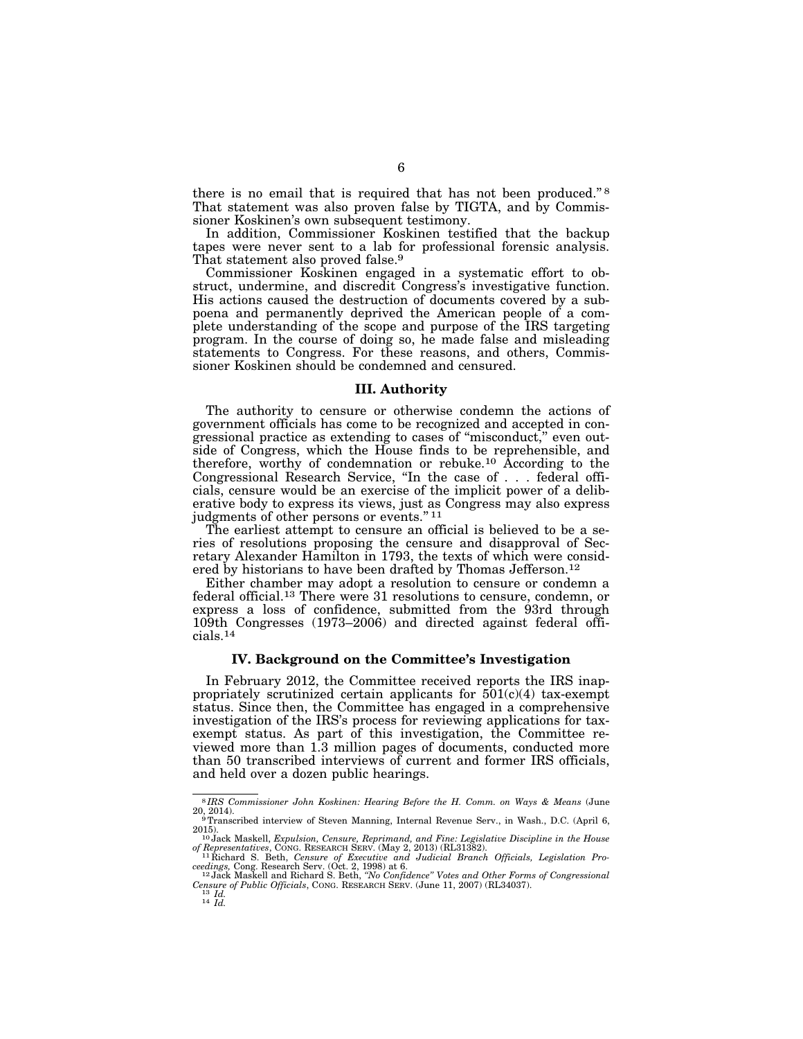there is no email that is required that has not been produced."<sup>8</sup> That statement was also proven false by TIGTA, and by Commissioner Koskinen's own subsequent testimony.

6

In addition, Commissioner Koskinen testified that the backup tapes were never sent to a lab for professional forensic analysis. That statement also proved false.<sup>9</sup>

Commissioner Koskinen engaged in a systematic effort to obstruct, undermine, and discredit Congress's investigative function. His actions caused the destruction of documents covered by a subpoena and permanently deprived the American people of a complete understanding of the scope and purpose of the IRS targeting program. In the course of doing so, he made false and misleading statements to Congress. For these reasons, and others, Commissioner Koskinen should be condemned and censured.

### **III. Authority**

The authority to censure or otherwise condemn the actions of government officials has come to be recognized and accepted in congressional practice as extending to cases of ''misconduct,'' even outside of Congress, which the House finds to be reprehensible, and therefore, worthy of condemnation or rebuke.10 According to the Congressional Research Service, ''In the case of . . . federal officials, censure would be an exercise of the implicit power of a deliberative body to express its views, just as Congress may also express judgments of other persons or events.'' 11

The earliest attempt to censure an official is believed to be a series of resolutions proposing the censure and disapproval of Secretary Alexander Hamilton in 1793, the texts of which were considered by historians to have been drafted by Thomas Jefferson.12

Either chamber may adopt a resolution to censure or condemn a federal official.13 There were 31 resolutions to censure, condemn, or express a loss of confidence, submitted from the 93rd through 109th Congresses (1973–2006) and directed against federal officials.14

### **IV. Background on the Committee's Investigation**

In February 2012, the Committee received reports the IRS inappropriately scrutinized certain applicants for  $501(c)(4)$  tax-exempt status. Since then, the Committee has engaged in a comprehensive investigation of the IRS's process for reviewing applications for taxexempt status. As part of this investigation, the Committee reviewed more than 1.3 million pages of documents, conducted more than 50 transcribed interviews of current and former IRS officials, and held over a dozen public hearings.

<sup>8</sup> *IRS Commissioner John Koskinen: Hearing Before the H. Comm. on Ways & Means* (June 20, 2014).<br><sup>9</sup>Transcribed interview of Steven Manning, Internal Revenue Serv., in Wash., D.C. (April 6,

<sup>2015). 10</sup> Jack Maskell, *Expulsion, Censure, Reprimand, and Fine: Legislative Discipline in the House* 

*of Representatives*, CONG. RESEARCH SERV. (May 2, 2013) (RL31382). 11 Richard S. Beth, *Censure of Executive and Judicial Branch Officials, Legislation Pro-*

*ceedings,* Cong. Research Serv. (Oct. 2, 1998) at 6. 12 Jack Maskell and Richard S. Beth, *''No Confidence'' Votes and Other Forms of Congressional Censure of Public Officials*, CONG. RESEARCH SERV. (June 11, 2007) (RL34037). 13 *Id.* <sup>14</sup> *Id.*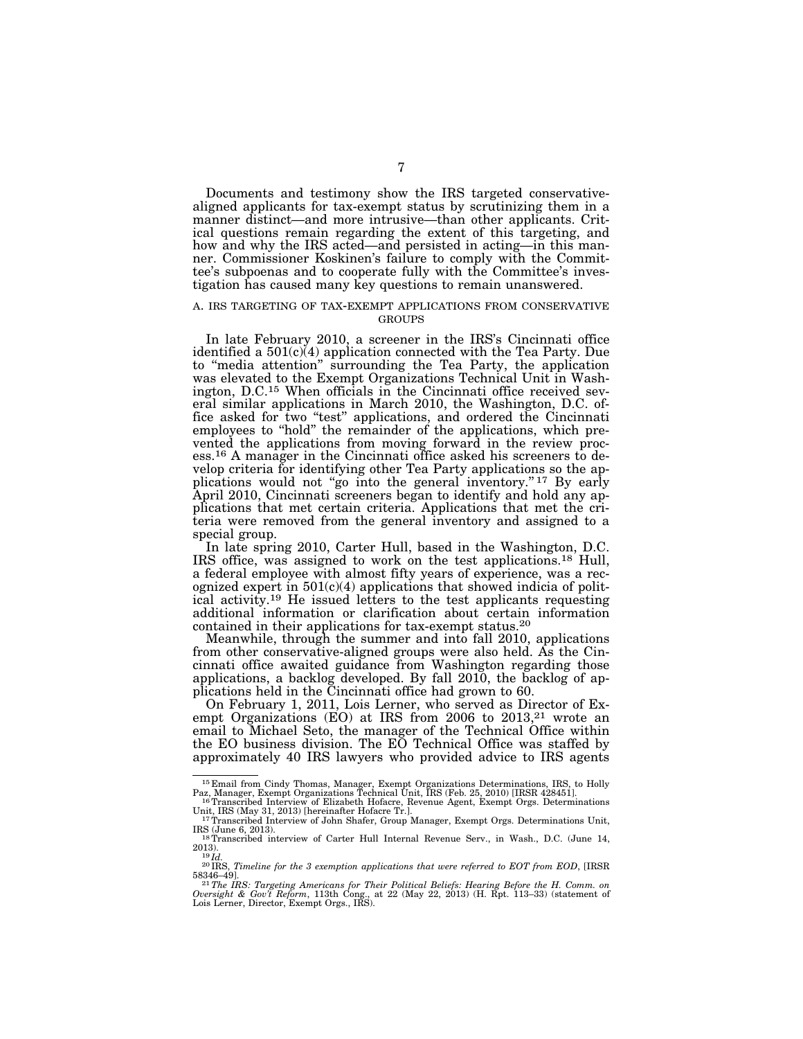Documents and testimony show the IRS targeted conservativealigned applicants for tax-exempt status by scrutinizing them in a manner distinct—and more intrusive—than other applicants. Critical questions remain regarding the extent of this targeting, and how and why the IRS acted—and persisted in acting—in this manner. Commissioner Koskinen's failure to comply with the Committee's subpoenas and to cooperate fully with the Committee's investigation has caused many key questions to remain unanswered.

### A. IRS TARGETING OF TAX-EXEMPT APPLICATIONS FROM CONSERVATIVE GROUPS

In late February 2010, a screener in the IRS's Cincinnati office identified a 501(c)(4) application connected with the Tea Party. Due to ''media attention'' surrounding the Tea Party, the application was elevated to the Exempt Organizations Technical Unit in Washington, D.C.15 When officials in the Cincinnati office received several similar applications in March 2010, the Washington, D.C. office asked for two "test" applications, and ordered the Cincinnati employees to ''hold'' the remainder of the applications, which prevented the applications from moving forward in the review process.16 A manager in the Cincinnati office asked his screeners to develop criteria for identifying other Tea Party applications so the applications would not "go into the general inventory."<sup>17</sup> By early April 2010, Cincinnati screeners began to identify and hold any applications that met certain criteria. Applications that met the criteria were removed from the general inventory and assigned to a special group.

In late spring 2010, Carter Hull, based in the Washington, D.C. IRS office, was assigned to work on the test applications.18 Hull, a federal employee with almost fifty years of experience, was a recognized expert in 501(c)(4) applications that showed indicia of political activity.19 He issued letters to the test applicants requesting additional information or clarification about certain information contained in their applications for tax-exempt status.20

Meanwhile, through the summer and into fall 2010, applications from other conservative-aligned groups were also held. As the Cincinnati office awaited guidance from Washington regarding those applications, a backlog developed. By fall 2010, the backlog of applications held in the Cincinnati office had grown to 60.

On February 1, 2011, Lois Lerner, who served as Director of Exempt Organizations (EO) at IRS from 2006 to 2013,<sup>21</sup> wrote an email to Michael Seto, the manager of the Technical Office within the EO business division. The EO Technical Office was staffed by approximately 40 IRS lawyers who provided advice to IRS agents

 $^{15}$ Email from Cindy Thomas, Manager, Exempt Organizations Determinations, IRS, to Holly Paz, Manager, Exempt Organizations Technical Unit, IRS (Feb. 25, 2010) [IRSR 428451].<br><sup>16</sup>Transcribed Interview of Elizabeth Hofac

<sup>&</sup>lt;sup>17</sup>Transcribed Interview of John Shafer, Group Manager, Exempt Orgs. Determinations Unit,

IRS (June 6, 2013). 18Transcribed interview of Carter Hull Internal Revenue Serv., in Wash., D.C. (June 14,

<sup>2013). 19</sup> *Id.* <sup>20</sup> IRS, *Timeline for the 3 exemption applications that were referred to EOT from EOD*, [IRSR

<sup>58346–49].&</sup>lt;br><sup>21</sup>The IRS: Targeting Americans for Their Political Beliefs: Hearing Before the H. Comm. on<br>Oversight & Gov't Reform, 113th Cong., at 22 (May 22, 2013) (H. Rpt. 113–33) (statement of<br>Lois Lerner, Director, Exem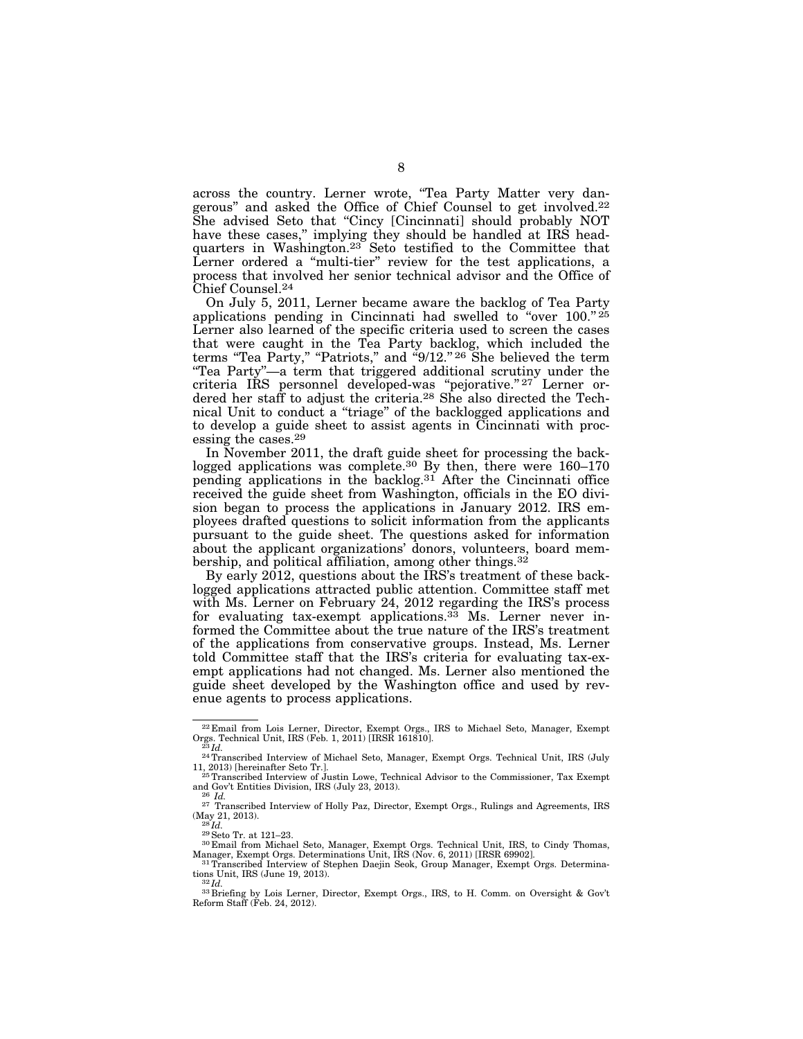across the country. Lerner wrote, ''Tea Party Matter very dangerous'' and asked the Office of Chief Counsel to get involved.22 She advised Seto that "Cincy [Cincinnati] should probably NOT have these cases,'' implying they should be handled at IRS headquarters in Washington.<sup>23</sup> Seto testified to the Committee that Lerner ordered a ''multi-tier'' review for the test applications, a process that involved her senior technical advisor and the Office of Chief Counsel.24

On July 5, 2011, Lerner became aware the backlog of Tea Party applications pending in Cincinnati had swelled to "over  $100$ ."  $25$ Lerner also learned of the specific criteria used to screen the cases that were caught in the Tea Party backlog, which included the terms "Tea Party," "Patriots," and "9/12." 26 She believed the term ''Tea Party''—a term that triggered additional scrutiny under the criteria IRS personnel developed-was "pejorative."<sup>27'</sup> Lerner ordered her staff to adjust the criteria.<sup>28</sup> She also directed the Technical Unit to conduct a ''triage'' of the backlogged applications and to develop a guide sheet to assist agents in Cincinnati with processing the cases.29

In November 2011, the draft guide sheet for processing the backlogged applications was complete.30 By then, there were 160–170 pending applications in the backlog.<sup>31</sup> After the Cincinnati office received the guide sheet from Washington, officials in the EO division began to process the applications in January 2012. IRS employees drafted questions to solicit information from the applicants pursuant to the guide sheet. The questions asked for information about the applicant organizations' donors, volunteers, board membership, and political affiliation, among other things.<sup>32</sup>

By early 2012, questions about the IRS's treatment of these backlogged applications attracted public attention. Committee staff met with Ms. Lerner on February 24, 2012 regarding the IRS's process for evaluating tax-exempt applications.<sup>33</sup> Ms. Lerner never informed the Committee about the true nature of the IRS's treatment of the applications from conservative groups. Instead, Ms. Lerner told Committee staff that the IRS's criteria for evaluating tax-exempt applications had not changed. Ms. Lerner also mentioned the guide sheet developed by the Washington office and used by revenue agents to process applications.

 $\frac{22 \text{ Email from} }{22 \text{ Email from} }$  Lois Lerner, Director, Exempt Orgs., IRS to Michael Seto, Manager, Exempt Orgs. Technical Unit, IRS (Feb. 1, 2011) [IRSR 161810].

<sup>&</sup>lt;sup>23</sup>Id. <sup>24</sup>Transcribed Interview of Michael Seto, Manager, Exempt Orgs. Technical Unit, IRS (July 11, 2013) [hereinafter Seto Tr.].

 $^{25}$ Transcribed Interview of Justin Lowe, Technical Advisor to the Commissioner, Tax Exempt and Gov't Entities Division, IRS (July 23, 2013).

<sup>&</sup>lt;sup>26</sup> *Id.* <sup>27</sup> Transcribed Interview of Holly Paz, Director, Exempt Orgs., Rulings and Agreements, IRS (May 21, 2013).

<sup>(</sup>May 21, 2013).<br>
<sup>28</sup> *Id.*<br>
<sup>29</sup> Seto Tr. at 121–23.<br>
<sup>30</sup> Email from Michael Seto, Manager, Exempt Orgs. Technical Unit, IRS, to Cindy Thomas,<br>
Manager, Exempt Orgs. Determinations Unit, IRS (Nov. 6, 2011) [IRSR 69902].

<sup>&</sup>lt;sup>31</sup> Transcribed Interview of Stephen Daejin Seok, Group Manager, Exempt Orgs. Determina-

tions Unit, IRS (June 19, 2013).<br><sup>32</sup>*Id.* <sup>33</sup> Briefing by Lois Lerner, Director, Exempt Orgs., IRS, to H. Comm. on Oversight & Gov't Reform Staff (Feb. 24, 2012).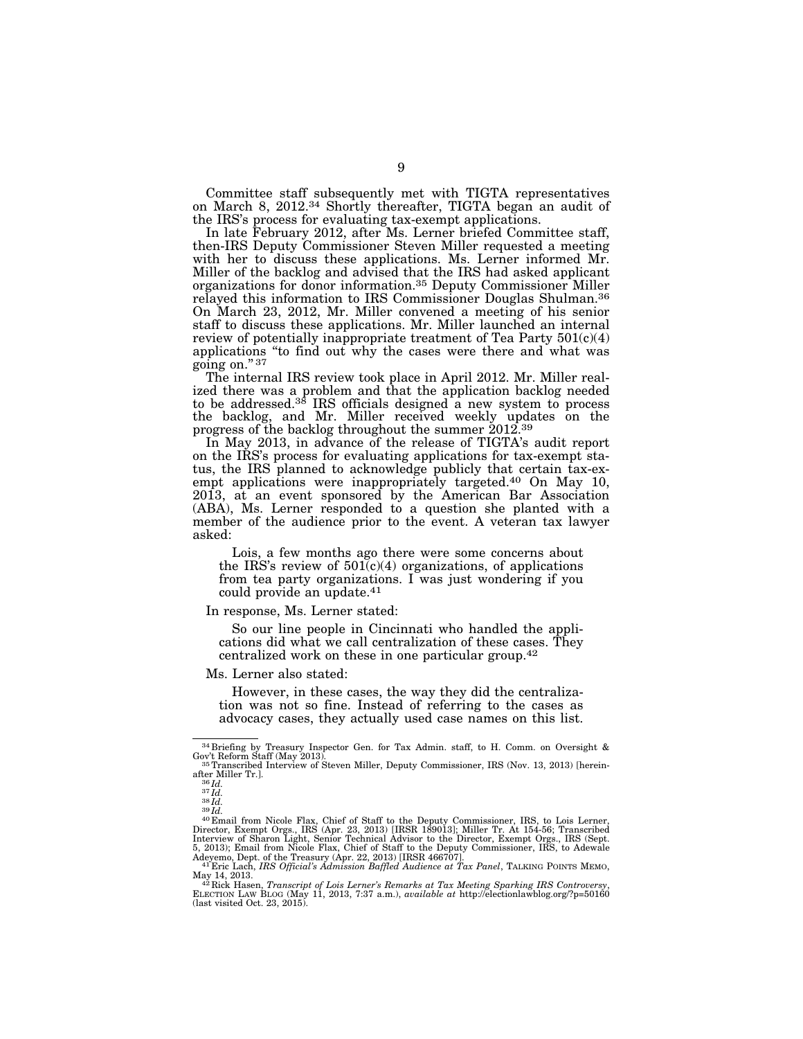Committee staff subsequently met with TIGTA representatives on March 8, 2012.34 Shortly thereafter, TIGTA began an audit of the IRS's process for evaluating tax-exempt applications.

In late February 2012, after Ms. Lerner briefed Committee staff, then-IRS Deputy Commissioner Steven Miller requested a meeting with her to discuss these applications. Ms. Lerner informed Mr. Miller of the backlog and advised that the IRS had asked applicant organizations for donor information.35 Deputy Commissioner Miller relayed this information to IRS Commissioner Douglas Shulman.36 On March 23, 2012, Mr. Miller convened a meeting of his senior staff to discuss these applications. Mr. Miller launched an internal review of potentially inappropriate treatment of Tea Party  $501(c)(4)$ applications ''to find out why the cases were there and what was going on." 37

The internal IRS review took place in April 2012. Mr. Miller realized there was a problem and that the application backlog needed to be addressed.38 IRS officials designed a new system to process the backlog, and Mr. Miller received weekly updates on the progress of the backlog throughout the summer 2012.39

In May 2013, in advance of the release of TIGTA's audit report on the IRS's process for evaluating applications for tax-exempt status, the IRS planned to acknowledge publicly that certain tax-exempt applications were inappropriately targeted.40 On May 10, 2013, at an event sponsored by the American Bar Association (ABA), Ms. Lerner responded to a question she planted with a member of the audience prior to the event. A veteran tax lawyer asked:

Lois, a few months ago there were some concerns about the IRS's review of  $501(c)(4)$  organizations, of applications from tea party organizations. I was just wondering if you could provide an update.41

In response, Ms. Lerner stated:

So our line people in Cincinnati who handled the applications did what we call centralization of these cases. They centralized work on these in one particular group.42

### Ms. Lerner also stated:

However, in these cases, the way they did the centralization was not so fine. Instead of referring to the cases as advocacy cases, they actually used case names on this list.

<sup>&</sup>lt;sup>34</sup> Briefing by Treasury Inspector Gen. for Tax Admin. staff, to H. Comm. on Oversight & Gov't Reform Staff (May 2013).<br><sup>35</sup> Transcribed Interview of Steven Miller, Deputy Commissioner, IRS (Nov. 13, 2013) [herein-

after Miller Tr.].<br><sup>36</sup>*Id.*<br><sup>37</sup>*Id.*<br><sup>38</sup>*Id.*<br><sup>40</sup> Email from Nicole Flax, Chief of Staff to the Deputy Commissioner, IRS, to Lois Lerner,

Director, Exempt Orgs., IRS (Apr. 23, 2013) [IRSR 189013]; Miller Tr. At 154-56; Transcribed<br>Interview of Sharon Light, Senior Technical Advisor to the Director, Exempt Orgs., IRS (Sept.<br>5, 2013); Email from Nicole Flax, C

Adeyemo, Dept. of the Treasury (Apr. 22, 2013) [IRSR 466707].<br><sup>41</sup> Eric Lach, *IRS Official's Admission Baffled Audience at Tax Panel*, TALKING POINTS MEMO,<br><sup>42</sup> Rick Hasen, *Transcript of Lois Lerner's Remarks at Tax Meet*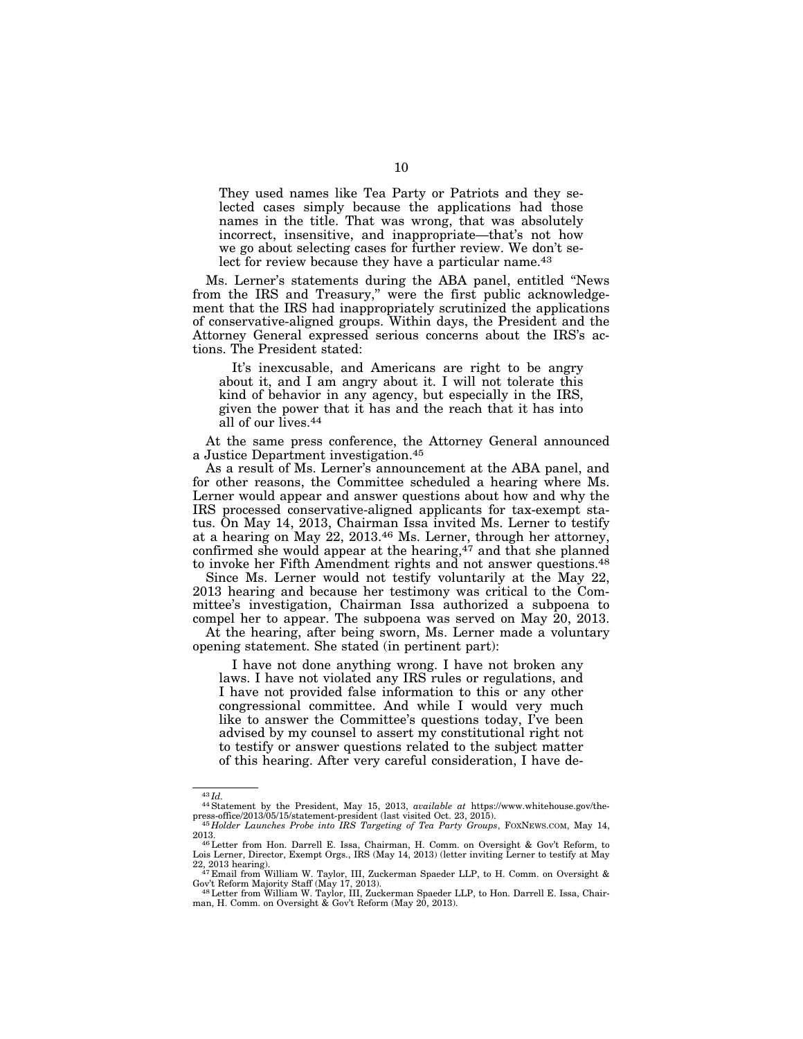They used names like Tea Party or Patriots and they selected cases simply because the applications had those names in the title. That was wrong, that was absolutely incorrect, insensitive, and inappropriate—that's not how we go about selecting cases for further review. We don't select for review because they have a particular name.<sup>43</sup>

Ms. Lerner's statements during the ABA panel, entitled ''News from the IRS and Treasury," were the first public acknowledgement that the IRS had inappropriately scrutinized the applications of conservative-aligned groups. Within days, the President and the Attorney General expressed serious concerns about the IRS's actions. The President stated:

It's inexcusable, and Americans are right to be angry about it, and I am angry about it. I will not tolerate this kind of behavior in any agency, but especially in the IRS, given the power that it has and the reach that it has into all of our lives.44

At the same press conference, the Attorney General announced a Justice Department investigation.45

As a result of Ms. Lerner's announcement at the ABA panel, and for other reasons, the Committee scheduled a hearing where Ms. Lerner would appear and answer questions about how and why the IRS processed conservative-aligned applicants for tax-exempt status. On May 14, 2013, Chairman Issa invited Ms. Lerner to testify at a hearing on May 22, 2013.46 Ms. Lerner, through her attorney, confirmed she would appear at the hearing, $47$  and that she planned to invoke her Fifth Amendment rights and not answer questions.48

Since Ms. Lerner would not testify voluntarily at the May 22, 2013 hearing and because her testimony was critical to the Committee's investigation, Chairman Issa authorized a subpoena to compel her to appear. The subpoena was served on May 20, 2013.

At the hearing, after being sworn, Ms. Lerner made a voluntary opening statement. She stated (in pertinent part):

I have not done anything wrong. I have not broken any laws. I have not violated any IRS rules or regulations, and I have not provided false information to this or any other congressional committee. And while I would very much like to answer the Committee's questions today, I've been advised by my counsel to assert my constitutional right not to testify or answer questions related to the subject matter of this hearing. After very careful consideration, I have de-

<sup>&</sup>lt;sup>43</sup> *Id.* <sup>44</sup>Statement by the President, May 15, 2013, *available at* https://www.whitehouse.gov/the-press-office/2013/05/15/statement-president (last visited Oct. 23, 2015).

press-office/2013/05/15/statement-president (last visited Oct. 23, 2015). 45 *Holder Launches Probe into IRS Targeting of Tea Party Groups*, FOXNEWS.COM, May 14, <sup>46</sup>Letter from Hon. Darrell E. Issa, Chairman, H. Comm. on Oversight & Gov't Reform, to

Lois Lerner, Director, Exempt Orgs., IRS (May 14, 2013) (letter inviting Lerner to testify at May

<sup>22, 2013</sup> hearing). 47 Email from William W. Taylor, III, Zuckerman Spaeder LLP, to H. Comm. on Oversight & Gov't Reform Majority Staff (May 17, 2013).

<sup>&</sup>lt;sup>48</sup> Letter from William W. Taylor, III, Zuckerman Spaeder LLP, to Hon. Darrell E. Issa, Chairman, H. Comm. on Oversight & Gov't Reform (May 20, 2013).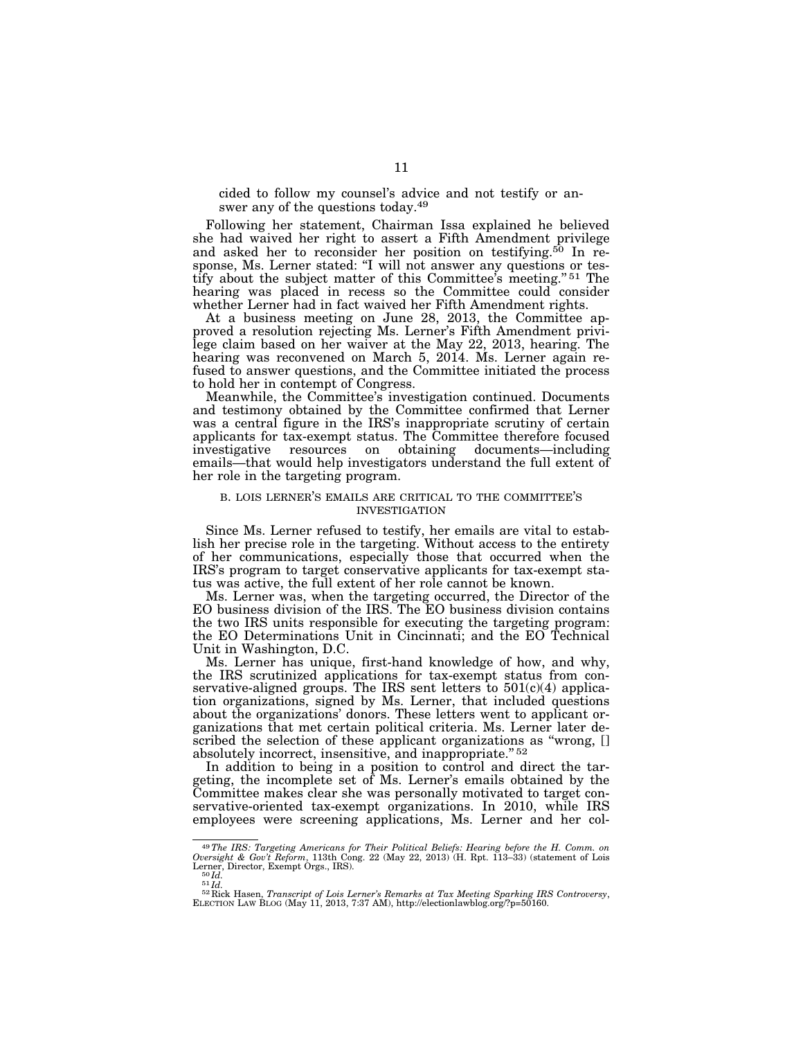cided to follow my counsel's advice and not testify or answer any of the questions today.49

Following her statement, Chairman Issa explained he believed she had waived her right to assert a Fifth Amendment privilege and asked her to reconsider her position on testifying.50 In response, Ms. Lerner stated: "I will not answer any questions or testify about the subject matter of this Committee's meeting."<sup>51</sup> The hearing was placed in recess so the Committee could consider whether Lerner had in fact waived her Fifth Amendment rights.

At a business meeting on June 28, 2013, the Committee approved a resolution rejecting Ms. Lerner's Fifth Amendment privilege claim based on her waiver at the May 22, 2013, hearing. The hearing was reconvened on March 5, 2014. Ms. Lerner again refused to answer questions, and the Committee initiated the process to hold her in contempt of Congress.

Meanwhile, the Committee's investigation continued. Documents and testimony obtained by the Committee confirmed that Lerner was a central figure in the IRS's inappropriate scrutiny of certain applicants for tax-exempt status. The Committee therefore focused investigative resources on obtaining documents—including emails—that would help investigators understand the full extent of her role in the targeting program.

### B. LOIS LERNER'S EMAILS ARE CRITICAL TO THE COMMITTEE'S INVESTIGATION

Since Ms. Lerner refused to testify, her emails are vital to establish her precise role in the targeting. Without access to the entirety of her communications, especially those that occurred when the IRS's program to target conservative applicants for tax-exempt status was active, the full extent of her role cannot be known.

Ms. Lerner was, when the targeting occurred, the Director of the EO business division of the IRS. The EO business division contains the two IRS units responsible for executing the targeting program: the EO Determinations Unit in Cincinnati; and the EO Technical Unit in Washington, D.C.

Ms. Lerner has unique, first-hand knowledge of how, and why, the IRS scrutinized applications for tax-exempt status from conservative-aligned groups. The IRS sent letters to  $501(c)(4)$  application organizations, signed by Ms. Lerner, that included questions about the organizations' donors. These letters went to applicant organizations that met certain political criteria. Ms. Lerner later described the selection of these applicant organizations as "wrong, [] absolutely incorrect, insensitive, and inappropriate."<sup>52</sup>

In addition to being in a position to control and direct the targeting, the incomplete set of Ms. Lerner's emails obtained by the Committee makes clear she was personally motivated to target conservative-oriented tax-exempt organizations. In 2010, while IRS employees were screening applications, Ms. Lerner and her col-

<sup>49</sup>*The IRS: Targeting Americans for Their Political Beliefs: Hearing before the H. Comm. on*  Oversight & Gov't Reform, 113th Cong. 22 (May 22, 2013) (H. Rpt. 113–33) (statement of Lois Lerner, Director, Exempt Orgs., IRS).<br>  $^{50}$ Id.<br>  $^{50}$ Id.<br>  $^{52}$ Rick Hasen, *Transcript of Lois Lerner's Remarks at Tax Meetin* 

Inc. The ELECTION LAW BLOG (May 11, 2013, 7:37 AM), http://electionlawblog.org/?p=50160.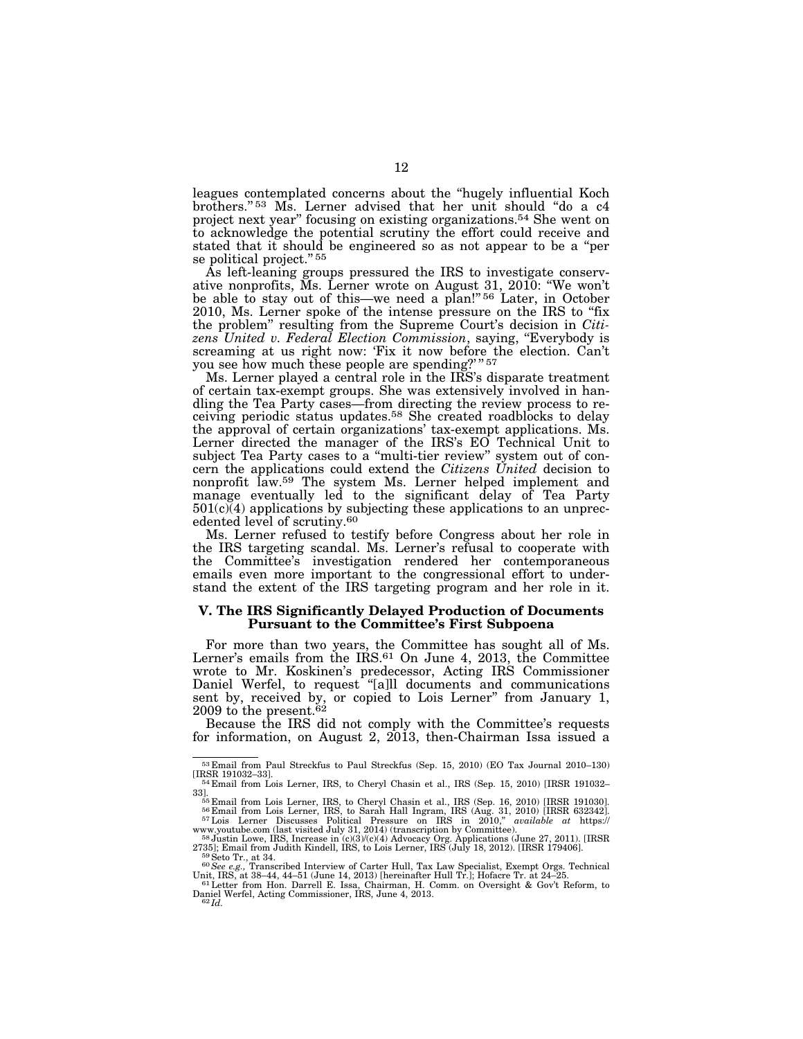leagues contemplated concerns about the ''hugely influential Koch brothers."<sup>53</sup> Ms. Lerner advised that her unit should "do a c4 project next year'' focusing on existing organizations.54 She went on to acknowledge the potential scrutiny the effort could receive and stated that it should be engineered so as not appear to be a ''per se political project."<sup>55</sup>

As left-leaning groups pressured the IRS to investigate conservative nonprofits, Ms. Lerner wrote on August 31, 2010: ''We won't be able to stay out of this—we need a plan!"<sup>56</sup> Later, in October 2010, Ms. Lerner spoke of the intense pressure on the IRS to ''fix the problem'' resulting from the Supreme Court's decision in *Citizens United v. Federal Election Commission*, saying, ''Everybody is screaming at us right now: 'Fix it now before the election. Can't you see how much these people are spending?" 57

Ms. Lerner played a central role in the IRS's disparate treatment of certain tax-exempt groups. She was extensively involved in handling the Tea Party cases—from directing the review process to receiving periodic status updates.58 She created roadblocks to delay the approval of certain organizations' tax-exempt applications. Ms. Lerner directed the manager of the IRS's EO Technical Unit to subject Tea Party cases to a ''multi-tier review'' system out of concern the applications could extend the *Citizens United* decision to nonprofit law.59 The system Ms. Lerner helped implement and manage eventually led to the significant delay of Tea Party  $501(c)(4)$  applications by subjecting these applications to an unprecedented level of scrutiny.60

Ms. Lerner refused to testify before Congress about her role in the IRS targeting scandal. Ms. Lerner's refusal to cooperate with the Committee's investigation rendered her contemporaneous emails even more important to the congressional effort to understand the extent of the IRS targeting program and her role in it.

### **V. The IRS Significantly Delayed Production of Documents Pursuant to the Committee's First Subpoena**

For more than two years, the Committee has sought all of Ms. Lerner's emails from the IRS.<sup>61</sup> On June 4, 2013, the Committee wrote to Mr. Koskinen's predecessor, Acting IRS Commissioner Daniel Werfel, to request "[a]ll documents and communications sent by, received by, or copied to Lois Lerner'' from January 1, 2009 to the present.<sup>62</sup>

Because the IRS did not comply with the Committee's requests for information, on August 2, 2013, then-Chairman Issa issued a

<sup>53</sup> Email from Paul Streckfus to Paul Streckfus (Sep. 15, 2010) (EO Tax Journal 2010–130)

<sup>&</sup>lt;sup>54</sup> Email from Lois Lerner, IRS, to Cheryl Chasin et al., IRS (Sep. 15, 2010) [IRSR 191032–

<sup>&</sup>lt;sup>34</sup> Email from Lois Lerner, IRS, to Cheryl Chasin et al., IRS (Sep. 16, 2010) [IRSR 191030].<br><sup>55</sup> Email from Lois Lerner, IRS, to Sarah Hall Ingram, IRS (Aug. 31, 2010) [IRSR 632342].<br><sup>57</sup> Lois Lerner Discusses Political

www.youtube.com (last visited July 31, 2014) (transcription by Committee). 58 Justin Lowe, IRS, Increase in (c)(3)/(c)(4) Advocacy Org. Applications (June 27, 2011). [IRSR 2735]; Email from Judith Kindell, IRS, to Lois Lerner, IRS (July 18, 2012). [IRSR 179406].<br><sup>59</sup>Seto Tr., at 34.<br><sup>69</sup>See e.g., Transcribed Interview of Carter Hull, Tax Law Specialist, Exempt Orgs. Technical

Unit, IRS, at 38–44, 44–51 (June 14, 2013) [hereinafter Hull Tr.]; Hofacre Tr. at 24–25.<br><sup>61</sup>Letter from Hon. Darrell E. Issa, Chairman, H. Comm. on Oversight & Gov't Reform, to Daniel Werfel, Acting Commissioner, IRS, June 4, 2013. 62 *Id.*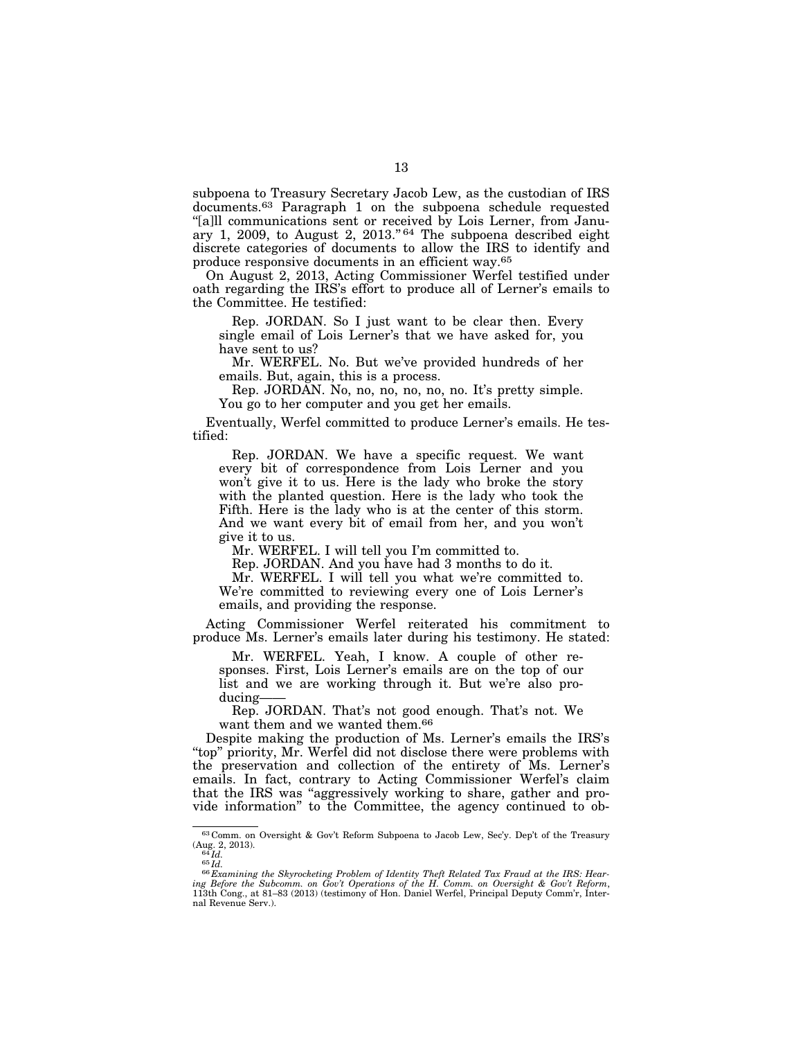subpoena to Treasury Secretary Jacob Lew, as the custodian of IRS documents.63 Paragraph 1 on the subpoena schedule requested ''[a]ll communications sent or received by Lois Lerner, from January 1, 2009, to August 2, 2013." $64$  The subpoena described eight discrete categories of documents to allow the IRS to identify and produce responsive documents in an efficient way.65

On August 2, 2013, Acting Commissioner Werfel testified under oath regarding the IRS's effort to produce all of Lerner's emails to the Committee. He testified:

Rep. JORDAN. So I just want to be clear then. Every single email of Lois Lerner's that we have asked for, you have sent to us?

Mr. WERFEL. No. But we've provided hundreds of her emails. But, again, this is a process.

Rep. JORDAN. No, no, no, no, no, no. It's pretty simple. You go to her computer and you get her emails.

Eventually, Werfel committed to produce Lerner's emails. He testified:

Rep. JORDAN. We have a specific request. We want every bit of correspondence from Lois Lerner and you won't give it to us. Here is the lady who broke the story with the planted question. Here is the lady who took the Fifth. Here is the lady who is at the center of this storm. And we want every bit of email from her, and you won't give it to us.

Mr. WERFEL. I will tell you I'm committed to.

Rep. JORDAN. And you have had 3 months to do it.

Mr. WERFEL. I will tell you what we're committed to. We're committed to reviewing every one of Lois Lerner's emails, and providing the response.

Acting Commissioner Werfel reiterated his commitment to produce Ms. Lerner's emails later during his testimony. He stated:

Mr. WERFEL. Yeah, I know. A couple of other responses. First, Lois Lerner's emails are on the top of our list and we are working through it. But we're also producing-

Rep. JORDAN. That's not good enough. That's not. We want them and we wanted them.<sup>66</sup>

Despite making the production of Ms. Lerner's emails the IRS's "top" priority, Mr. Werfel did not disclose there were problems with the preservation and collection of the entirety of Ms. Lerner's emails. In fact, contrary to Acting Commissioner Werfel's claim that the IRS was ''aggressively working to share, gather and provide information'' to the Committee, the agency continued to ob-

 $^{63}$  Comm. on Oversight & Gov't Reform Subpoena to Jacob Lew, Sec'y. Dep't of the Treasury (Aug. 2, 2013).  $^{64}Id.$ 

<sup>(</sup>Aug. 2, 2013).<br><sup>64</sup>Id.<br><sup>65</sup>Id. – <sup>65</sup> Samining the Skyrocketing Problem of Identity Theft Related Tax Fraud at the IRS: Hear-<br><sup>66</sup> Examining the Skyrocketing Problem of Identity Theft Related Tax Fraud at the IRS: Hear-<br>i 113th Cong., at 81–83 (2013) (testimony of Hon. Daniel Werfel, Principal Deputy Comm'r, Internal Revenue Serv.).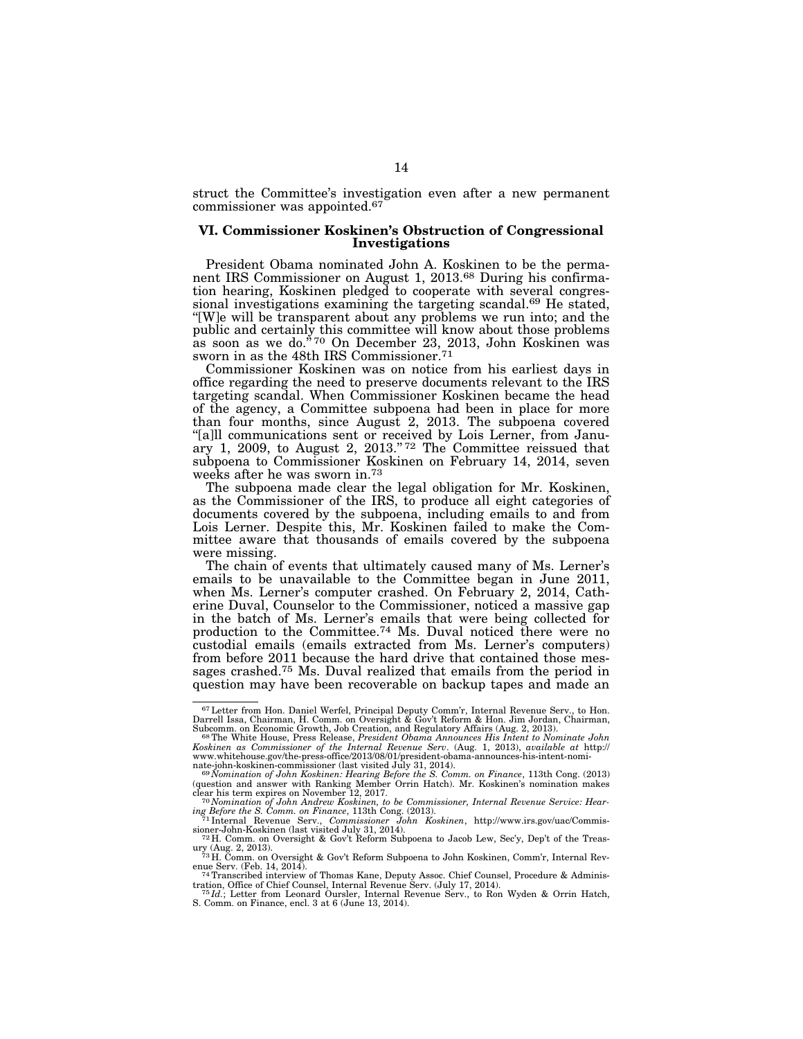struct the Committee's investigation even after a new permanent commissioner was appointed.67

### **VI. Commissioner Koskinen's Obstruction of Congressional Investigations**

President Obama nominated John A. Koskinen to be the permanent IRS Commissioner on August 1, 2013.68 During his confirmation hearing, Koskinen pledged to cooperate with several congressional investigations examining the targeting scandal.<sup>69</sup> He stated, "[W]e will be transparent about any problems we run into; and the public and certainly this committee will know about those problems as soon as we do."<sup>70</sup> On December 23, 2013, John Koskinen was sworn in as the 48th IRS Commissioner.<sup>71</sup>

Commissioner Koskinen was on notice from his earliest days in office regarding the need to preserve documents relevant to the IRS targeting scandal. When Commissioner Koskinen became the head of the agency, a Committee subpoena had been in place for more than four months, since August 2, 2013. The subpoena covered ''[a]ll communications sent or received by Lois Lerner, from January 1, 2009, to August 2, 2013."<sup>72</sup> The Committee reissued that subpoena to Commissioner Koskinen on February 14, 2014, seven weeks after he was sworn in.73

The subpoena made clear the legal obligation for Mr. Koskinen, as the Commissioner of the IRS, to produce all eight categories of documents covered by the subpoena, including emails to and from Lois Lerner. Despite this, Mr. Koskinen failed to make the Committee aware that thousands of emails covered by the subpoena were missing.

The chain of events that ultimately caused many of Ms. Lerner's emails to be unavailable to the Committee began in June 2011, when Ms. Lerner's computer crashed. On February 2, 2014, Catherine Duval, Counselor to the Commissioner, noticed a massive gap in the batch of Ms. Lerner's emails that were being collected for production to the Committee.<sup>74</sup> Ms. Duval noticed there were no custodial emails (emails extracted from Ms. Lerner's computers) from before 2011 because the hard drive that contained those messages crashed.75 Ms. Duval realized that emails from the period in question may have been recoverable on backup tapes and made an

<sup>67</sup>Letter from Hon. Daniel Werfel, Principal Deputy Comm'r, Internal Revenue Serv., to Hon. Darrell Issa, Chairman, H. Comm. on Oversight & Gov't Reform & Hon. Jim Jordan, Chairman,<br>Subcomm. on Economic Growth, Job Creation, and Regulatory Affairs (Aug. 2, 2013).<br><sup>68</sup>The White House, Press Release, *President Oba* 

Koskinen as Commissioner of the Internal Revenue Serv. (Aug. 1, 2013), available at http://<br>www.whitehouse.gov/the-press-office/2013/08/01/president-obama-announces-his-intent-nomi-<br>nate-john-koskinen-commissioner (last v

<sup>&</sup>lt;sup>*zo</sup>Nomination of John Andrew Koskinen, to be Commissioner, Internal Revenue Service: Hearing Before the S. Comm. on Finance, 113th Cong. (2013).<br><sup>71</sup> Internal Revenue Serv., <i>Commissioner John Koskinen*, http://www.irs.g</sup>

sioner-John-Koskinen (last visited July 31, 2014). <sup>72</sup> H. Comm. on Oversight & Gov't Reform Subpoena to Jacob Lew, Sec'y, Dep't of the Treas-

ury (Aug. 2, 2013). 73 H. Comm. on Oversight & Gov't Reform Subpoena to John Koskinen, Comm'r, Internal Rev-

enue Serv. (Feb. 14, 2014).<br><sup>74</sup>Transcribed interview of Thomas Kane, Deputy Assoc. Chief Counsel, Procedure & Adminis-

tration, Office of Chief Counsel, Internal Revenue Serv. (July 17, 2014).<br><sup>75</sup>*Id*.; Letter from Leonard Oursler, Internal Revenue Serv., to Ron Wyden & Orrin Hatch,<br>S. Comm. on Finance, encl. 3 at 6 (June 13, 2014).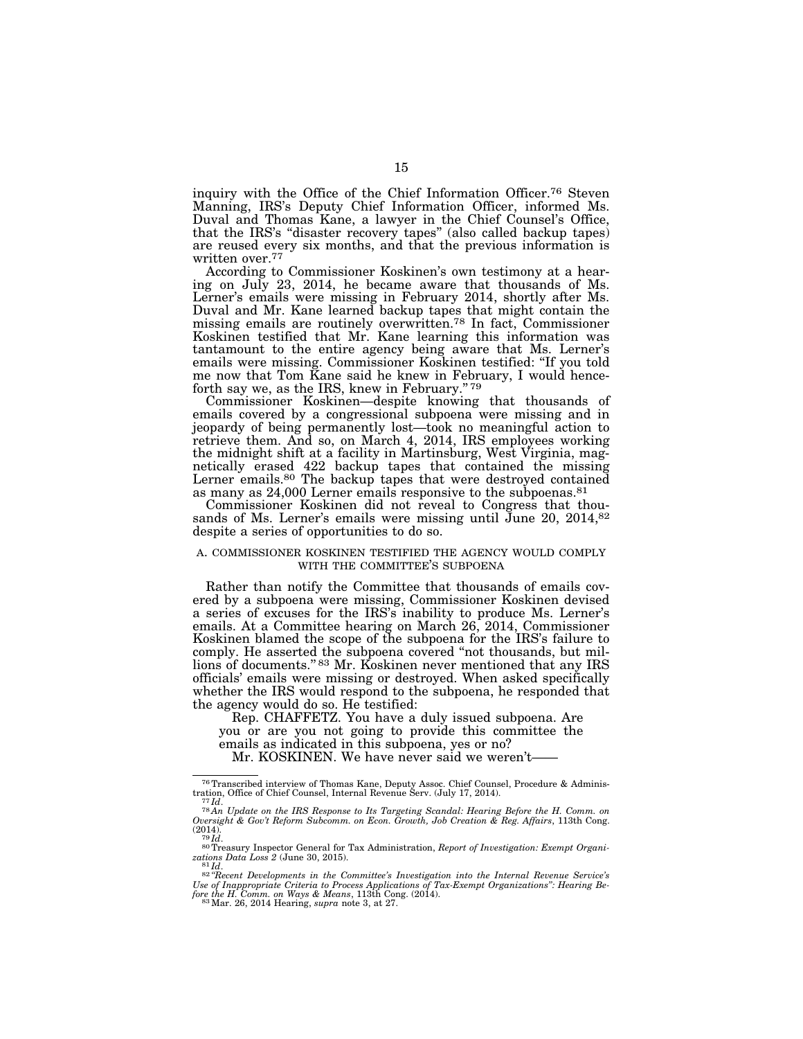inquiry with the Office of the Chief Information Officer.76 Steven Manning, IRS's Deputy Chief Information Officer, informed Ms. Duval and Thomas Kane, a lawyer in the Chief Counsel's Office, that the IRS's ''disaster recovery tapes'' (also called backup tapes) are reused every six months, and that the previous information is written over.<sup>77</sup>

According to Commissioner Koskinen's own testimony at a hearing on July 23, 2014, he became aware that thousands of Ms. Lerner's emails were missing in February 2014, shortly after Ms. Duval and Mr. Kane learned backup tapes that might contain the missing emails are routinely overwritten.78 In fact, Commissioner Koskinen testified that Mr. Kane learning this information was tantamount to the entire agency being aware that Ms. Lerner's emails were missing. Commissioner Koskinen testified: ''If you told me now that Tom Kane said he knew in February, I would henceforth say we, as the IRS, knew in February."<sup>79</sup>

Commissioner Koskinen—despite knowing that thousands of emails covered by a congressional subpoena were missing and in jeopardy of being permanently lost—took no meaningful action to retrieve them. And so, on March 4, 2014, IRS employees working the midnight shift at a facility in Martinsburg, West Virginia, magnetically erased 422 backup tapes that contained the missing Lerner emails.<sup>80</sup> The backup tapes that were destroyed contained as many as 24,000 Lerner emails responsive to the subpoenas.81

Commissioner Koskinen did not reveal to Congress that thousands of Ms. Lerner's emails were missing until June 20, 2014,<sup>82</sup> despite a series of opportunities to do so.

### A. COMMISSIONER KOSKINEN TESTIFIED THE AGENCY WOULD COMPLY WITH THE COMMITTEE'S SUBPOENA

Rather than notify the Committee that thousands of emails covered by a subpoena were missing, Commissioner Koskinen devised a series of excuses for the IRS's inability to produce Ms. Lerner's emails. At a Committee hearing on March 26, 2014, Commissioner Koskinen blamed the scope of the subpoena for the IRS's failure to comply. He asserted the subpoena covered ''not thousands, but millions of documents." 83 Mr. Koskinen never mentioned that any IRS officials' emails were missing or destroyed. When asked specifically whether the IRS would respond to the subpoena, he responded that the agency would do so. He testified:

Rep. CHAFFETZ. You have a duly issued subpoena. Are you or are you not going to provide this committee the emails as indicated in this subpoena, yes or no? Mr. KOSKINEN. We have never said we weren't-

(2014).<br><sup>79</sup>*Id*. 80Treasury Inspector General for Tax Administration, *Report of Investigation: Exempt Organi-*<br>zations Data Loss 2 (June 30, 2015).<br><sup>81</sup>*Id*.

 $76$ Transcribed interview of Thomas Kane, Deputy Assoc. Chief Counsel, Procedure & Administration, Office of Chief Counsel, Internal Revenue Serv. (July 17, 2014).

tration, Office of Chief Counsel, Internal Revenue Serv. (July 17, 2014).<br><sup>77</sup> [d. 77]<br>T<sup>a</sup> An Update on the IRS Response to Its Targeting Scandal: Hearing Before the H. Comm. on<br>Oversight & Gov't Reform Subcomm. on Econ.

<sup>&</sup>lt;sup>82</sup> <sup>"Recent Developments in the Committee's Investigation into the Internal Revenue Service's</sup> *Use of Inappropriate Criteria to Process Applications of Tax-Exempt Organizations'': Hearing Be-fore the H. Comm. on Ways & Means*, 113th Cong. (2014). 83Mar. 26, 2014 Hearing, *supra* note 3, at 27.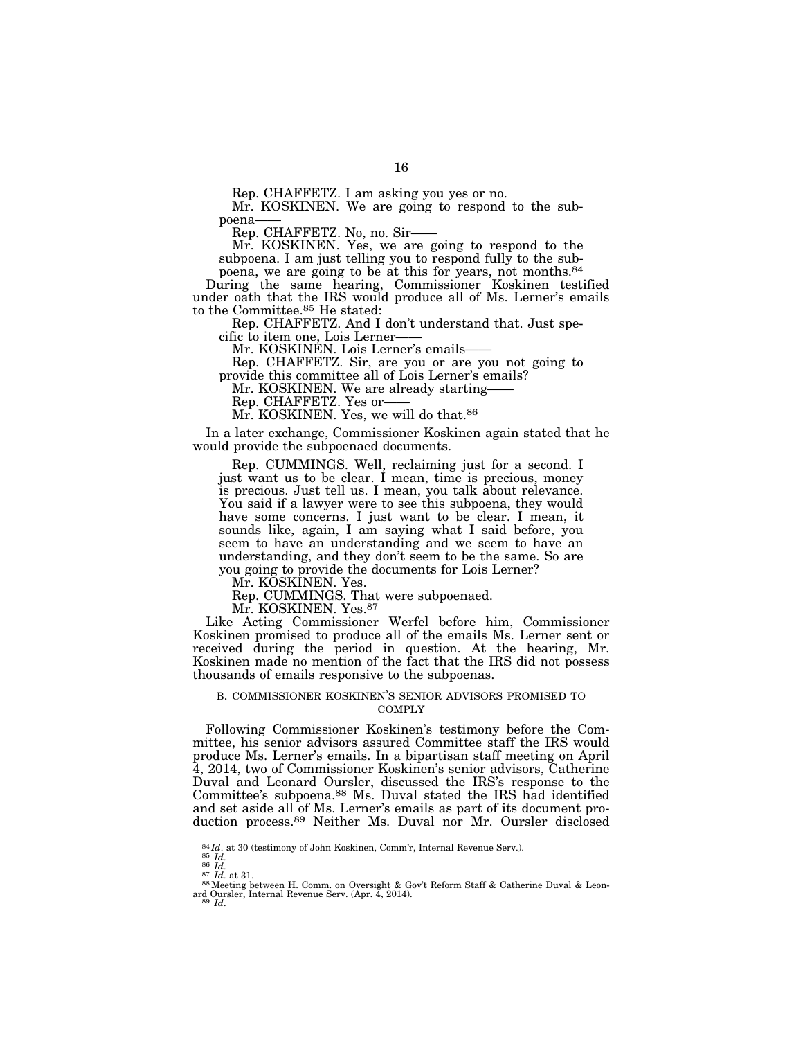Rep. CHAFFETZ. I am asking you yes or no.

Mr. KOSKINEN. We are going to respond to the subpoena-

Rep. CHAFFETZ. No, no. Sir——

Mr. KOSKINEN. Yes, we are going to respond to the subpoena. I am just telling you to respond fully to the sub-

poena, we are going to be at this for years, not months.84 During the same hearing, Commissioner Koskinen testified under oath that the IRS would produce all of Ms. Lerner's emails to the Committee.85 He stated:

Rep. CHAFFETZ. And I don't understand that. Just specific to item one, Lois Lerner-

Mr. KOSKINEN. Lois Lerner's emails——

Rep. CHAFFETZ. Sir, are you or are you not going to

provide this committee all of Lois Lerner's emails?

Mr. KOSKINEN. We are already starting-

Rep. CHAFFETZ. Yes or——

Mr. KOSKINEN. Yes, we will do that.86

In a later exchange, Commissioner Koskinen again stated that he would provide the subpoenaed documents.

Rep. CUMMINGS. Well, reclaiming just for a second. I just want us to be clear. I mean, time is precious, money is precious. Just tell us. I mean, you talk about relevance. You said if a lawyer were to see this subpoena, they would have some concerns. I just want to be clear. I mean, it sounds like, again, I am saying what I said before, you seem to have an understanding and we seem to have an understanding, and they don't seem to be the same. So are you going to provide the documents for Lois Lerner?

Mr. KOSKINEN. Yes.

Rep. CUMMINGS. That were subpoenaed.

Mr. KOSKINEN. Yes.<sup>87</sup>

Like Acting Commissioner Werfel before him, Commissioner Koskinen promised to produce all of the emails Ms. Lerner sent or received during the period in question. At the hearing, Mr. Koskinen made no mention of the fact that the IRS did not possess thousands of emails responsive to the subpoenas.

### B. COMMISSIONER KOSKINEN'S SENIOR ADVISORS PROMISED TO **COMPLY**

Following Commissioner Koskinen's testimony before the Committee, his senior advisors assured Committee staff the IRS would produce Ms. Lerner's emails. In a bipartisan staff meeting on April 4, 2014, two of Commissioner Koskinen's senior advisors, Catherine Duval and Leonard Oursler, discussed the IRS's response to the Committee's subpoena.88 Ms. Duval stated the IRS had identified and set aside all of Ms. Lerner's emails as part of its document production process.<sup>89</sup> Neither Ms. Duval nor Mr. Oursler disclosed

<sup>84</sup> *Id.* at 30 (testimony of John Koskinen, Comm'r, Internal Revenue Serv.).<br><sup>86</sup> *Id.*<br><sup>86</sup> *Id.* 81. 81. 88 Id. 81. 88 Id. 87 Id. at 31. 88Meeting between H. Comm. on Oversight & Gov't Reform Staff & Catherine Duval &

ard Oursler, Internal Revenue Serv. (Apr. 4, 2014). 89 *Id*.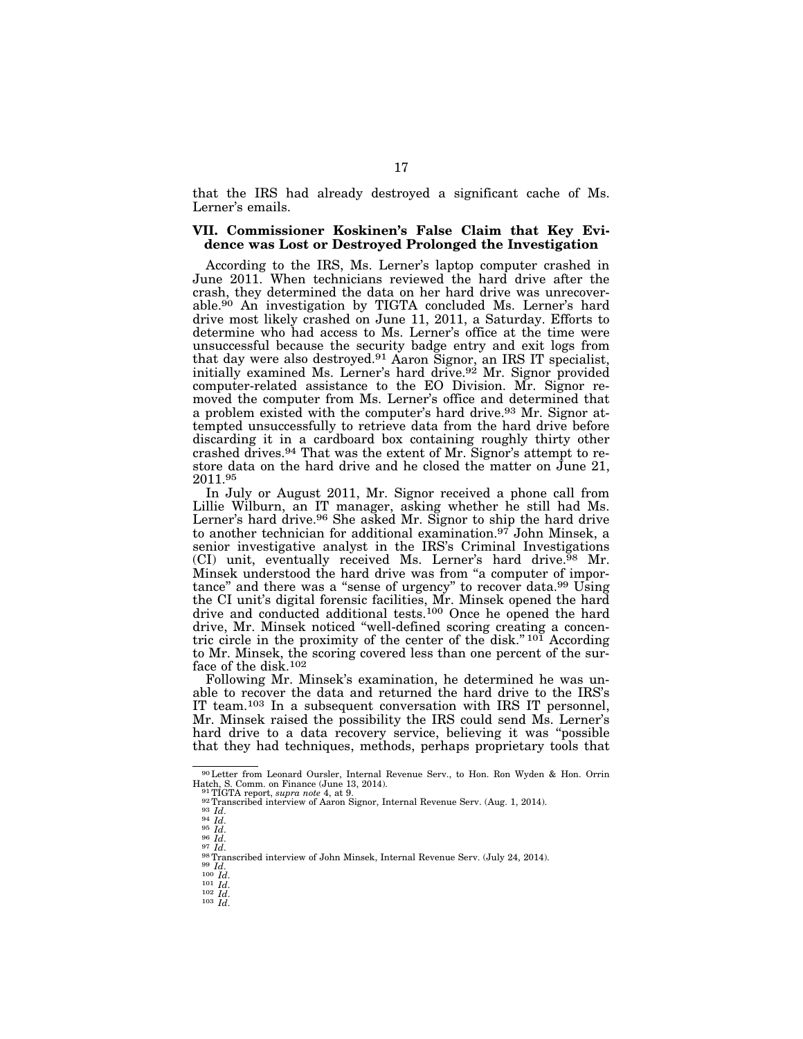that the IRS had already destroyed a significant cache of Ms. Lerner's emails.

### **VII. Commissioner Koskinen's False Claim that Key Evidence was Lost or Destroyed Prolonged the Investigation**

According to the IRS, Ms. Lerner's laptop computer crashed in June 2011. When technicians reviewed the hard drive after the crash, they determined the data on her hard drive was unrecoverable.90 An investigation by TIGTA concluded Ms. Lerner's hard drive most likely crashed on June 11, 2011, a Saturday. Efforts to determine who had access to Ms. Lerner's office at the time were unsuccessful because the security badge entry and exit logs from that day were also destroyed.91 Aaron Signor, an IRS IT specialist, initially examined Ms. Lerner's hard drive.<sup>92</sup> Mr. Signor provided computer-related assistance to the EO Division. Mr. Signor removed the computer from Ms. Lerner's office and determined that a problem existed with the computer's hard drive.93 Mr. Signor attempted unsuccessfully to retrieve data from the hard drive before discarding it in a cardboard box containing roughly thirty other crashed drives.94 That was the extent of Mr. Signor's attempt to restore data on the hard drive and he closed the matter on June 21, 2011.95

In July or August 2011, Mr. Signor received a phone call from Lillie Wilburn, an IT manager, asking whether he still had Ms. Lerner's hard drive.<sup>96</sup> She asked Mr. Signor to ship the hard drive to another technician for additional examination.<sup>97</sup> John Minsek, a senior investigative analyst in the IRS's Criminal Investigations (CI) unit, eventually received Ms. Lerner's hard drive.<sup>98</sup> Mr. Minsek understood the hard drive was from ''a computer of importance" and there was a "sense of urgency" to recover data.<sup>99</sup> Using the CI unit's digital forensic facilities, Mr. Minsek opened the hard drive and conducted additional tests.<sup>100</sup> Once he opened the hard drive, Mr. Minsek noticed ''well-defined scoring creating a concentric circle in the proximity of the center of the disk."<sup>101</sup> According to Mr. Minsek, the scoring covered less than one percent of the surface of the disk.102

Following Mr. Minsek's examination, he determined he was unable to recover the data and returned the hard drive to the IRS's IT team.103 In a subsequent conversation with IRS IT personnel, Mr. Minsek raised the possibility the IRS could send Ms. Lerner's hard drive to a data recovery service, believing it was ''possible that they had techniques, methods, perhaps proprietary tools that

<sup>&</sup>lt;sup>90</sup>Letter from Leonard Oursler, Internal Revenue Serv., to Hon. Ron Wyden & Hon. Orrin Hatch, S. Comm. on Finance (June 13, 2014).

<sup>&</sup>lt;sup>2</sup> PIGITAL Lepott, supra note 4, at 5.<br>
<sup>92</sup> Transcribed interview of Aaron Signor, Internal Revenue Serv. (Aug. 1, 2014).<br>
<sup>93</sup> Id.<br>
<sup>95</sup> Id.<br>
<sup>95</sup> Id.<br>
<sup>95</sup> Transcribed interview of John Minsek, Internal Revenue Serv.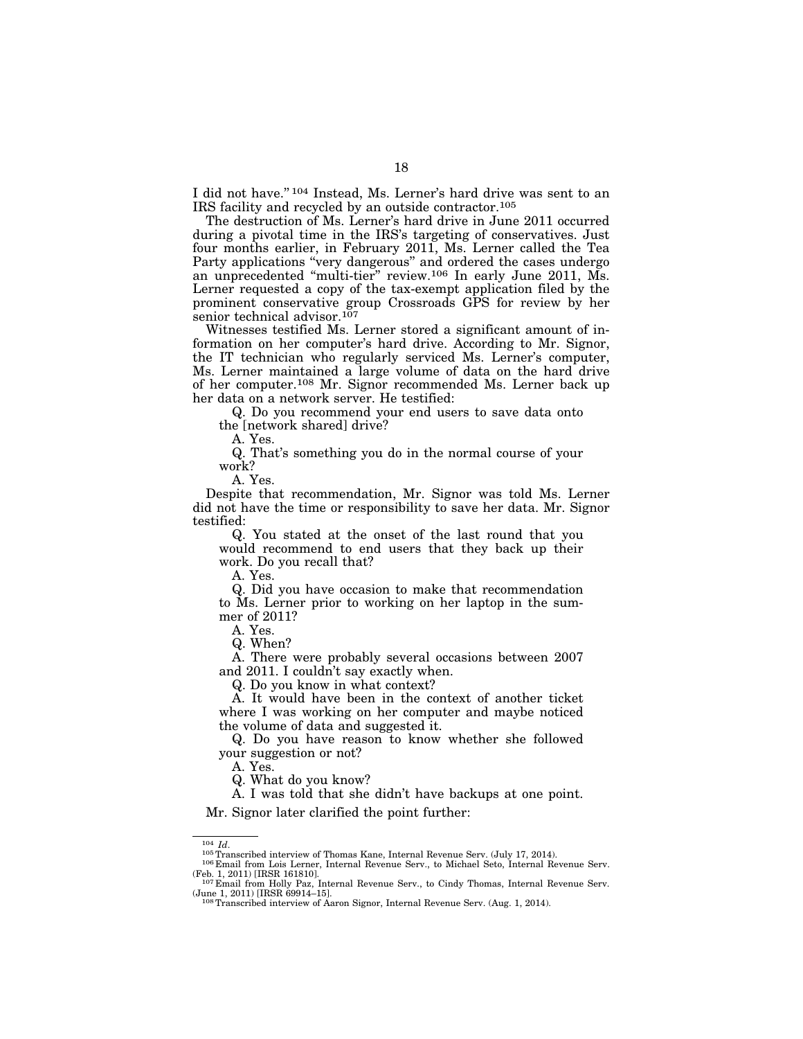I did not have."<sup>104</sup> Instead, Ms. Lerner's hard drive was sent to an IRS facility and recycled by an outside contractor.105

The destruction of Ms. Lerner's hard drive in June 2011 occurred during a pivotal time in the IRS's targeting of conservatives. Just four months earlier, in February 2011, Ms. Lerner called the Tea Party applications "very dangerous" and ordered the cases undergo an unprecedented ''multi-tier'' review.106 In early June 2011, Ms. Lerner requested a copy of the tax-exempt application filed by the prominent conservative group Crossroads GPS for review by her senior technical advisor.<sup>107</sup>

Witnesses testified Ms. Lerner stored a significant amount of information on her computer's hard drive. According to Mr. Signor, the IT technician who regularly serviced Ms. Lerner's computer, Ms. Lerner maintained a large volume of data on the hard drive of her computer.108 Mr. Signor recommended Ms. Lerner back up her data on a network server. He testified:

Q. Do you recommend your end users to save data onto the [network shared] drive?

A. Yes.

Q. That's something you do in the normal course of your work?

A. Yes.

Despite that recommendation, Mr. Signor was told Ms. Lerner did not have the time or responsibility to save her data. Mr. Signor testified:

Q. You stated at the onset of the last round that you would recommend to end users that they back up their work. Do you recall that?

A. Yes.

Q. Did you have occasion to make that recommendation to Ms. Lerner prior to working on her laptop in the summer of 2011?

A. Yes.

Q. When?

A. There were probably several occasions between 2007 and 2011. I couldn't say exactly when.

Q. Do you know in what context?

A. It would have been in the context of another ticket where I was working on her computer and maybe noticed the volume of data and suggested it.

Q. Do you have reason to know whether she followed your suggestion or not?

A. Yes.

Q. What do you know?

A. I was told that she didn't have backups at one point.

Mr. Signor later clarified the point further:

<sup>104</sup> *Id*. 105Transcribed interview of Thomas Kane, Internal Revenue Serv. (July 17, 2014). 106 Email from Lois Lerner, Internal Revenue Serv., to Michael Seto, Internal Revenue Serv.

<sup>(</sup>Feb. 1, 2011) [IRSR 161810].<br><sup>107</sup> Email from Holly Paz, Internal Revenue Serv., to Cindy Thomas, Internal Revenue Serv.<br>(June 1, 2011) [IRSR 69914–15].

<sup>108</sup> Transcribed interview of Aaron Signor, Internal Revenue Serv. (Aug. 1, 2014).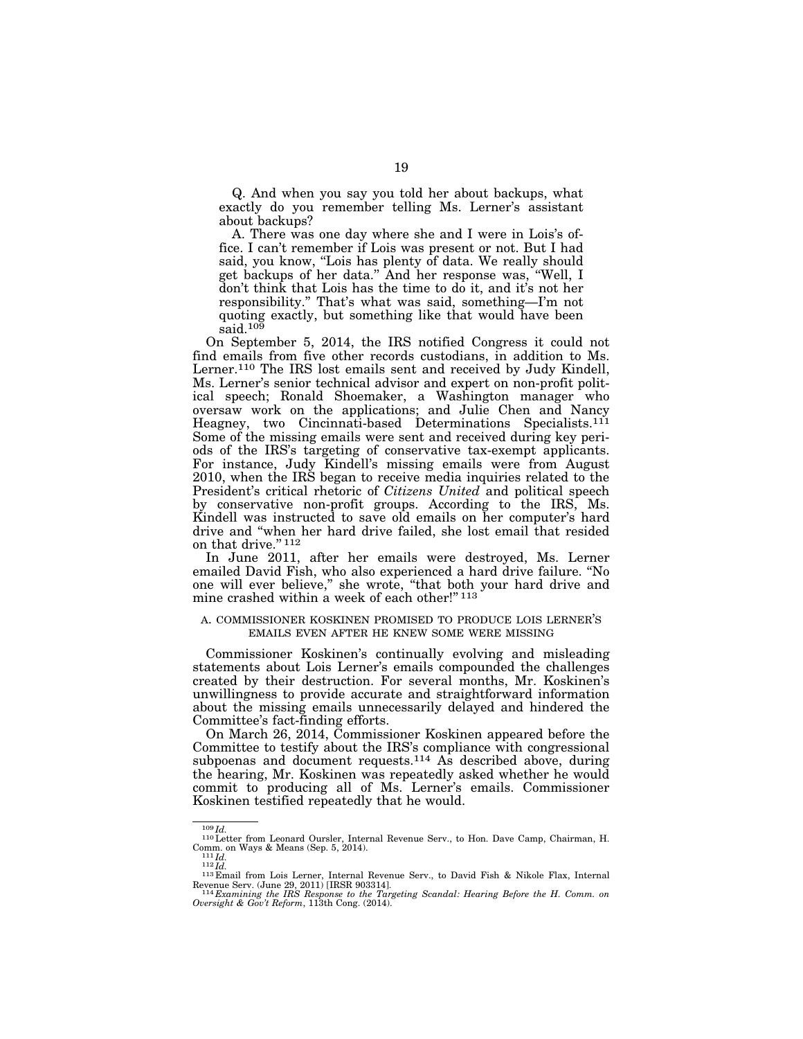Q. And when you say you told her about backups, what exactly do you remember telling Ms. Lerner's assistant about backups?

A. There was one day where she and I were in Lois's office. I can't remember if Lois was present or not. But I had said, you know, "Lois has plenty of data. We really should get backups of her data.'' And her response was, ''Well, I don't think that Lois has the time to do it, and it's not her responsibility.'' That's what was said, something—I'm not quoting exactly, but something like that would have been said.109

On September 5, 2014, the IRS notified Congress it could not find emails from five other records custodians, in addition to Ms. Lerner.110 The IRS lost emails sent and received by Judy Kindell, Ms. Lerner's senior technical advisor and expert on non-profit political speech; Ronald Shoemaker, a Washington manager who oversaw work on the applications; and Julie Chen and Nancy Heagney, two Cincinnati-based Determinations Specialists.111 Some of the missing emails were sent and received during key periods of the IRS's targeting of conservative tax-exempt applicants. For instance, Judy Kindell's missing emails were from August 2010, when the IRS began to receive media inquiries related to the President's critical rhetoric of *Citizens United* and political speech by conservative non-profit groups. According to the IRS, Ms. Kindell was instructed to save old emails on her computer's hard drive and ''when her hard drive failed, she lost email that resided on that drive."<sup>112</sup>

In June 2011, after her emails were destroyed, Ms. Lerner emailed David Fish, who also experienced a hard drive failure. ''No one will ever believe,'' she wrote, ''that both your hard drive and mine crashed within a week of each other!"<sup>113</sup>

### A. COMMISSIONER KOSKINEN PROMISED TO PRODUCE LOIS LERNER'S EMAILS EVEN AFTER HE KNEW SOME WERE MISSING

Commissioner Koskinen's continually evolving and misleading statements about Lois Lerner's emails compounded the challenges created by their destruction. For several months, Mr. Koskinen's unwillingness to provide accurate and straightforward information about the missing emails unnecessarily delayed and hindered the Committee's fact-finding efforts.

On March 26, 2014, Commissioner Koskinen appeared before the Committee to testify about the IRS's compliance with congressional subpoenas and document requests.<sup>114</sup> As described above, during the hearing, Mr. Koskinen was repeatedly asked whether he would commit to producing all of Ms. Lerner's emails. Commissioner Koskinen testified repeatedly that he would.

<sup>&</sup>lt;sup>109 *Id.* <sup>110</sup> Letter from Leonard Oursler, Internal Revenue Serv., to Hon. Dave Camp, Chairman, H. Comm. on Ways & Means (Sep. 5, 2014).</sup> Comm. on Ways & Means (Sep. 5, 2014).<br><sup>111</sup>*Id.*<br><sup>112</sup> *Id. I*<sup>11</sup> *Id. Internal Revenue Serv., to David Fish & Nikole Flax, Internal* 

Revenue Serv. (June 29, 2011) [IRSR 903314]. 114 *Examining the IRS Response to the Targeting Scandal: Hearing Before the H. Comm. on Oversight & Gov't Reform*, 113th Cong. (2014).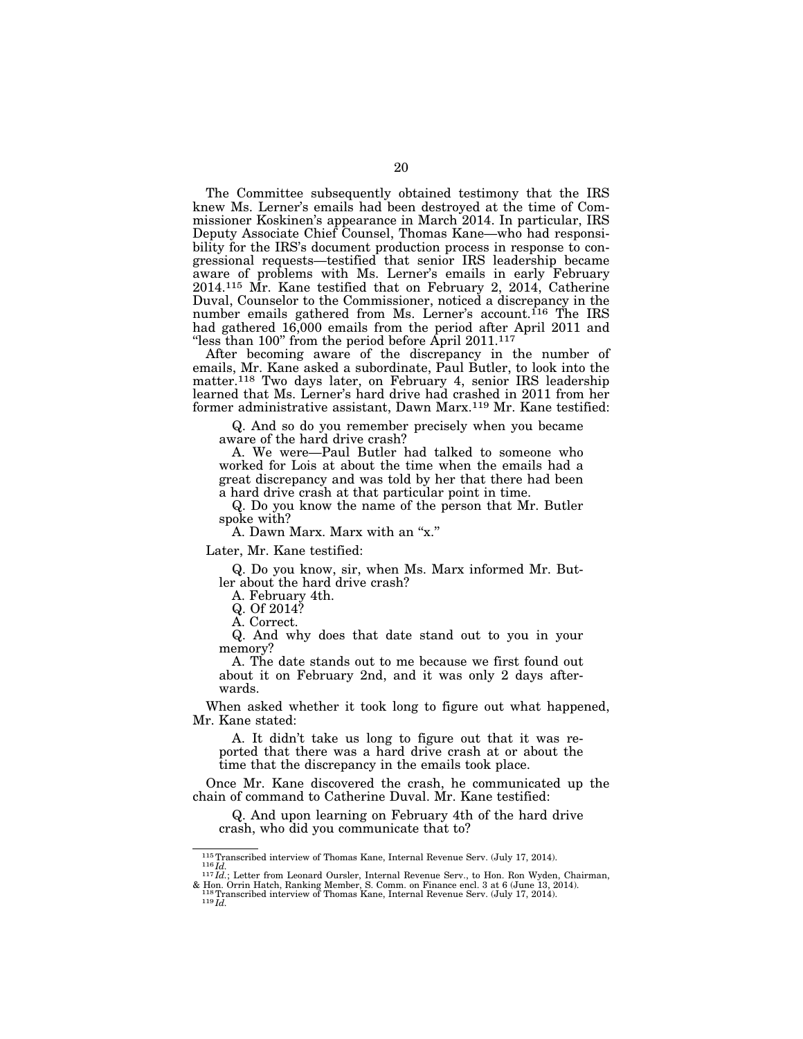The Committee subsequently obtained testimony that the IRS knew Ms. Lerner's emails had been destroyed at the time of Commissioner Koskinen's appearance in March 2014. In particular, IRS Deputy Associate Chief Counsel, Thomas Kane—who had responsibility for the IRS's document production process in response to congressional requests—testified that senior IRS leadership became aware of problems with Ms. Lerner's emails in early February 2014.115 Mr. Kane testified that on February 2, 2014, Catherine Duval, Counselor to the Commissioner, noticed a discrepancy in the number emails gathered from Ms. Lerner's account.<sup>116</sup> The IRS had gathered 16,000 emails from the period after April 2011 and "less than  $100$ " from the period before April  $2011$ .<sup>117</sup>

After becoming aware of the discrepancy in the number of emails, Mr. Kane asked a subordinate, Paul Butler, to look into the matter.118 Two days later, on February 4, senior IRS leadership learned that Ms. Lerner's hard drive had crashed in 2011 from her former administrative assistant, Dawn Marx.<sup>119</sup> Mr. Kane testified:

Q. And so do you remember precisely when you became aware of the hard drive crash?

A. We were—Paul Butler had talked to someone who worked for Lois at about the time when the emails had a great discrepancy and was told by her that there had been a hard drive crash at that particular point in time.

Q. Do you know the name of the person that Mr. Butler spoke with?

A. Dawn Marx. Marx with an "x."

Later, Mr. Kane testified:

Q. Do you know, sir, when Ms. Marx informed Mr. Butler about the hard drive crash?

A. February 4th.

Q. Of 2014?

A. Correct.

Q. And why does that date stand out to you in your memory?

A. The date stands out to me because we first found out about it on February 2nd, and it was only 2 days afterwards.

When asked whether it took long to figure out what happened, Mr. Kane stated:

A. It didn't take us long to figure out that it was reported that there was a hard drive crash at or about the time that the discrepancy in the emails took place.

Once Mr. Kane discovered the crash, he communicated up the chain of command to Catherine Duval. Mr. Kane testified:

Q. And upon learning on February 4th of the hard drive crash, who did you communicate that to?

<sup>&</sup>lt;sup>115</sup>Transcribed interview of Thomas Kane, Internal Revenue Serv. (July 17, 2014).<br><sup>116</sup>*Id.*; Letter from Leonard Oursler, Internal Revenue Serv., to Hon. Ron Wyden, Chairman, <sup>117</sup>*Id.*; Letter from Leonard Oursler, Inte

<sup>&</sup>amp; Hon. Orrin Hatch, Ranking Member, S. Comm. on Finance encl. 3 at 6 (June 13, 2014). 118Transcribed interview of Thomas Kane, Internal Revenue Serv. (July 17, 2014). 119 *Id.*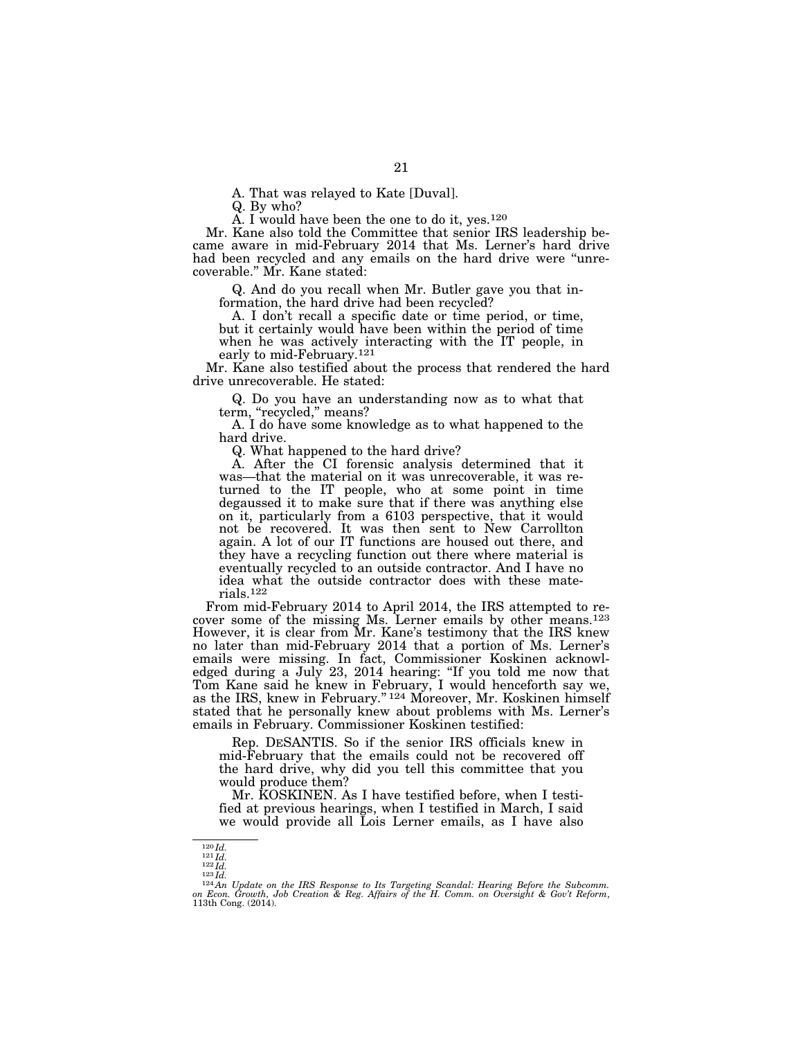Q. By who?

A. I would have been the one to do it, yes.120

Mr. Kane also told the Committee that senior IRS leadership became aware in mid-February 2014 that Ms. Lerner's hard drive had been recycled and any emails on the hard drive were "unrecoverable.'' Mr. Kane stated:

Q. And do you recall when Mr. Butler gave you that information, the hard drive had been recycled?

A. I don't recall a specific date or time period, or time, but it certainly would have been within the period of time when he was actively interacting with the IT people, in early to mid-February.121

Mr. Kane also testified about the process that rendered the hard drive unrecoverable. He stated:

Q. Do you have an understanding now as to what that term, "recycled," means?

A. I do have some knowledge as to what happened to the hard drive.

Q. What happened to the hard drive?

A. After the CI forensic analysis determined that it was—that the material on it was unrecoverable, it was returned to the IT people, who at some point in time degaussed it to make sure that if there was anything else on it, particularly from a 6103 perspective, that it would not be recovered. It was then sent to New Carrollton again. A lot of our IT functions are housed out there, and they have a recycling function out there where material is eventually recycled to an outside contractor. And I have no idea what the outside contractor does with these materials.122

From mid-February 2014 to April 2014, the IRS attempted to recover some of the missing Ms. Lerner emails by other means.123 However, it is clear from Mr. Kane's testimony that the IRS knew no later than mid-February 2014 that a portion of Ms. Lerner's emails were missing. In fact, Commissioner Koskinen acknowledged during a July 23, 2014 hearing: ''If you told me now that Tom Kane said he knew in February, I would henceforth say we, as the IRS, knew in February."<sup>124</sup> Moreover, Mr. Koskinen himself stated that he personally knew about problems with Ms. Lerner's emails in February. Commissioner Koskinen testified:

Rep. DESANTIS. So if the senior IRS officials knew in mid-February that the emails could not be recovered off the hard drive, why did you tell this committee that you would produce them?

Mr. KOSKINEN. As I have testified before, when I testified at previous hearings, when I testified in March, I said we would provide all Lois Lerner emails, as I have also

<sup>&</sup>lt;sup>120</sup>Id.<br><sup>121</sup>Id.<br><sup>122</sup>Id.<br><sup>123</sup>Id.<br><sup>124</sup>An Update on the IRS Response to Its Targeting Scandal: Hearing Before the Subcomm.<br><sup>124</sup>An Update on the IRS Response to Its Targeting Scandal: Hearing Before the Subcomm.<br>113th C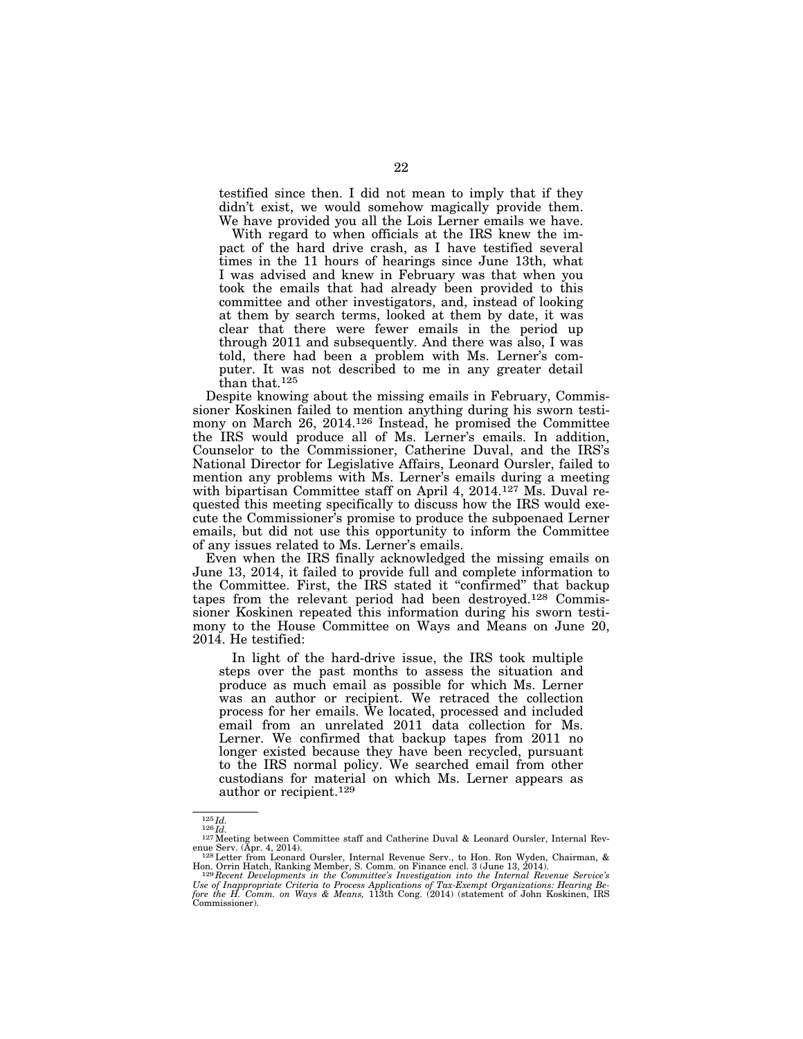testified since then. I did not mean to imply that if they didn't exist, we would somehow magically provide them. We have provided you all the Lois Lerner emails we have.

With regard to when officials at the IRS knew the impact of the hard drive crash, as I have testified several times in the 11 hours of hearings since June 13th, what I was advised and knew in February was that when you took the emails that had already been provided to this committee and other investigators, and, instead of looking at them by search terms, looked at them by date, it was clear that there were fewer emails in the period up through 2011 and subsequently. And there was also, I was told, there had been a problem with Ms. Lerner's computer. It was not described to me in any greater detail than that.125

Despite knowing about the missing emails in February, Commissioner Koskinen failed to mention anything during his sworn testimony on March 26, 2014.<sup>126</sup> Instead, he promised the Committee the IRS would produce all of Ms. Lerner's emails. In addition, Counselor to the Commissioner, Catherine Duval, and the IRS's National Director for Legislative Affairs, Leonard Oursler, failed to mention any problems with Ms. Lerner's emails during a meeting with bipartisan Committee staff on April 4, 2014.<sup>127</sup> Ms. Duval requested this meeting specifically to discuss how the IRS would execute the Commissioner's promise to produce the subpoenaed Lerner emails, but did not use this opportunity to inform the Committee of any issues related to Ms. Lerner's emails.

Even when the IRS finally acknowledged the missing emails on June 13, 2014, it failed to provide full and complete information to the Committee. First, the IRS stated it ''confirmed'' that backup tapes from the relevant period had been destroyed.128 Commissioner Koskinen repeated this information during his sworn testimony to the House Committee on Ways and Means on June 20, 2014. He testified:

In light of the hard-drive issue, the IRS took multiple steps over the past months to assess the situation and produce as much email as possible for which Ms. Lerner was an author or recipient. We retraced the collection process for her emails. We located, processed and included email from an unrelated 2011 data collection for Ms. Lerner. We confirmed that backup tapes from 2011 no longer existed because they have been recycled, pursuant to the IRS normal policy. We searched email from other custodians for material on which Ms. Lerner appears as author or recipient.129

<sup>&</sup>lt;sup>125</sup>*Id.*<br><sup>126</sup>*Id.*<br><sup>127</sup>Meeting between Committee staff and Catherine Duval & Leonard Oursler, Internal Revenue Serv. (Apr. 4, 2014). 128Letter from Leonard Oursler, Internal Revenue Serv., to Hon. Ron Wyden, Chairman, &

Hon. Orrin Hatch, Ranking Member, S. Comm. on Finance encl. 3 (June 13, 2014). 129 *Recent Developments in the Committee's Investigation into the Internal Revenue Service's* 

*Use of Inappropriate Criteria to Process Applications of Tax-Exempt Organizations: Hearing Be-fore the H. Comm. on Ways & Means,* 113th Cong. (2014) (statement of John Koskinen, IRS Commissioner).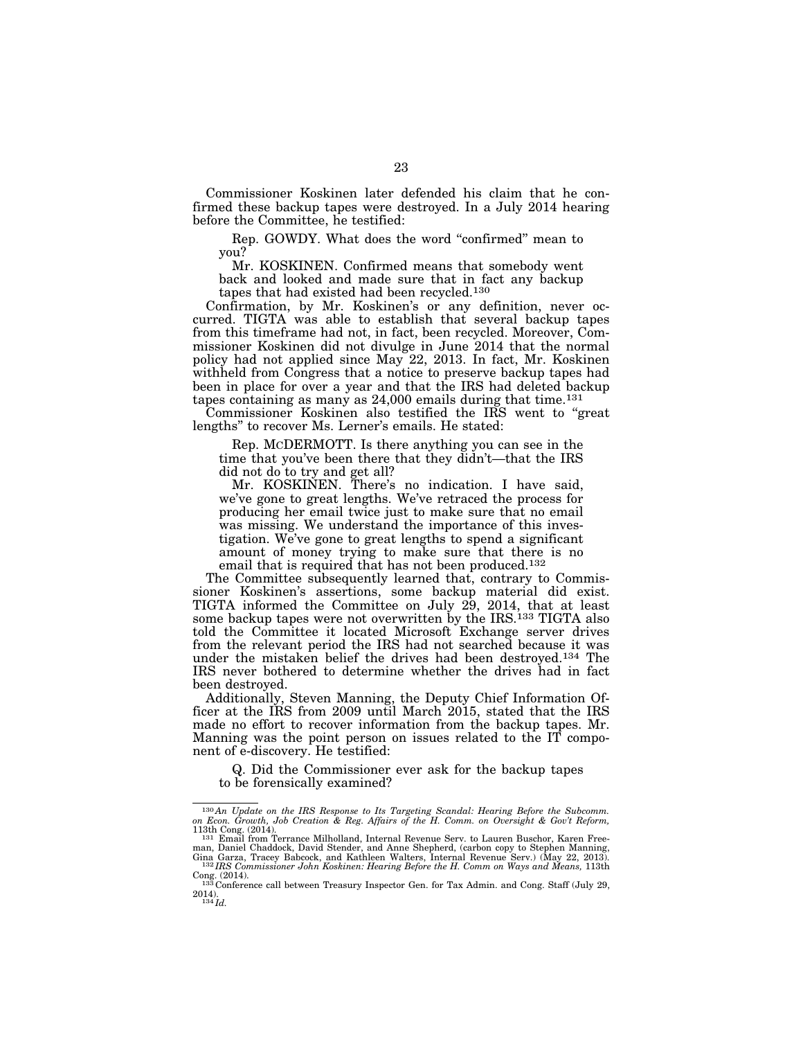Commissioner Koskinen later defended his claim that he confirmed these backup tapes were destroyed. In a July 2014 hearing before the Committee, he testified:

Rep. GOWDY. What does the word ''confirmed'' mean to you?

Mr. KOSKINEN. Confirmed means that somebody went back and looked and made sure that in fact any backup tapes that had existed had been recycled.130

Confirmation, by Mr. Koskinen's or any definition, never occurred. TIGTA was able to establish that several backup tapes from this timeframe had not, in fact, been recycled. Moreover, Commissioner Koskinen did not divulge in June 2014 that the normal policy had not applied since May 22, 2013. In fact, Mr. Koskinen withheld from Congress that a notice to preserve backup tapes had been in place for over a year and that the IRS had deleted backup tapes containing as many as  $24,000$  emails during that time.<sup>131</sup>

Commissioner Koskinen also testified the IRS went to ''great lengths'' to recover Ms. Lerner's emails. He stated:

Rep. MCDERMOTT. Is there anything you can see in the time that you've been there that they didn't—that the IRS did not do to try and get all?

Mr. KOSKINEN. There's no indication. I have said, we've gone to great lengths. We've retraced the process for producing her email twice just to make sure that no email was missing. We understand the importance of this investigation. We've gone to great lengths to spend a significant amount of money trying to make sure that there is no email that is required that has not been produced.132

The Committee subsequently learned that, contrary to Commissioner Koskinen's assertions, some backup material did exist. TIGTA informed the Committee on July 29, 2014, that at least some backup tapes were not overwritten by the IRS.<sup>133</sup> TIGTA also told the Committee it located Microsoft Exchange server drives from the relevant period the IRS had not searched because it was under the mistaken belief the drives had been destroyed.134 The IRS never bothered to determine whether the drives had in fact been destroyed.

Additionally, Steven Manning, the Deputy Chief Information Officer at the IRS from 2009 until March 2015, stated that the IRS made no effort to recover information from the backup tapes. Mr. Manning was the point person on issues related to the IT component of e-discovery. He testified:

Q. Did the Commissioner ever ask for the backup tapes to be forensically examined?

<sup>130</sup> *An Update on the IRS Response to Its Targeting Scandal: Hearing Before the Subcomm. on Econ. Growth, Job Creation & Reg. Affairs of the H. Comm. on Oversight & Gov't Reform,*  113th Cong. (2014). 131 Email from Terrance Milholland, Internal Revenue Serv. to Lauren Buschor, Karen Free-

man, Daniel Chaddock, David Stender, and Anne Shepherd, (carbon copy to Stephen Manning, Gina Garza, Tracey Babcock, and Kathleen Walters, Internal Revenue Serv.) (May 22, 2013). 132 *IRS Commissioner John Koskinen: Hearing Before the H. Comm on Ways and Means,* 113th

Cong. (2014).<br>
<sup>133</sup> Conference call between Treasury Inspector Gen. for Tax Admin. and Cong. Staff (July 29,  $2014$ ).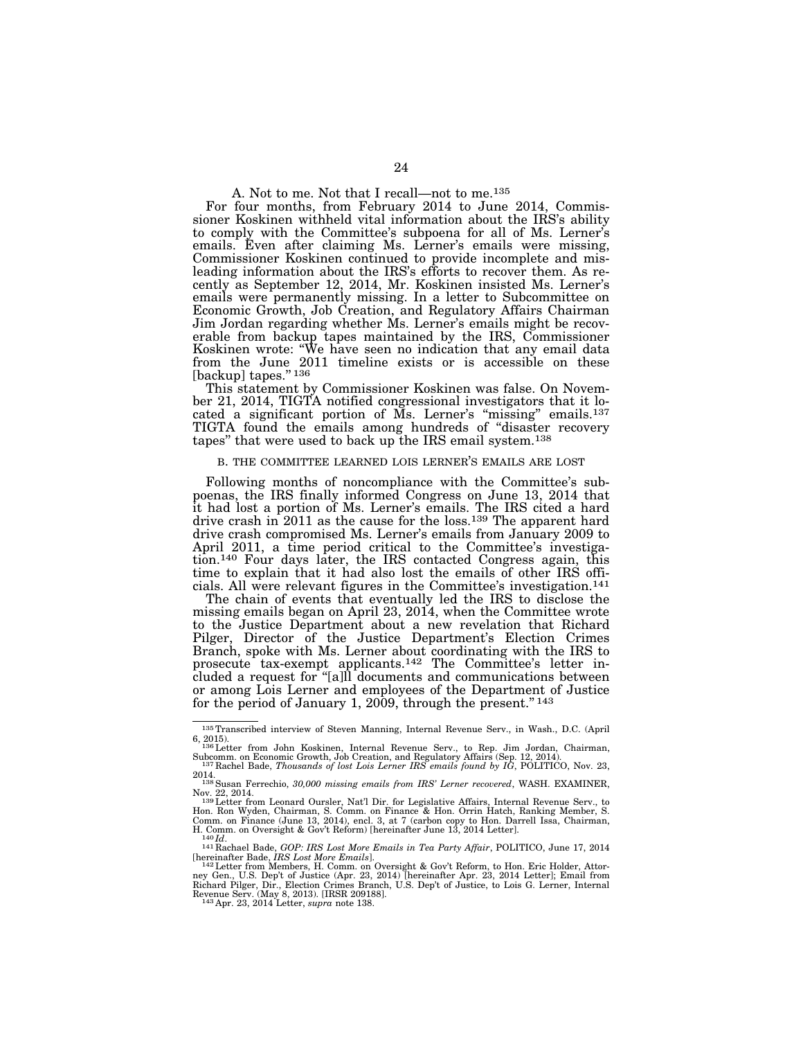### A. Not to me. Not that I recall—not to me.135

For four months, from February 2014 to June 2014, Commissioner Koskinen withheld vital information about the IRS's ability to comply with the Committee's subpoena for all of Ms. Lerner's emails. Even after claiming Ms. Lerner's emails were missing, Commissioner Koskinen continued to provide incomplete and misleading information about the IRS's efforts to recover them. As recently as September 12, 2014, Mr. Koskinen insisted Ms. Lerner's emails were permanently missing. In a letter to Subcommittee on Economic Growth, Job Creation, and Regulatory Affairs Chairman Jim Jordan regarding whether Ms. Lerner's emails might be recoverable from backup tapes maintained by the IRS, Commissioner Koskinen wrote: ''We have seen no indication that any email data from the June 2011 timeline exists or is accessible on these [backup] tapes."<sup>136</sup>

This statement by Commissioner Koskinen was false. On November 21, 2014, TIGTA notified congressional investigators that it located a significant portion of Ms. Lerner's "missing" emails.<sup>137</sup> TIGTA found the emails among hundreds of ''disaster recovery tapes" that were used to back up the IRS email system.<sup>138</sup>

### B. THE COMMITTEE LEARNED LOIS LERNER'S EMAILS ARE LOST

Following months of noncompliance with the Committee's subpoenas, the IRS finally informed Congress on June 13, 2014 that it had lost a portion of Ms. Lerner's emails. The IRS cited a hard drive crash in 2011 as the cause for the loss.139 The apparent hard drive crash compromised Ms. Lerner's emails from January 2009 to April 2011, a time period critical to the Committee's investigation.140 Four days later, the IRS contacted Congress again, this time to explain that it had also lost the emails of other IRS officials. All were relevant figures in the Committee's investigation.141

The chain of events that eventually led the IRS to disclose the missing emails began on April 23, 2014, when the Committee wrote to the Justice Department about a new revelation that Richard Pilger, Director of the Justice Department's Election Crimes Branch, spoke with Ms. Lerner about coordinating with the IRS to prosecute tax-exempt applicants.142 The Committee's letter included a request for ''[a]ll documents and communications between or among Lois Lerner and employees of the Department of Justice for the period of January 1, 2009, through the present."<sup>143</sup>

<sup>135</sup>Transcribed interview of Steven Manning, Internal Revenue Serv., in Wash., D.C. (April 6, 2015). 136Letter from John Koskinen, Internal Revenue Serv., to Rep. Jim Jordan, Chairman,

Subcomm. on Economic Growth, Job Creation, and Regulatory Affairs (Sep. 12, 2014). 137 Rachel Bade, *Thousands of lost Lois Lerner IRS emails found by IG*, POLITICO, Nov. 23,

<sup>2014. 138</sup>Susan Ferrechio, *30,000 missing emails from IRS' Lerner recovered*, WASH. EXAMINER,

Nov. 22, 2014.<br><sup>139</sup> Letter from Leonard Oursler, Nat'l Dir. for Legislative Affairs, Internal Revenue Serv., to<br>Hon. Ron Wyden, Chairman, S. Comm. on Finance & Hon. Orrin Hatch, Ranking Member, S.<br>Comm. on Finance (June 1 H. Comm. on Oversight & Gov't Reform) [hereinafter June 13, 2014 Letter].<br><sup>140</sup>*Id.* <sup>141</sup> Rachael Bade, *GOP: IRS Lost More Emails in Tea Party Affair*, POLITICO, June 17, 2014

<sup>[</sup>hereinafter Bade, *IRS Lost More Emails*].<br><sup>142</sup> Letter from Members, H. Comm. on Oversight & Gov't Reform, to Hon. Eric Holder, Attor-<br>1947 Gen., U.S. Dep't of Justice (Apr. 23, 2014) [hereinafter Apr. 23, 2014 Letter]; Richard Pilger, Dir., Election Crimes Branch, U.S. Dep't of Justice, to Lois G. Lerner, Internal<br>Revenue Serv. (May 8, 2013). [IRSR 209188].<br><sup>143</sup>Apr. 23, 2014 Letter, *supra* note 138.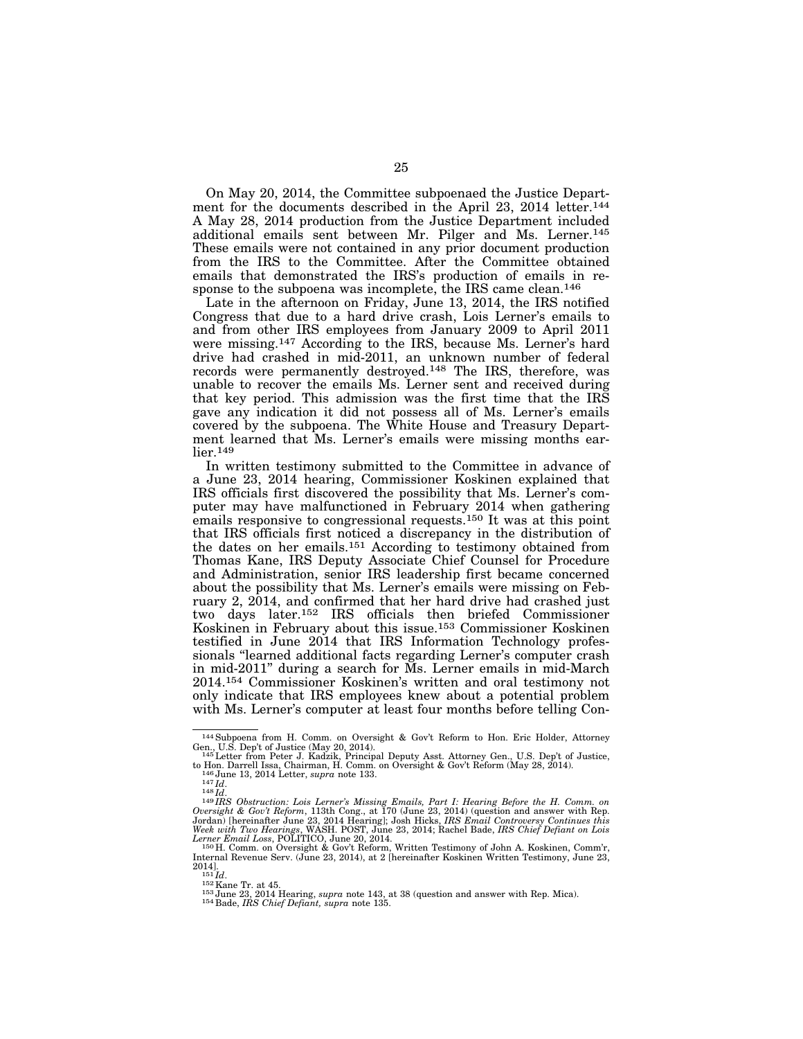On May 20, 2014, the Committee subpoenaed the Justice Department for the documents described in the April 23, 2014 letter.<sup>144</sup> A May 28, 2014 production from the Justice Department included additional emails sent between Mr. Pilger and Ms. Lerner.145 These emails were not contained in any prior document production from the IRS to the Committee. After the Committee obtained emails that demonstrated the IRS's production of emails in response to the subpoena was incomplete, the IRS came clean.<sup>146</sup>

Late in the afternoon on Friday, June 13, 2014, the IRS notified Congress that due to a hard drive crash, Lois Lerner's emails to and from other IRS employees from January 2009 to April 2011 were missing.147 According to the IRS, because Ms. Lerner's hard drive had crashed in mid-2011, an unknown number of federal records were permanently destroyed.148 The IRS, therefore, was unable to recover the emails Ms. Lerner sent and received during that key period. This admission was the first time that the IRS gave any indication it did not possess all of Ms. Lerner's emails covered by the subpoena. The White House and Treasury Department learned that Ms. Lerner's emails were missing months earlier.149

In written testimony submitted to the Committee in advance of a June 23, 2014 hearing, Commissioner Koskinen explained that IRS officials first discovered the possibility that Ms. Lerner's computer may have malfunctioned in February 2014 when gathering emails responsive to congressional requests.<sup>150</sup> It was at this point that IRS officials first noticed a discrepancy in the distribution of the dates on her emails.151 According to testimony obtained from Thomas Kane, IRS Deputy Associate Chief Counsel for Procedure and Administration, senior IRS leadership first became concerned about the possibility that Ms. Lerner's emails were missing on February 2,  $2014$ , and confirmed that her hard drive had crashed just two days later.152 IRS officials then briefed Commissioner Koskinen in February about this issue.153 Commissioner Koskinen testified in June 2014 that IRS Information Technology professionals ''learned additional facts regarding Lerner's computer crash in mid-2011'' during a search for Ms. Lerner emails in mid-March 2014.154 Commissioner Koskinen's written and oral testimony not only indicate that IRS employees knew about a potential problem with Ms. Lerner's computer at least four months before telling Con-

<sup>144</sup>Subpoena from H. Comm. on Oversight & Gov't Reform to Hon. Eric Holder, Attorney

Gen., U.S. Dep't of Justice (May 20, 2014).<br><sup>145</sup>Letter from Peter J. Kadzik, Principal Deputy Asst. Attorney Gen., U.S. Dep't of Justice,<br>to Hon. Darrell Issa, Chairman, H. Comm. on Oversight & Gov't Reform (May 28, 2014)

to Hon. Darrell Issa, Chairman, H. Comm. on Oversight & Gov't Reform (May 28, 2014).<br>  $^{146}$  June 13, 2014 Letter, supra note 133.<br>  $^{147}$ Id.<br>  $^{149}$ IRS Obstruction: Lois Lerner's Missing Emails, Part I: Hearing Before Week with Two Hearings, WASH. POST, June 23, 2014; Rachel Bade, *IRS Chief Defiant on Lois*<br>Lerner Email Loss, POLITICO, June 20, 2014.<br>- <sup>150</sup>H. Comm. on Oversight & Gov't Reform, Written Testimony of John A. Koskinen, Co

Internal Revenue Serv. (June 23, 2014), at 2 [hereinafter Koskinen Written Testimony, June 23,

<sup>2014]. 151</sup> *Id*. 152Kane Tr. at 45. 153 June 23, 2014 Hearing, *supra* note 143, at 38 (question and answer with Rep. Mica). 154 Bade, *IRS Chief Defiant, supra* note 135.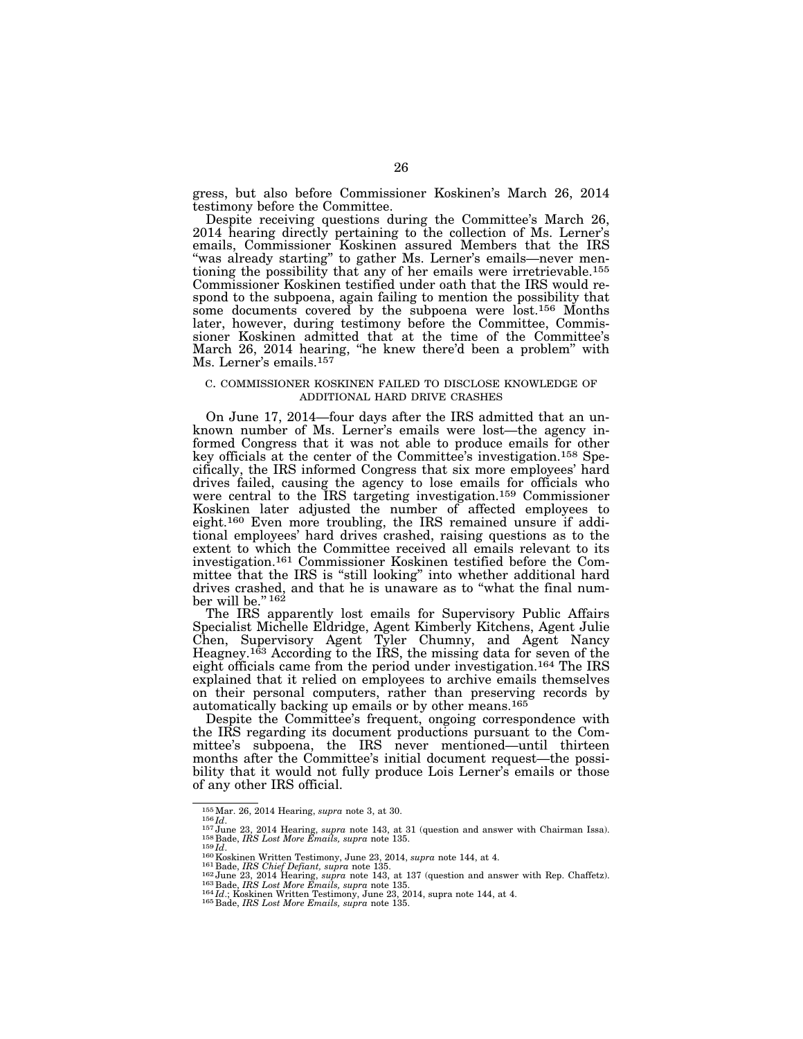gress, but also before Commissioner Koskinen's March 26, 2014 testimony before the Committee.

Despite receiving questions during the Committee's March 26, 2014 hearing directly pertaining to the collection of Ms. Lerner's emails, Commissioner Koskinen assured Members that the IRS "was already starting" to gather Ms. Lerner's emails—never mentioning the possibility that any of her emails were irretrievable.155 Commissioner Koskinen testified under oath that the IRS would respond to the subpoena, again failing to mention the possibility that some documents covered by the subpoena were lost.156 Months later, however, during testimony before the Committee, Commissioner Koskinen admitted that at the time of the Committee's March 26, 2014 hearing, "he knew there'd been a problem" with Ms. Lerner's emails.157

### C. COMMISSIONER KOSKINEN FAILED TO DISCLOSE KNOWLEDGE OF ADDITIONAL HARD DRIVE CRASHES

On June 17, 2014—four days after the IRS admitted that an unknown number of Ms. Lerner's emails were lost—the agency informed Congress that it was not able to produce emails for other key officials at the center of the Committee's investigation.158 Specifically, the IRS informed Congress that six more employees' hard drives failed, causing the agency to lose emails for officials who were central to the IRS targeting investigation.159 Commissioner Koskinen later adjusted the number of affected employees to eight.160 Even more troubling, the IRS remained unsure if additional employees' hard drives crashed, raising questions as to the extent to which the Committee received all emails relevant to its investigation.161 Commissioner Koskinen testified before the Committee that the IRS is ''still looking'' into whether additional hard drives crashed, and that he is unaware as to ''what the final number will be." $162$ 

The IRS apparently lost emails for Supervisory Public Affairs Specialist Michelle Eldridge, Agent Kimberly Kitchens, Agent Julie Chen, Supervisory Agent Tyler Chumny, and Agent Nancy Heagney.163 According to the IRS, the missing data for seven of the eight officials came from the period under investigation.164 The IRS explained that it relied on employees to archive emails themselves on their personal computers, rather than preserving records by automatically backing up emails or by other means.165

Despite the Committee's frequent, ongoing correspondence with the IRS regarding its document productions pursuant to the Committee's subpoena, the IRS never mentioned—until thirteen months after the Committee's initial document request—the possibility that it would not fully produce Lois Lerner's emails or those of any other IRS official.

<sup>&</sup>lt;sup>155</sup>Mar. 26, 2014 Hearing, *supra* note 3, at 30.<br>
<sup>156</sup>*Id.*<br>
<sup>157</sup>June 23, 2014 Hearing, *supra* note 143, at 31 (question and answer with Chairman Issa).<br>
<sup>157</sup>June 23, 2014 Hearing, *supra* note 1435.<br>
<sup>159</sup>*Id.*<br>
<sup>1</sup>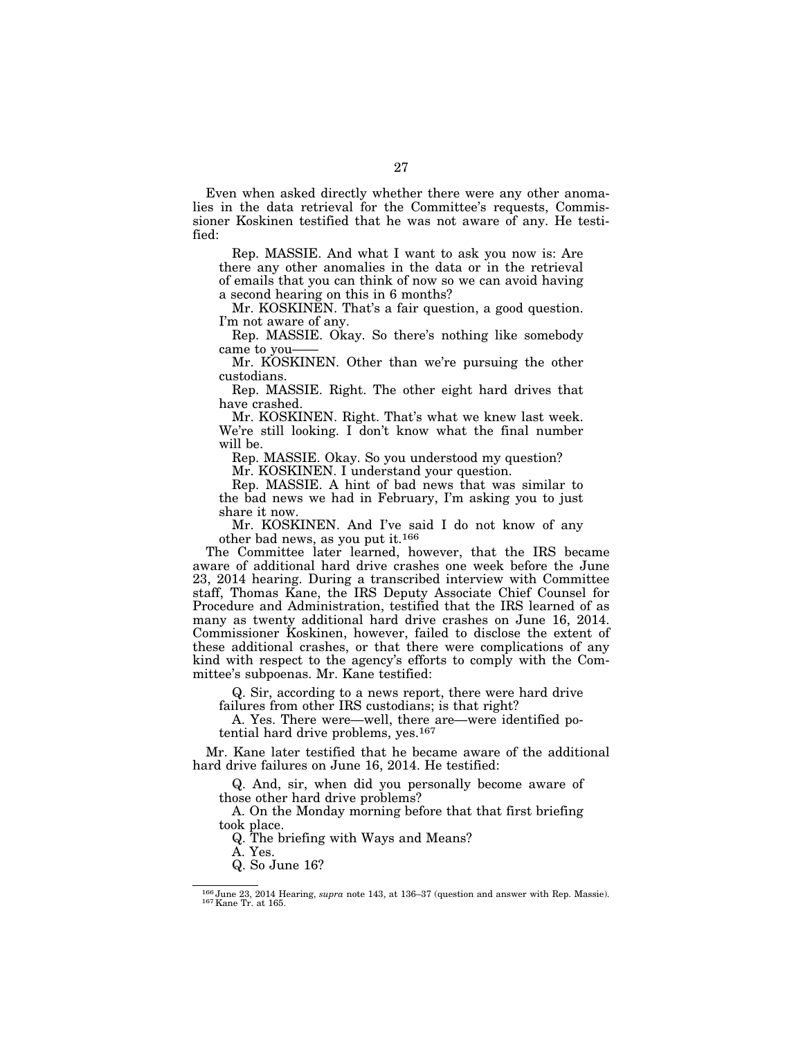Even when asked directly whether there were any other anomalies in the data retrieval for the Committee's requests, Commissioner Koskinen testified that he was not aware of any. He testified:

Rep. MASSIE. And what I want to ask you now is: Are there any other anomalies in the data or in the retrieval of emails that you can think of now so we can avoid having a second hearing on this in 6 months?

Mr. KOSKINEN. That's a fair question, a good question. I'm not aware of any.

Rep. MASSIE. Okay. So there's nothing like somebody came to you-

Mr. KOSKINEN. Other than we're pursuing the other custodians.

Rep. MASSIE. Right. The other eight hard drives that have crashed.

Mr. KOSKINEN. Right. That's what we knew last week. We're still looking. I don't know what the final number will be.

Rep. MASSIE. Okay. So you understood my question?

Mr. KOSKINEN. I understand your question.

Rep. MASSIE. A hint of bad news that was similar to the bad news we had in February, I'm asking you to just share it now.

Mr. KOSKINEN. And I've said I do not know of any other bad news, as you put it.166

The Committee later learned, however, that the IRS became aware of additional hard drive crashes one week before the June 23, 2014 hearing. During a transcribed interview with Committee staff, Thomas Kane, the IRS Deputy Associate Chief Counsel for Procedure and Administration, testified that the IRS learned of as many as twenty additional hard drive crashes on June 16, 2014. Commissioner Koskinen, however, failed to disclose the extent of these additional crashes, or that there were complications of any kind with respect to the agency's efforts to comply with the Committee's subpoenas. Mr. Kane testified:

Q. Sir, according to a news report, there were hard drive failures from other IRS custodians; is that right?

A. Yes. There were—well, there are—were identified potential hard drive problems, yes.167

Mr. Kane later testified that he became aware of the additional hard drive failures on June 16, 2014. He testified:

Q. And, sir, when did you personally become aware of those other hard drive problems?

A. On the Monday morning before that that first briefing took place.

Q. The briefing with Ways and Means?

A. Yes.

Q. So June 16?

<sup>&</sup>lt;sup>166</sup> June 23, 2014 Hearing, *supra* note 143, at 136–37 (question and answer with Rep. Massie). <sup>167</sup> Kane Tr. at 165.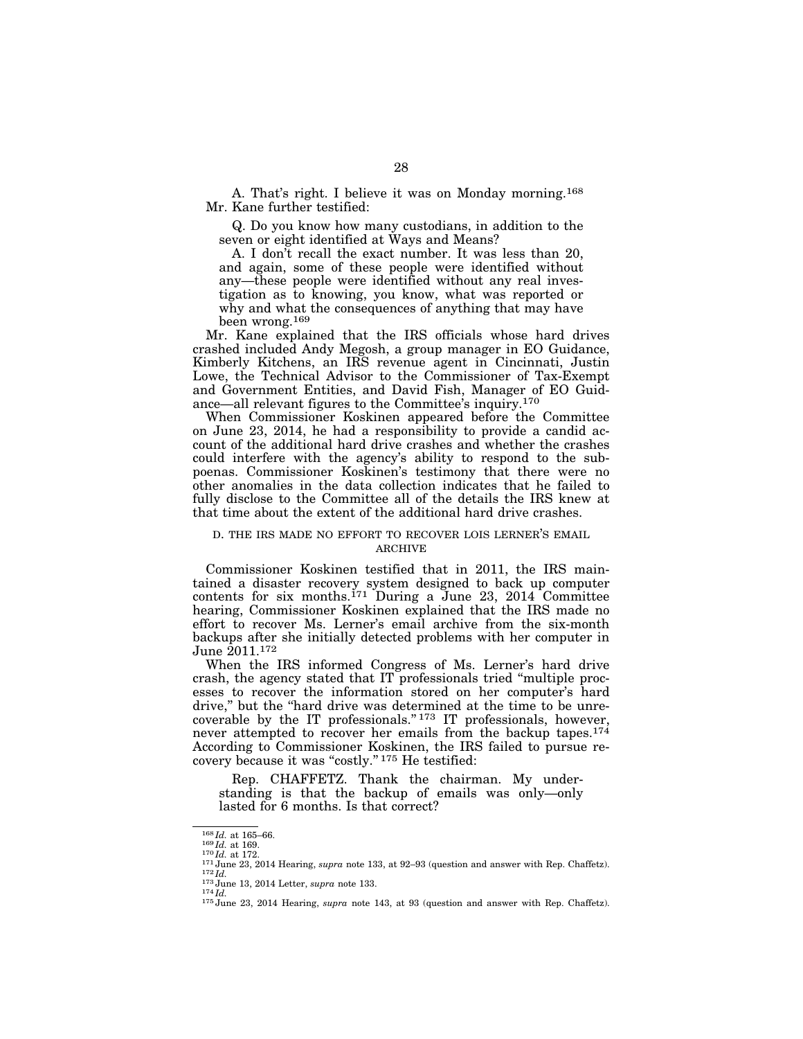A. That's right. I believe it was on Monday morning.168 Mr. Kane further testified:

Q. Do you know how many custodians, in addition to the seven or eight identified at Ways and Means?

A. I don't recall the exact number. It was less than 20, and again, some of these people were identified without any—these people were identified without any real investigation as to knowing, you know, what was reported or why and what the consequences of anything that may have been wrong.169

Mr. Kane explained that the IRS officials whose hard drives crashed included Andy Megosh, a group manager in EO Guidance, Kimberly Kitchens, an IRS revenue agent in Cincinnati, Justin Lowe, the Technical Advisor to the Commissioner of Tax-Exempt and Government Entities, and David Fish, Manager of EO Guidance—all relevant figures to the Committee's inquiry.170

When Commissioner Koskinen appeared before the Committee on June 23, 2014, he had a responsibility to provide a candid account of the additional hard drive crashes and whether the crashes could interfere with the agency's ability to respond to the subpoenas. Commissioner Koskinen's testimony that there were no other anomalies in the data collection indicates that he failed to fully disclose to the Committee all of the details the IRS knew at that time about the extent of the additional hard drive crashes.

### D. THE IRS MADE NO EFFORT TO RECOVER LOIS LERNER'S EMAIL ARCHIVE

Commissioner Koskinen testified that in 2011, the IRS maintained a disaster recovery system designed to back up computer contents for six months.<sup>171</sup> During a June 23, 2014 Committee hearing, Commissioner Koskinen explained that the IRS made no effort to recover Ms. Lerner's email archive from the six-month backups after she initially detected problems with her computer in June 2011.172

When the IRS informed Congress of Ms. Lerner's hard drive crash, the agency stated that IT professionals tried ''multiple processes to recover the information stored on her computer's hard drive," but the "hard drive was determined at the time to be unrecoverable by the IT professionals."<sup>173</sup> IT professionals, however, never attempted to recover her emails from the backup tapes.174 According to Commissioner Koskinen, the IRS failed to pursue recovery because it was "costly."<sup>175</sup> He testified:

Rep. CHAFFETZ. Thank the chairman. My understanding is that the backup of emails was only—only lasted for 6 months. Is that correct?

<sup>&</sup>lt;sup>168</sup>*Id.* at 165–66.<br>
<sup>169</sup>*Id.* at 169.<br>
<sup>170</sup>*Id.* at 172.<br>
<sup>170</sup>*Id.* at 172.<br>
<sup>171</sup>June 23, 2014 Hearing, *supra* note 133, at 92–93 (question and answer with Rep. Chaffetz).<br>
<sup>172</sup>*Id.*<br>
<sup>172</sup>*Id.*<br>
<sup>174</sup>*Id.*<br>
<sup>174</sup>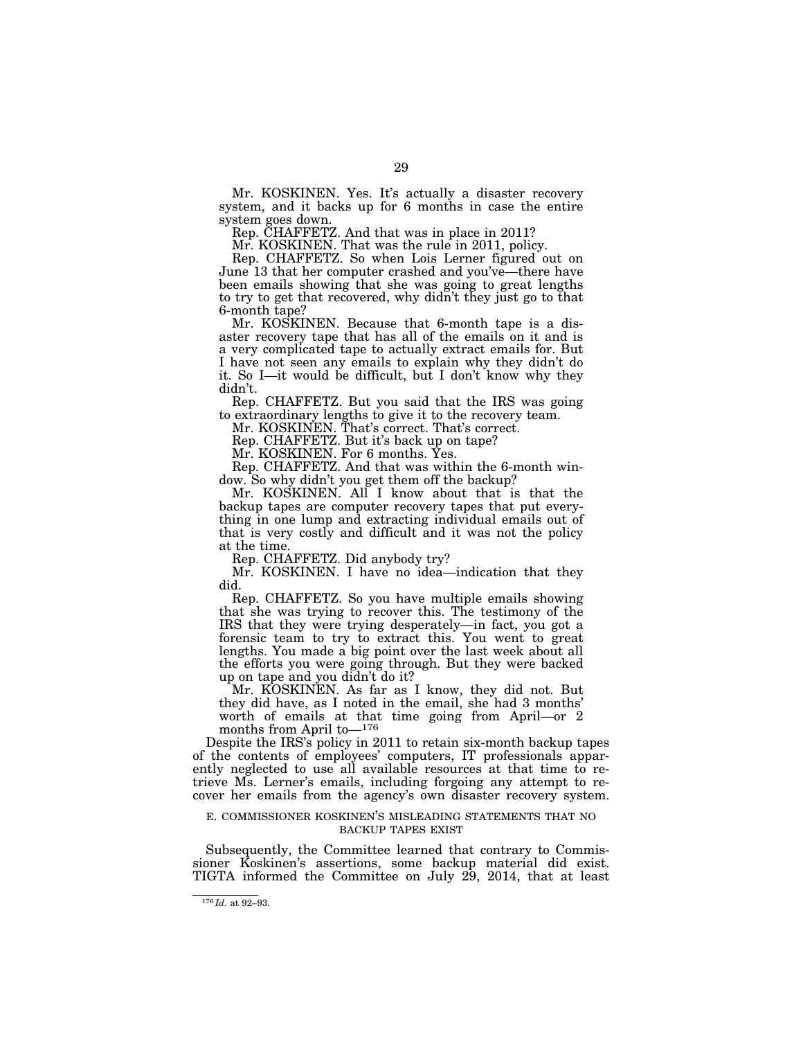Mr. KOSKINEN. Yes. It's actually a disaster recovery system, and it backs up for 6 months in case the entire system goes down.

29

Rep. CHAFFETZ. And that was in place in 2011?

Mr. KOSKINEN. That was the rule in 2011, policy.

Rep. CHAFFETZ. So when Lois Lerner figured out on June 13 that her computer crashed and you've—there have been emails showing that she was going to great lengths to try to get that recovered, why didn't they just go to that 6-month tape?

Mr. KOSKINEN. Because that 6-month tape is a disaster recovery tape that has all of the emails on it and is a very complicated tape to actually extract emails for. But I have not seen any emails to explain why they didn't do it. So I—it would be difficult, but I don't know why they didn't.

Rep. CHAFFETZ. But you said that the IRS was going to extraordinary lengths to give it to the recovery team.

Mr. KOSKINEN. That's correct. That's correct.

Rep. CHAFFETZ. But it's back up on tape?

Mr. KOSKINEN. For 6 months. Yes.

Rep. CHAFFETZ. And that was within the 6-month window. So why didn't you get them off the backup?

Mr. KOSKINEN. All I know about that is that the backup tapes are computer recovery tapes that put everything in one lump and extracting individual emails out of that is very costly and difficult and it was not the policy at the time.

Rep. CHAFFETZ. Did anybody try?

Mr. KOSKINEN. I have no idea—indication that they did.

Rep. CHAFFETZ. So you have multiple emails showing that she was trying to recover this. The testimony of the IRS that they were trying desperately—in fact, you got a forensic team to try to extract this. You went to great lengths. You made a big point over the last week about all the efforts you were going through. But they were backed up on tape and you didn't do it?

Mr. KOSKINEN. As far as I know, they did not. But they did have, as I noted in the email, she had 3 months' worth of emails at that time going from April—or 2 months from April to—176

Despite the IRS's policy in 2011 to retain six-month backup tapes of the contents of employees' computers, IT professionals apparently neglected to use all available resources at that time to retrieve Ms. Lerner's emails, including forgoing any attempt to recover her emails from the agency's own disaster recovery system.

### E. COMMISSIONER KOSKINEN'S MISLEADING STATEMENTS THAT NO BACKUP TAPES EXIST

Subsequently, the Committee learned that contrary to Commissioner Koskinen's assertions, some backup material did exist. TIGTA informed the Committee on July 29, 2014, that at least

<sup>176</sup> *Id.* at 92–93.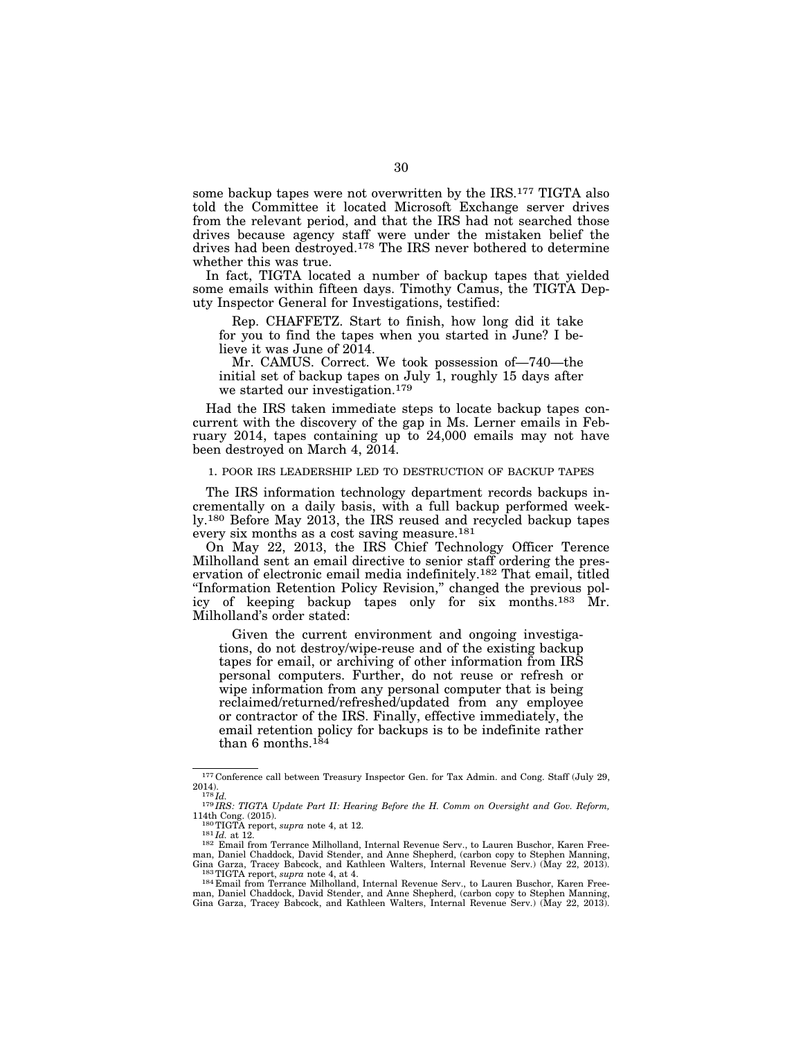some backup tapes were not overwritten by the IRS.<sup>177</sup> TIGTA also told the Committee it located Microsoft Exchange server drives from the relevant period, and that the IRS had not searched those drives because agency staff were under the mistaken belief the drives had been destroyed.178 The IRS never bothered to determine whether this was true.

In fact, TIGTA located a number of backup tapes that yielded some emails within fifteen days. Timothy Camus, the TIGTA Deputy Inspector General for Investigations, testified:

Rep. CHAFFETZ. Start to finish, how long did it take for you to find the tapes when you started in June? I believe it was June of 2014.

Mr. CAMUS. Correct. We took possession of—740—the initial set of backup tapes on July 1, roughly 15 days after we started our investigation.179

Had the IRS taken immediate steps to locate backup tapes concurrent with the discovery of the gap in Ms. Lerner emails in February 2014, tapes containing up to 24,000 emails may not have been destroyed on March 4, 2014.

### 1. POOR IRS LEADERSHIP LED TO DESTRUCTION OF BACKUP TAPES

The IRS information technology department records backups incrementally on a daily basis, with a full backup performed weekly.180 Before May 2013, the IRS reused and recycled backup tapes every six months as a cost saving measure.181

On May 22, 2013, the IRS Chief Technology Officer Terence Milholland sent an email directive to senior staff ordering the preservation of electronic email media indefinitely.182 That email, titled "Information Retention Policy Revision," changed the previous policy of keeping backup tapes only for six months.183 Mr. Milholland's order stated:

Given the current environment and ongoing investigations, do not destroy/wipe-reuse and of the existing backup tapes for email, or archiving of other information from IRS personal computers. Further, do not reuse or refresh or wipe information from any personal computer that is being reclaimed/returned/refreshed/updated from any employee or contractor of the IRS. Finally, effective immediately, the email retention policy for backups is to be indefinite rather than 6 months. $1\overline{84}$ 

 $^{177}$  Conference call between Treasury Inspector Gen. for Tax Admin. and Cong. Staff (July 29, 2014). <sup>178</sup> *Id.* <sup>178</sup> *Id.* <sup>179</sup> *IRS: TIGTA Update Part II: Hearing Before the H. Comm on Oversight and Gov. Reform,* <sup>114th</sup> Cong. (2015).

<sup>1&</sup>lt;sup>80</sup>TIGTA report, *supra* note 4, at 12.<br><sup>181</sup>*Id.* at 12.<br><sup>182</sup> Email from Terrance Milholland, Internal Revenue Serv., to Lauren Buschor, Karen Freeman, Daniel Chaddock, David Stender, and Anne Shepherd, (carbon copy to Stephen Manning, <sup>183</sup> TIGTA report, *supra* note 4, at 4.<br><sup>184</sup> Email from Terrance Milholland, Internal Revenue Serv., to Lauren Buschor, Karen Free-

man, Daniel Chaddock, David Stender, and Anne Shepherd, (carbon copy to Stephen Manning, Gina Garza, Tracey Babcock, and Kathleen Walters, Internal Revenue Serv.) (May 22, 2013).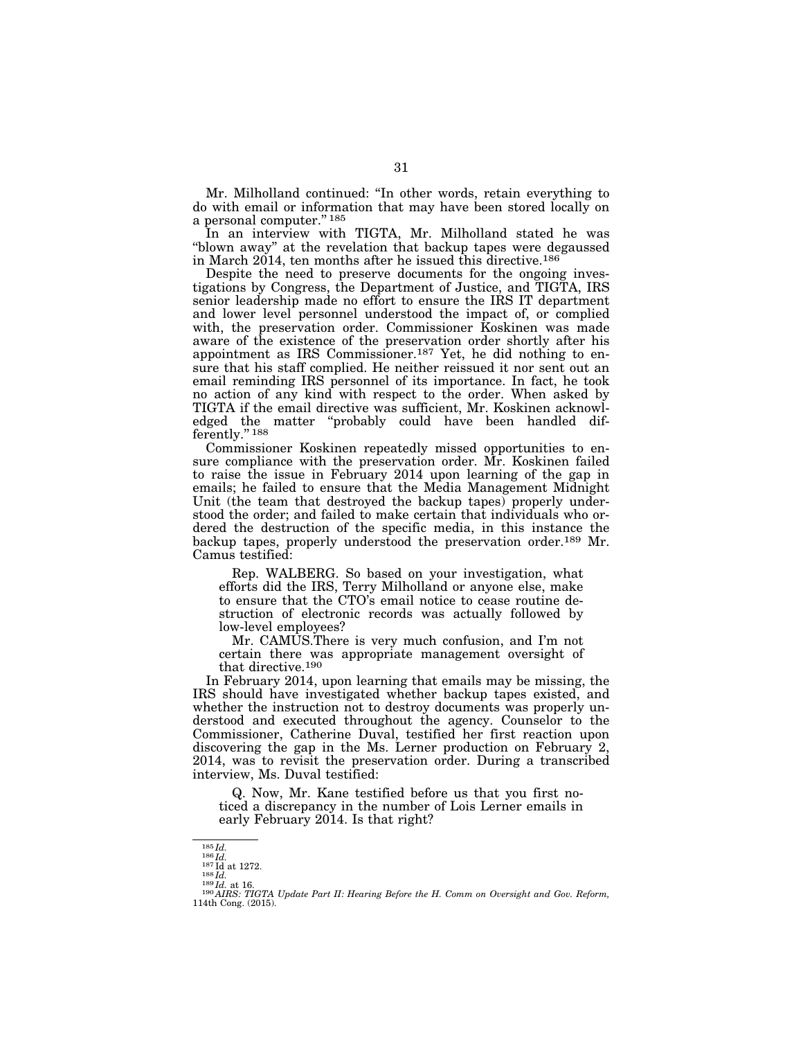Mr. Milholland continued: ''In other words, retain everything to do with email or information that may have been stored locally on a personal computer.'' 185

In an interview with TIGTA, Mr. Milholland stated he was ''blown away'' at the revelation that backup tapes were degaussed in March 2014, ten months after he issued this directive.<sup>186</sup>

Despite the need to preserve documents for the ongoing investigations by Congress, the Department of Justice, and TIGTA, IRS senior leadership made no effort to ensure the IRS IT department and lower level personnel understood the impact of, or complied with, the preservation order. Commissioner Koskinen was made aware of the existence of the preservation order shortly after his appointment as IRS Commissioner.187 Yet, he did nothing to ensure that his staff complied. He neither reissued it nor sent out an email reminding IRS personnel of its importance. In fact, he took no action of any kind with respect to the order. When asked by TIGTA if the email directive was sufficient, Mr. Koskinen acknowledged the matter ''probably could have been handled differently."  $^{\rm 188}$ 

Commissioner Koskinen repeatedly missed opportunities to ensure compliance with the preservation order. Mr. Koskinen failed to raise the issue in February 2014 upon learning of the gap in emails; he failed to ensure that the Media Management Midnight Unit (the team that destroyed the backup tapes) properly understood the order; and failed to make certain that individuals who ordered the destruction of the specific media, in this instance the backup tapes, properly understood the preservation order.189 Mr. Camus testified:

Rep. WALBERG. So based on your investigation, what efforts did the IRS, Terry Milholland or anyone else, make to ensure that the CTO's email notice to cease routine destruction of electronic records was actually followed by low-level employees?

Mr. CAMUS.There is very much confusion, and I'm not certain there was appropriate management oversight of that directive.190

In February 2014, upon learning that emails may be missing, the IRS should have investigated whether backup tapes existed, and whether the instruction not to destroy documents was properly understood and executed throughout the agency. Counselor to the Commissioner, Catherine Duval, testified her first reaction upon discovering the gap in the Ms. Lerner production on February 2, 2014, was to revisit the preservation order. During a transcribed interview, Ms. Duval testified:

Q. Now, Mr. Kane testified before us that you first noticed a discrepancy in the number of Lois Lerner emails in early February 2014. Is that right?

<sup>&</sup>lt;sup>185</sup>*Id.*<br><sup>186</sup>*Id.*<br><sup>188</sup>*Id.*<br><sup>189</sup>*Id.* at 16.<br><sup>199</sup>*Id.* at 16. <sup>199</sup>*AIRS: TIGTA Update Part II: Hearing Before the H. Comm on Oversight and Gov. Reform,* 114th Cong. (2015).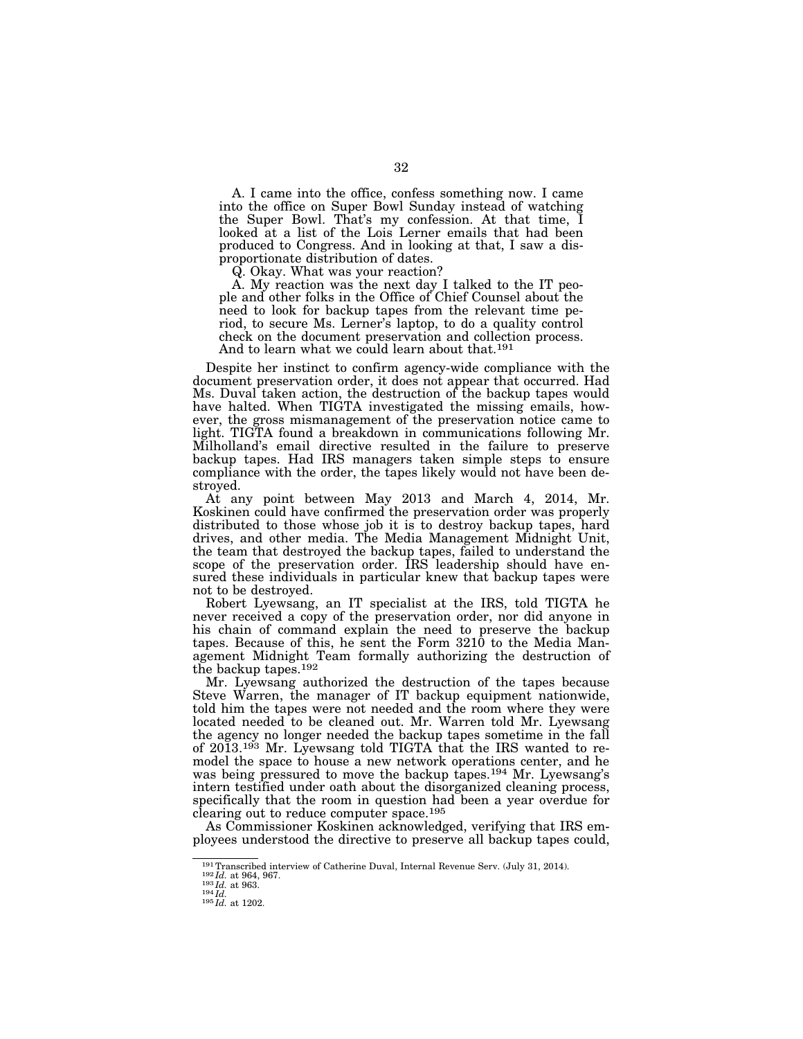A. I came into the office, confess something now. I came into the office on Super Bowl Sunday instead of watching the Super Bowl. That's my confession. At that time, I looked at a list of the Lois Lerner emails that had been produced to Congress. And in looking at that, I saw a disproportionate distribution of dates.

Q. Okay. What was your reaction?

A. My reaction was the next day I talked to the IT people and other folks in the Office of Chief Counsel about the need to look for backup tapes from the relevant time period, to secure Ms. Lerner's laptop, to do a quality control check on the document preservation and collection process. And to learn what we could learn about that.191

Despite her instinct to confirm agency-wide compliance with the document preservation order, it does not appear that occurred. Had Ms. Duval taken action, the destruction of the backup tapes would have halted. When TIGTA investigated the missing emails, however, the gross mismanagement of the preservation notice came to light. TIGTA found a breakdown in communications following Mr. Milholland's email directive resulted in the failure to preserve backup tapes. Had IRS managers taken simple steps to ensure compliance with the order, the tapes likely would not have been destroyed.

At any point between May 2013 and March 4, 2014, Mr. Koskinen could have confirmed the preservation order was properly distributed to those whose job it is to destroy backup tapes, hard drives, and other media. The Media Management Midnight Unit, the team that destroyed the backup tapes, failed to understand the scope of the preservation order. IRS leadership should have ensured these individuals in particular knew that backup tapes were not to be destroyed.

Robert Lyewsang, an IT specialist at the IRS, told TIGTA he never received a copy of the preservation order, nor did anyone in his chain of command explain the need to preserve the backup tapes. Because of this, he sent the Form 3210 to the Media Management Midnight Team formally authorizing the destruction of the backup tapes.192

Mr. Lyewsang authorized the destruction of the tapes because Steve Warren, the manager of IT backup equipment nationwide, told him the tapes were not needed and the room where they were located needed to be cleaned out. Mr. Warren told Mr. Lyewsang the agency no longer needed the backup tapes sometime in the fall of 2013.<sup>193</sup> Mr. Lyewsang told TIGTA that the IRS wanted to remodel the space to house a new network operations center, and he was being pressured to move the backup tapes.194 Mr. Lyewsang's intern testified under oath about the disorganized cleaning process, specifically that the room in question had been a year overdue for clearing out to reduce computer space.195

As Commissioner Koskinen acknowledged, verifying that IRS employees understood the directive to preserve all backup tapes could,

<sup>&</sup>lt;sup>191</sup>Transcribed interview of Catherine Duval, Internal Revenue Serv. (July 31, 2014). <sup>192</sup> *Id.* at 963. <sup>193</sup> *Id.* at 963. <sup>194</sup> *Id.* at 1202.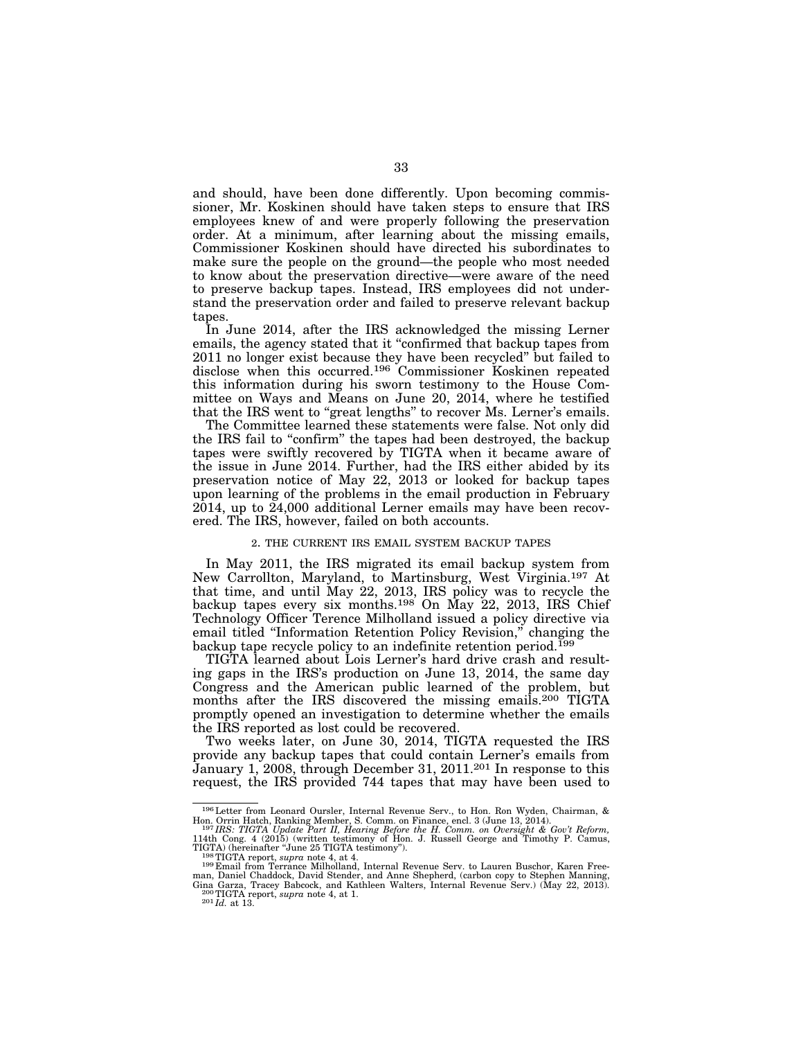and should, have been done differently. Upon becoming commissioner, Mr. Koskinen should have taken steps to ensure that IRS employees knew of and were properly following the preservation order. At a minimum, after learning about the missing emails, Commissioner Koskinen should have directed his subordinates to make sure the people on the ground—the people who most needed to know about the preservation directive—were aware of the need to preserve backup tapes. Instead, IRS employees did not understand the preservation order and failed to preserve relevant backup tapes.

In June 2014, after the IRS acknowledged the missing Lerner emails, the agency stated that it ''confirmed that backup tapes from 2011 no longer exist because they have been recycled'' but failed to disclose when this occurred.196 Commissioner Koskinen repeated this information during his sworn testimony to the House Committee on Ways and Means on June 20, 2014, where he testified that the IRS went to "great lengths" to recover Ms. Lerner's emails.

The Committee learned these statements were false. Not only did the IRS fail to ''confirm'' the tapes had been destroyed, the backup tapes were swiftly recovered by TIGTA when it became aware of the issue in June 2014. Further, had the IRS either abided by its preservation notice of May 22, 2013 or looked for backup tapes upon learning of the problems in the email production in February 2014, up to 24,000 additional Lerner emails may have been recovered. The IRS, however, failed on both accounts.

### 2. THE CURRENT IRS EMAIL SYSTEM BACKUP TAPES

In May 2011, the IRS migrated its email backup system from New Carrollton, Maryland, to Martinsburg, West Virginia.197 At that time, and until May 22, 2013, IRS policy was to recycle the backup tapes every six months.198 On May 22, 2013, IRS Chief Technology Officer Terence Milholland issued a policy directive via email titled "Information Retention Policy Revision," changing the backup tape recycle policy to an indefinite retention period.199

TIGTA learned about Lois Lerner's hard drive crash and resulting gaps in the IRS's production on June 13, 2014, the same day Congress and the American public learned of the problem, but months after the IRS discovered the missing emails.200 TIGTA promptly opened an investigation to determine whether the emails the IRS reported as lost could be recovered.

Two weeks later, on June 30, 2014, TIGTA requested the IRS provide any backup tapes that could contain Lerner's emails from January 1, 2008, through December 31, 2011.201 In response to this request, the IRS provided 744 tapes that may have been used to

<sup>&</sup>lt;sup>196</sup> Letter from Leonard Oursler, Internal Revenue Serv., to Hon. Ron Wyden, Chairman, & Hon. Orrin Hatch, Ranking Member, S. Comm. on Finance, encl. 3 (June 13, 2014).

Hon. Orrin Hatch, Ranking Member, S. Comm. on Finance, encl. 3 (June 13, 2014).<br><sup>197</sup>I*RS: TIGTA Update Part II, Hearing Before the H. Comm. on Oversight & Gov't Reform,<br>114th Cong. 4 (2015) (written testimony of Hon. J. R* 

<sup>&</sup>lt;sup>198</sup> TIGTA report, *supra* note 4, at 4. 199 TIGTA report of the 35 TIGTA report, *supra* note 4, at 4. 199 Email from Terrance Milholland, Internal Revenue Serv. to Lauren Buschor, Karen Freeman, Daniel Chaddock, David Stender, and Anne Shepherd, (carbon copy to Stephen Manning, Gina Garza, Tracey Babcock, and Kathleen Walters, Internal Revenue Serv.) (May 22, 2013).<br><sup>200</sup>TIGTA report, *supra* note 4, at 1. <sup>201</sup>*Id.* at 13.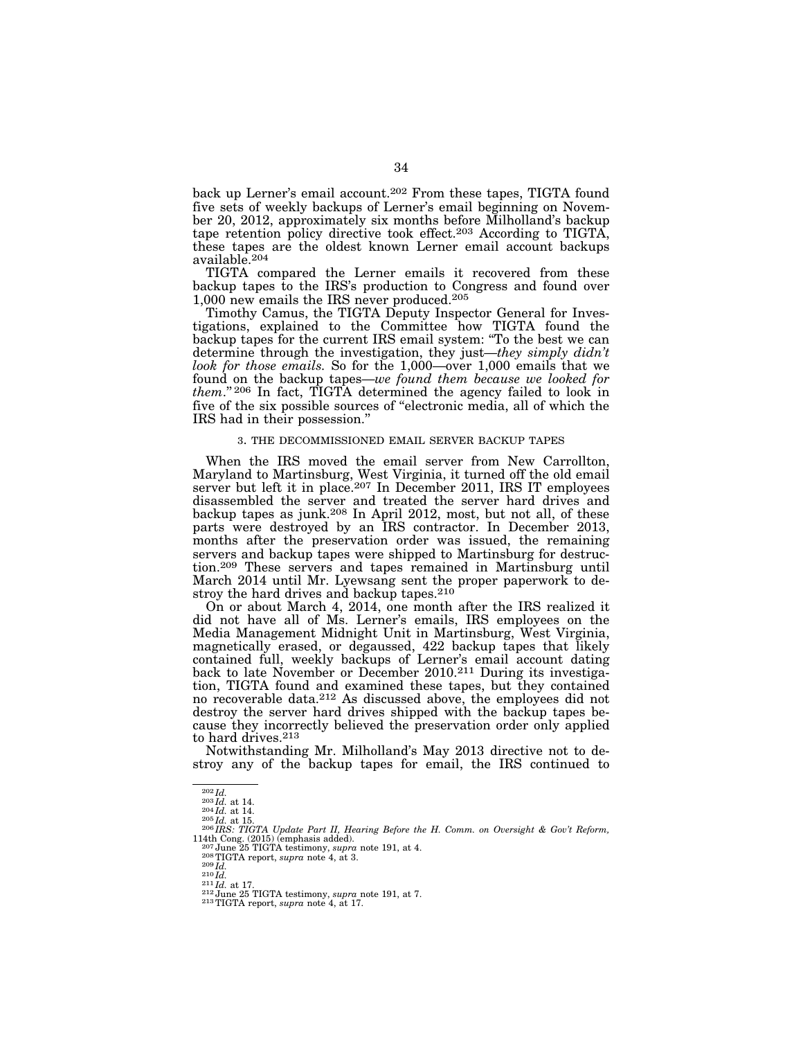back up Lerner's email account.<sup>202</sup> From these tapes, TIGTA found five sets of weekly backups of Lerner's email beginning on November 20, 2012, approximately six months before Milholland's backup tape retention policy directive took effect.203 According to TIGTA, these tapes are the oldest known Lerner email account backups available.204

TIGTA compared the Lerner emails it recovered from these backup tapes to the IRS's production to Congress and found over 1,000 new emails the IRS never produced.205

Timothy Camus, the TIGTA Deputy Inspector General for Investigations, explained to the Committee how TIGTA found the backup tapes for the current IRS email system: ''To the best we can determine through the investigation, they just—*they simply didn't look for those emails.* So for the 1,000—over 1,000 emails that we found on the backup tapes—*we found them because we looked for them*.'' 206 In fact, TIGTA determined the agency failed to look in five of the six possible sources of ''electronic media, all of which the IRS had in their possession.''

### 3. THE DECOMMISSIONED EMAIL SERVER BACKUP TAPES

When the IRS moved the email server from New Carrollton, Maryland to Martinsburg, West Virginia, it turned off the old email server but left it in place.<sup>207</sup> In December 2011, IRS IT employees disassembled the server and treated the server hard drives and backup tapes as junk.208 In April 2012, most, but not all, of these parts were destroyed by an IRS contractor. In December 2013, months after the preservation order was issued, the remaining servers and backup tapes were shipped to Martinsburg for destruction.209 These servers and tapes remained in Martinsburg until March 2014 until Mr. Lyewsang sent the proper paperwork to destroy the hard drives and backup tapes.<sup>210</sup>

On or about March 4, 2014, one month after the IRS realized it did not have all of Ms. Lerner's emails, IRS employees on the Media Management Midnight Unit in Martinsburg, West Virginia, magnetically erased, or degaussed, 422 backup tapes that likely contained full, weekly backups of Lerner's email account dating back to late November or December 2010.211 During its investigation, TIGTA found and examined these tapes, but they contained no recoverable data.212 As discussed above, the employees did not destroy the server hard drives shipped with the backup tapes because they incorrectly believed the preservation order only applied to hard drives.213

Notwithstanding Mr. Milholland's May 2013 directive not to destroy any of the backup tapes for email, the IRS continued to

<sup>202</sup> *Id.*<br>
<sup>203</sup> *Id.* at 14.<br>
<sup>204</sup> *Id.* at 14.<br>
<sup>205</sup> *Id.* at 15.<br>
<sup>205</sup> *Id.* at 15.<br>
<sup>206</sup> *June* 25 TIGTA Update Part II, Hearing Before the H. Comm. on Oversight & Gov't Reform,<br>
<sup>207</sup> June 25 TIGTA testimony, *sup* 

<sup>&</sup>lt;sup>208</sup> TIGTA report, *supra* note 4, at 3.<br>
<sup>209</sup>Id.<br>
<sup>210</sup>Id. at 17.<br>
<sup>212</sup>June 25 TIGTA testimony, *supra* note 191, at 7.<br>
<sup>212</sup>June 25 TIGTA testimony, *supra* note 191, at 7.<br>
<sup>213</sup> TIGTA report, *supra* note 4, at 17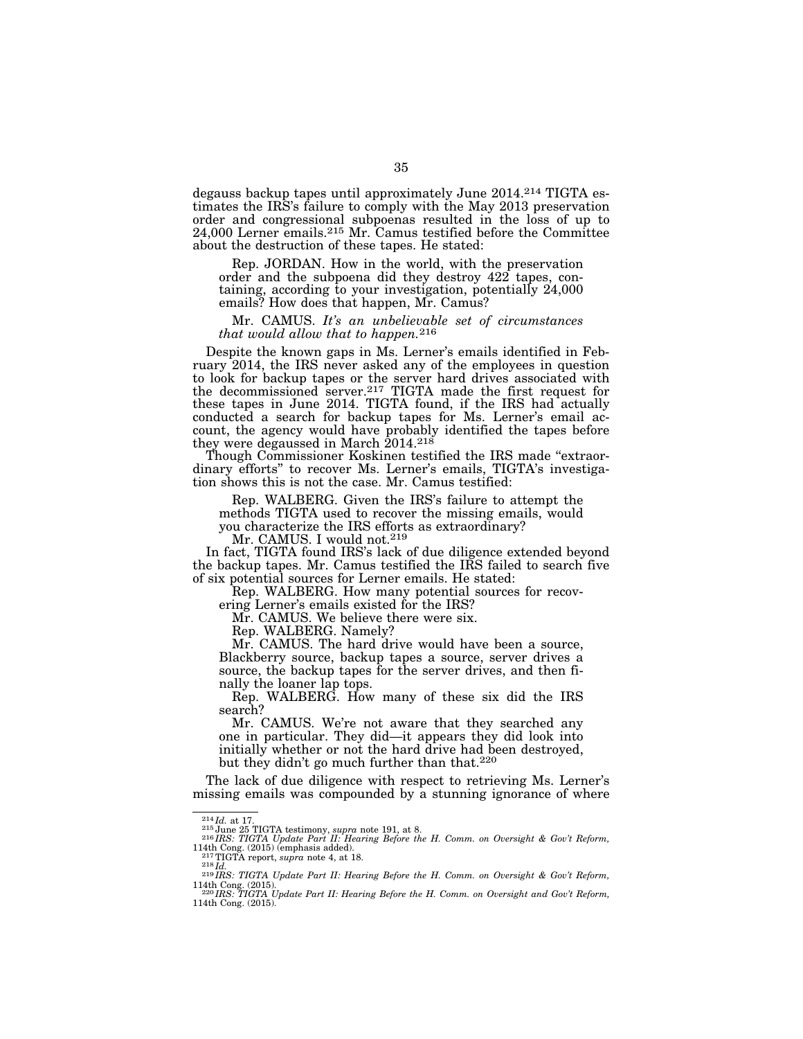degauss backup tapes until approximately June 2014.214 TIGTA estimates the IRS's failure to comply with the May 2013 preservation order and congressional subpoenas resulted in the loss of up to 24,000 Lerner emails.215 Mr. Camus testified before the Committee about the destruction of these tapes. He stated:

Rep. JORDAN. How in the world, with the preservation order and the subpoena did they destroy 422 tapes, containing, according to your investigation, potentially 24,000 emails? How does that happen, Mr. Camus?

Mr. CAMUS. *It's an unbelievable set of circumstances that would allow that to happen.*216

Despite the known gaps in Ms. Lerner's emails identified in February 2014, the IRS never asked any of the employees in question to look for backup tapes or the server hard drives associated with the decommissioned server.217 TIGTA made the first request for these tapes in June 2014. TIGTA found, if the IRS had actually conducted a search for backup tapes for Ms. Lerner's email account, the agency would have probably identified the tapes before they were degaussed in March  $\overline{2014}$ .<sup>218</sup>

Though Commissioner Koskinen testified the IRS made ''extraordinary efforts'' to recover Ms. Lerner's emails, TIGTA's investigation shows this is not the case. Mr. Camus testified:

Rep. WALBERG. Given the IRS's failure to attempt the methods TIGTA used to recover the missing emails, would you characterize the IRS efforts as extraordinary?

Mr. CAMUS. I would not.219

In fact, TIGTA found IRS's lack of due diligence extended beyond the backup tapes. Mr. Camus testified the IRS failed to search five of six potential sources for Lerner emails. He stated:

Rep. WALBERG. How many potential sources for recov-

ering Lerner's emails existed for the IRS?

Mr. CAMUS. We believe there were six.

Rep. WALBERG. Namely?

Mr. CAMUS. The hard drive would have been a source, Blackberry source, backup tapes a source, server drives a source, the backup tapes for the server drives, and then finally the loaner lap tops.

Rep. WALBERG. How many of these six did the IRS search?

Mr. CAMUS. We're not aware that they searched any one in particular. They did—it appears they did look into initially whether or not the hard drive had been destroyed, but they didn't go much further than that.220

The lack of due diligence with respect to retrieving Ms. Lerner's missing emails was compounded by a stunning ignorance of where

<sup>&</sup>lt;sup>214</sup> *Id.* at 17.<br><sup>215</sup> June 25 TIGTA testimony, *supra* note 191, at 8.<br><sup>216</sup> IRS: *TIGTA Update Part II: Hearing Before the H. Comm. on Oversight & Gov't Reform,* 114th Cong. (2015) (emphasis added).<br><sup>217</sup>TIGTA report, *supra* note 4, at 18.<br><sup>218</sup>*Id. 2*<sup>18</sup>*Id. 216 Id. 218 Id. 219 IRS: TIGTA Update Part II: Hearing Before the H. Comm. on Oversight & Gov't Reform,* 

<sup>114</sup>th Cong. (2015). 220 *IRS: TIGTA Update Part II: Hearing Before the H. Comm. on Oversight and Gov't Reform,* 

<sup>114</sup>th Cong. (2015).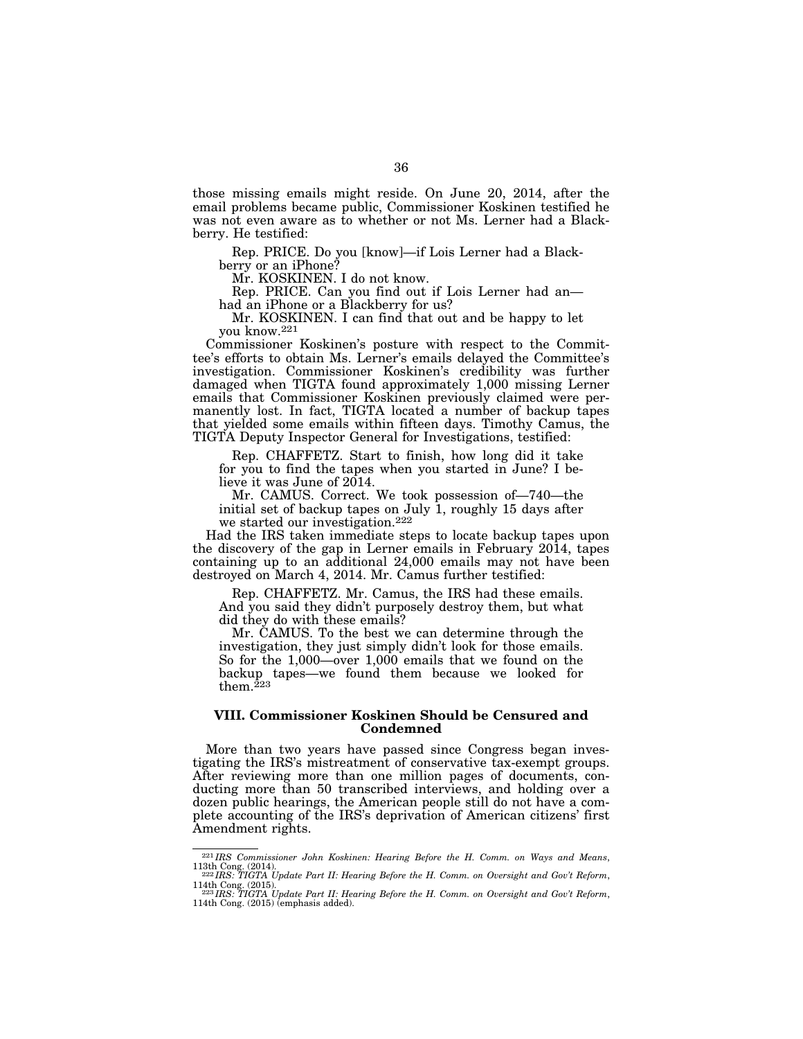those missing emails might reside. On June 20, 2014, after the email problems became public, Commissioner Koskinen testified he was not even aware as to whether or not Ms. Lerner had a Blackberry. He testified:

Rep. PRICE. Do you [know]—if Lois Lerner had a Blackberry or an iPhone?

Mr. KOSKINEN. I do not know.

Rep. PRICE. Can you find out if Lois Lerner had an had an iPhone or a Blackberry for us?

Mr. KOSKINEN. I can find that out and be happy to let you know.221

Commissioner Koskinen's posture with respect to the Committee's efforts to obtain Ms. Lerner's emails delayed the Committee's investigation. Commissioner Koskinen's credibility was further damaged when TIGTA found approximately 1,000 missing Lerner emails that Commissioner Koskinen previously claimed were permanently lost. In fact, TIGTA located a number of backup tapes that yielded some emails within fifteen days. Timothy Camus, the TIGTA Deputy Inspector General for Investigations, testified:

Rep. CHAFFETZ. Start to finish, how long did it take for you to find the tapes when you started in June? I believe it was June of 2014.

Mr. CAMUS. Correct. We took possession of—740—the initial set of backup tapes on July 1, roughly 15 days after we started our investigation.222

Had the IRS taken immediate steps to locate backup tapes upon the discovery of the gap in Lerner emails in February 2014, tapes containing up to an additional 24,000 emails may not have been destroyed on March 4, 2014. Mr. Camus further testified:

Rep. CHAFFETZ. Mr. Camus, the IRS had these emails. And you said they didn't purposely destroy them, but what did they do with these emails?

Mr. CAMUS. To the best we can determine through the investigation, they just simply didn't look for those emails. So for the 1,000—over 1,000 emails that we found on the backup tapes—we found them because we looked for them. $223$ 

### **VIII. Commissioner Koskinen Should be Censured and Condemned**

More than two years have passed since Congress began investigating the IRS's mistreatment of conservative tax-exempt groups. After reviewing more than one million pages of documents, conducting more than 50 transcribed interviews, and holding over a dozen public hearings, the American people still do not have a complete accounting of the IRS's deprivation of American citizens' first Amendment rights.

<sup>221</sup> *IRS Commissioner John Koskinen: Hearing Before the H. Comm. on Ways and Means*, 113th Cong. (2014). 222 *IRS: TIGTA Update Part II: Hearing Before the H. Comm. on Oversight and Gov't Reform*,

<sup>114</sup>th Cong. (2015). 223 *IRS: TIGTA Update Part II: Hearing Before the H. Comm. on Oversight and Gov't Reform*,

<sup>114</sup>th Cong. (2015) (emphasis added).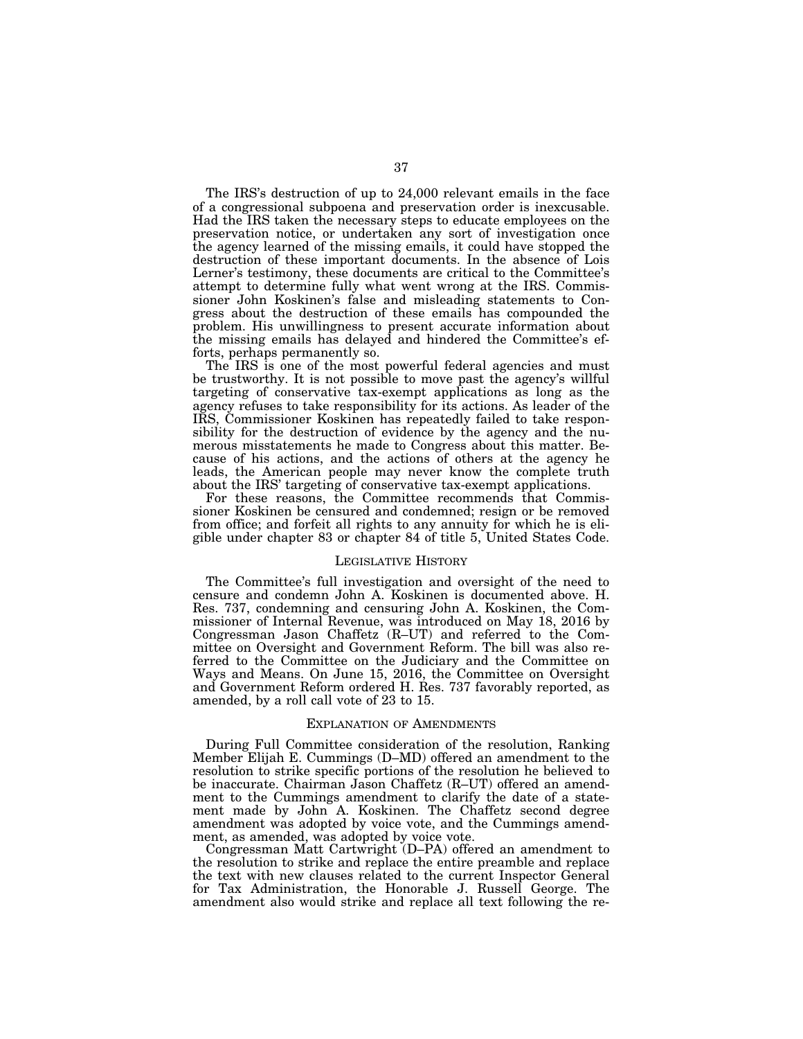The IRS's destruction of up to 24,000 relevant emails in the face of a congressional subpoena and preservation order is inexcusable. Had the IRS taken the necessary steps to educate employees on the preservation notice, or undertaken any sort of investigation once the agency learned of the missing emails, it could have stopped the destruction of these important documents. In the absence of Lois Lerner's testimony, these documents are critical to the Committee's attempt to determine fully what went wrong at the IRS. Commissioner John Koskinen's false and misleading statements to Congress about the destruction of these emails has compounded the problem. His unwillingness to present accurate information about the missing emails has delayed and hindered the Committee's efforts, perhaps permanently so.

The IRS is one of the most powerful federal agencies and must be trustworthy. It is not possible to move past the agency's willful targeting of conservative tax-exempt applications as long as the agency refuses to take responsibility for its actions. As leader of the IRS, Commissioner Koskinen has repeatedly failed to take responsibility for the destruction of evidence by the agency and the numerous misstatements he made to Congress about this matter. Because of his actions, and the actions of others at the agency he leads, the American people may never know the complete truth about the IRS' targeting of conservative tax-exempt applications.

For these reasons, the Committee recommends that Commissioner Koskinen be censured and condemned; resign or be removed from office; and forfeit all rights to any annuity for which he is eligible under chapter 83 or chapter 84 of title 5, United States Code.

### LEGISLATIVE HISTORY

The Committee's full investigation and oversight of the need to censure and condemn John A. Koskinen is documented above. H. Res. 737, condemning and censuring John A. Koskinen, the Commissioner of Internal Revenue, was introduced on May 18, 2016 by Congressman Jason Chaffetz (R–UT) and referred to the Committee on Oversight and Government Reform. The bill was also referred to the Committee on the Judiciary and the Committee on Ways and Means. On June 15, 2016, the Committee on Oversight and Government Reform ordered H. Res. 737 favorably reported, as amended, by a roll call vote of 23 to 15.

### EXPLANATION OF AMENDMENTS

During Full Committee consideration of the resolution, Ranking Member Elijah E. Cummings (D–MD) offered an amendment to the resolution to strike specific portions of the resolution he believed to be inaccurate. Chairman Jason Chaffetz (R–UT) offered an amendment to the Cummings amendment to clarify the date of a statement made by John A. Koskinen. The Chaffetz second degree amendment was adopted by voice vote, and the Cummings amendment, as amended, was adopted by voice vote.

Congressman Matt Cartwright (D–PA) offered an amendment to the resolution to strike and replace the entire preamble and replace the text with new clauses related to the current Inspector General for Tax Administration, the Honorable J. Russell George. The amendment also would strike and replace all text following the re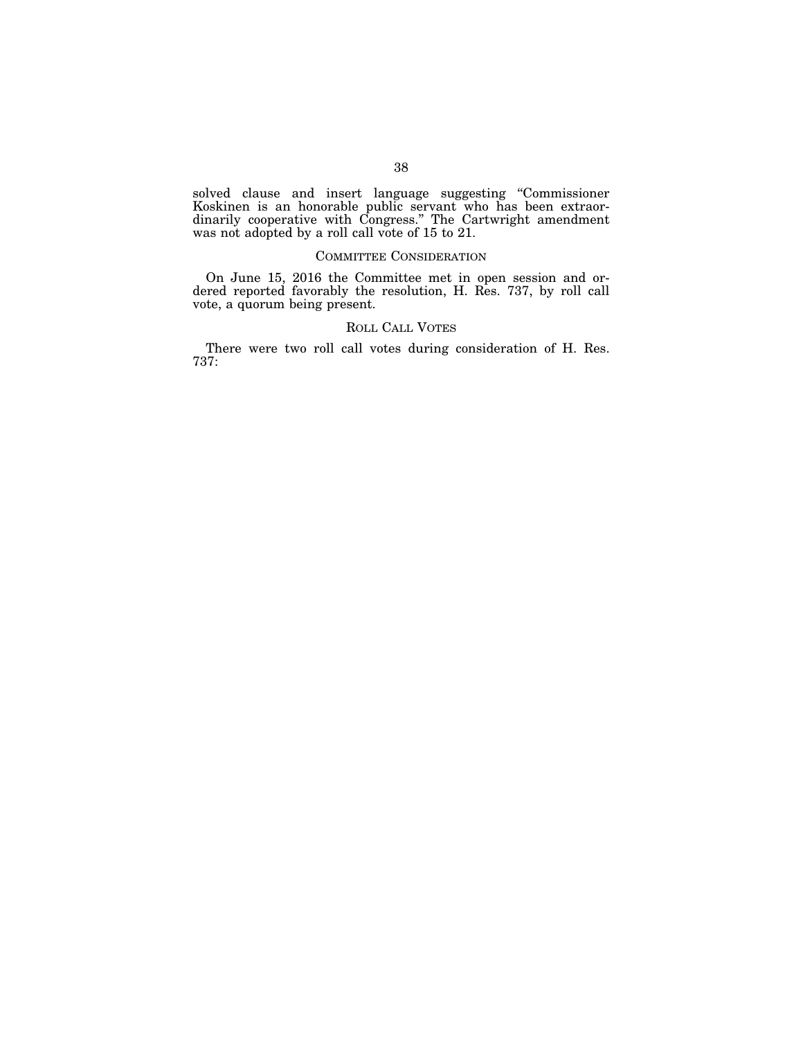solved clause and insert language suggesting ''Commissioner Koskinen is an honorable public servant who has been extraordinarily cooperative with Congress.'' The Cartwright amendment was not adopted by a roll call vote of 15 to 21.

### COMMITTEE CONSIDERATION

On June 15, 2016 the Committee met in open session and ordered reported favorably the resolution, H. Res. 737, by roll call vote, a quorum being present.

# ROLL CALL VOTES

There were two roll call votes during consideration of H. Res. 737: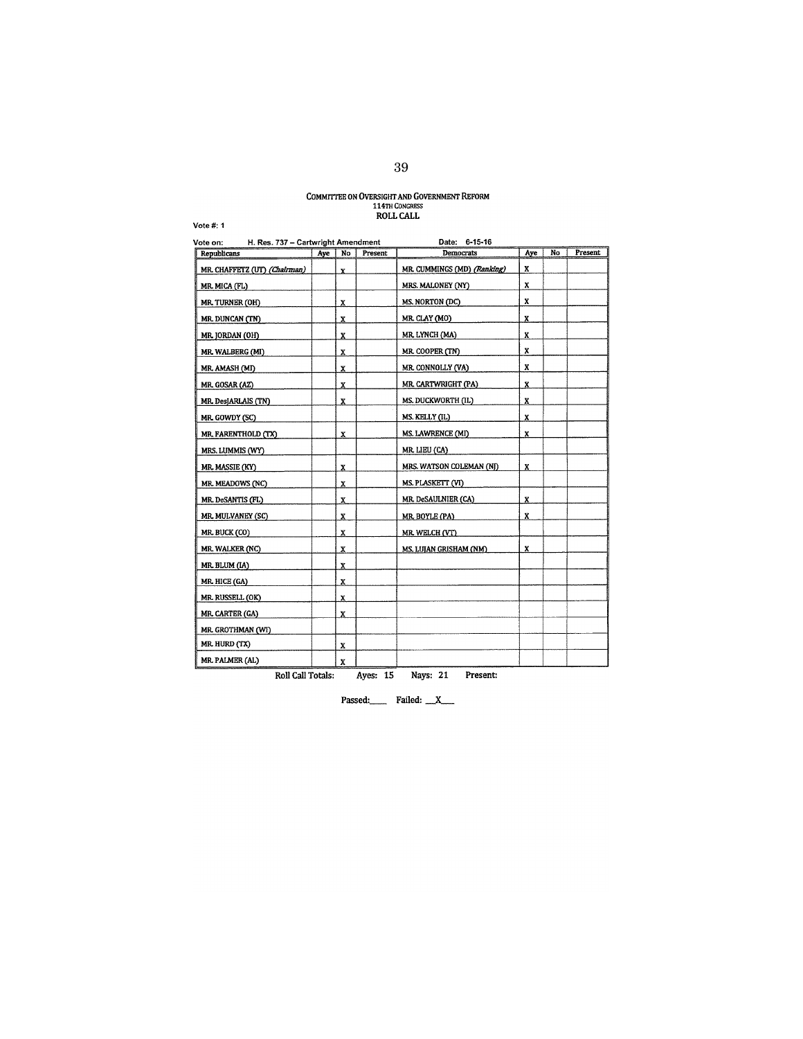# $\begin{minipage}{0.5\textwidth} \begin{tabular}{p{0.5cm}} \textbf{COMMTTEE ON OVERISGHT AND GOVERINMENT REFORM}\\ \textbf{114TH COMGRESS}\\ \textbf{ROLL CALL\\ \end{tabular} \end{minipage}$

Vote #: 1

| Republicans                  | Ave | No | Present | Democrats                   | Aye | No | Present |
|------------------------------|-----|----|---------|-----------------------------|-----|----|---------|
| MR. CHAFFETZ (UT) (Chairman) |     | X  |         | MR. CUMMINGS (MD) (Ranking) | x   |    |         |
| MR. MICA (FL)                |     |    |         | MRS. MALONEY (NY)           | x   |    |         |
| MR. TURNER (OH)              |     | X  |         | MS. NORTON (DC)             | x   |    |         |
| MR. DUNCAN (TN)              |     | X  |         | MR. CLAY (MO)               | x   |    |         |
| MR. JORDAN (OH)              |     | X  |         | MR. LYNCH (MA)              | x   |    |         |
| MR. WALBERG (MI)             |     | X  |         | MR. COOPER (TN)             | x   |    |         |
| MR. AMASH (MI)               |     | X  |         | MR. CONNOLLY (VA)           | X   |    |         |
| MR. GOSAR (AZ)               |     | x  |         | MR. CARTWRIGHT (PA)         | X   |    |         |
| MR. DesJARLAIS (TN)          |     | X  |         | <b>MS. DUCKWORTH (IL)</b>   | X   |    |         |
| MR. GOWDY (SC)               |     |    |         | MS. KELLY (IL)              | x   |    |         |
| MR. FARENTHOLD (TX)          |     | x  |         | MS. LAWRENCE (MI)           | x   |    |         |
| MRS. LUMMIS (WY)             |     |    |         | MR. LIEU (CA)               |     |    |         |
| MR. MASSIE (KY)              |     | X  |         | MRS. WATSON COLEMAN (NJ)    | X   |    |         |
| MR. MEADOWS (NC)             |     | x  |         | MS. PLASKETT (VI)           |     |    |         |
| MR. DeSANTIS (FL)            |     | X  |         | MR. DeSAULNIER (CA)         | x   |    |         |
| MR. MULVANEY (SC)            |     | X  |         | MR. BOYLE (PA)              | x   |    |         |
| MR. BUCK (CO)                |     | X  |         | MR. WELCH (VT)              |     |    |         |
| MR. WALKER (NC)              |     | X  |         | MS. LUIAN GRISHAM (NM)      | x   |    |         |
| MR. BLUM (IA)                |     | X  |         |                             |     |    |         |
| MR. HICE (GA)                |     | X  |         |                             |     |    |         |
| MR. RUSSELL (OK)             |     | X  |         |                             |     |    |         |
| MR. CARTER (GA)              |     | X  |         |                             |     |    |         |
| MR. GROTHMAN (WI)            |     |    |         |                             |     |    |         |
| MR. HURD (TX)                |     | x  |         |                             |     |    |         |
| MR. PALMER (AL)              |     | X  |         |                             |     |    |         |

Passed:\_\_\_\_\_ Failed: \_\_X\_\_\_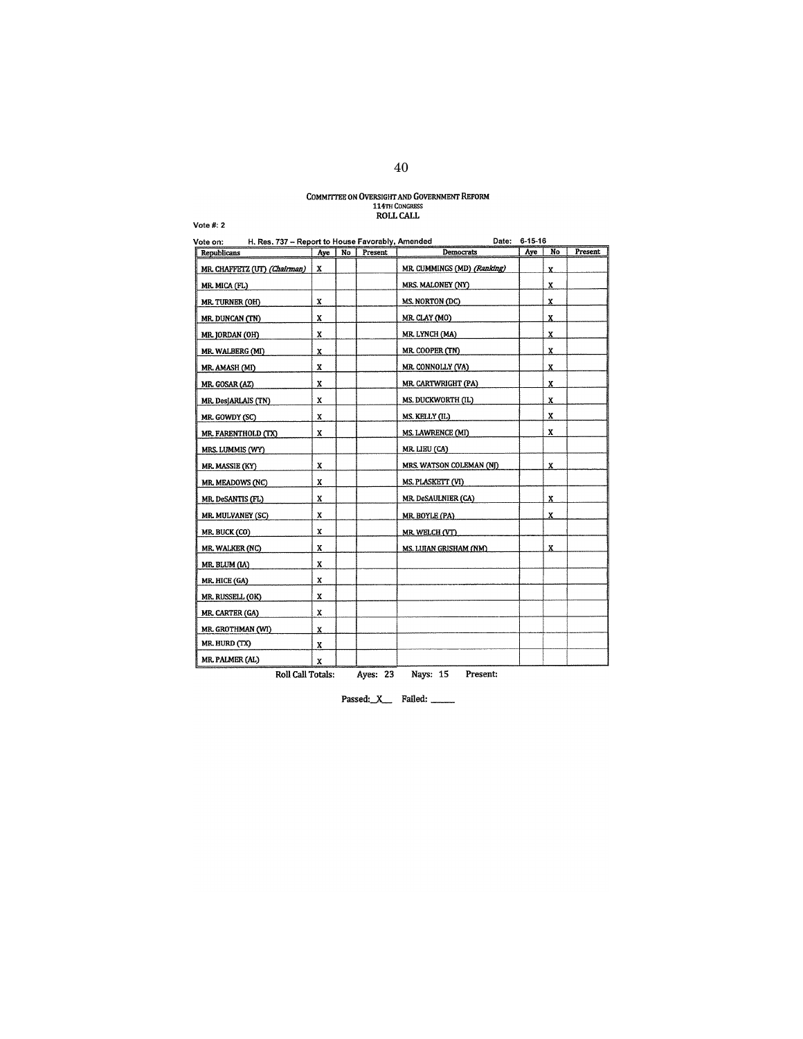# $\begin{minipage}{0.5\textwidth} \begin{tabular}{p{0.5cm}} \textbf{COMMTTEE ON OVERSIGHT AND GOVERINMENT REFORM}\\ \textbf{114\textbf{7H COMGRESS} }\\ \textbf{ROLL CALL}\end{tabular} \end{minipage}$

Vote #:  $2$ 

| H. Res. 737 - Report to House Favorably, Amended<br>Vote on:<br>Republicans | Aye | No | Present | Date:<br>Democrats          | $6 - 15 - 16$<br>Aye | No | Present |
|-----------------------------------------------------------------------------|-----|----|---------|-----------------------------|----------------------|----|---------|
| MR. CHAFFETZ (UT) (Chairman)                                                | X   |    |         | MR. CUMMINGS (MD) (Ranking) |                      | x  |         |
| MR. MICA (FL)                                                               |     |    |         | MRS. MALONEY (NY)           |                      | x  |         |
| MR. TURNER (OH)                                                             | x   |    |         | MS. NORTON (DC)             |                      | x  |         |
| MR. DUNCAN (TN)                                                             | x   |    |         | MR. CLAY (MO)               |                      | x  |         |
| MR. JORDAN (OH)                                                             | x   |    |         | MR. LYNCH (MA)              |                      | X  |         |
| MR. WALBERG (MI)                                                            | X   |    |         | MR. COOPER (TN)             |                      | X  |         |
| MR. AMASH (MI)                                                              | X   |    |         | MR. CONNOLLY (VA)           |                      | x  |         |
| MR. GOSAR (AZ)                                                              | x   |    |         | MR. CARTWRIGHT (PA)         |                      | X  |         |
| MR. DesJARLAIS (TN)                                                         | x   |    |         | MS. DUCKWORTH (IL)          |                      | x  |         |
| MR. GOWDY (SC)                                                              | x   |    |         | MS. KELLY (IL)              |                      | x  |         |
| MR. FARENTHOLD (TX)                                                         | x   |    |         | MS. LAWRENCE (MI)           |                      | X  |         |
| MRS. LUMMIS (WY)                                                            |     |    |         | MR. LIEU (CA)               |                      |    |         |
| MR. MASSIE (KY)                                                             | x   |    |         | MRS. WATSON COLEMAN (NJ)    |                      | x  |         |
| MR. MEADOWS (NC)                                                            | x   |    |         | MS. PLASKETT (VI)           |                      |    |         |
| MR. DeSANTIS (FL)                                                           | x   |    |         | MR. DeSAULNIER (CA)         |                      | x  |         |
| MR. MULVANEY (SC)                                                           | x   |    |         | MR. BOYLE (PA)              |                      | X  |         |
| MR. BUCK (CO)                                                               | x   |    |         | MR. WELCH (VT)              |                      |    |         |
| MR. WALKER (NC)                                                             | X   |    |         | MS. LUJAN GRISHAM (NM)      |                      | X  |         |
| MR. BLUM (IA)                                                               | x   |    |         |                             |                      |    |         |
| MR. HICE (GA)                                                               | X   |    |         |                             |                      |    |         |
| MR. RUSSELL (OK)                                                            | x   |    |         |                             |                      |    |         |
| MR. CARTER (GA)                                                             | x   |    |         |                             |                      |    |         |
| MR. GROTHMAN (WI)                                                           | X   |    |         |                             |                      |    |         |
| MR. HURD (TX)                                                               | X   |    |         |                             |                      |    |         |
| MR. PALMER (AL)                                                             | X   |    |         |                             |                      |    |         |

Passed: X\_ Failed: \_\_\_\_\_

40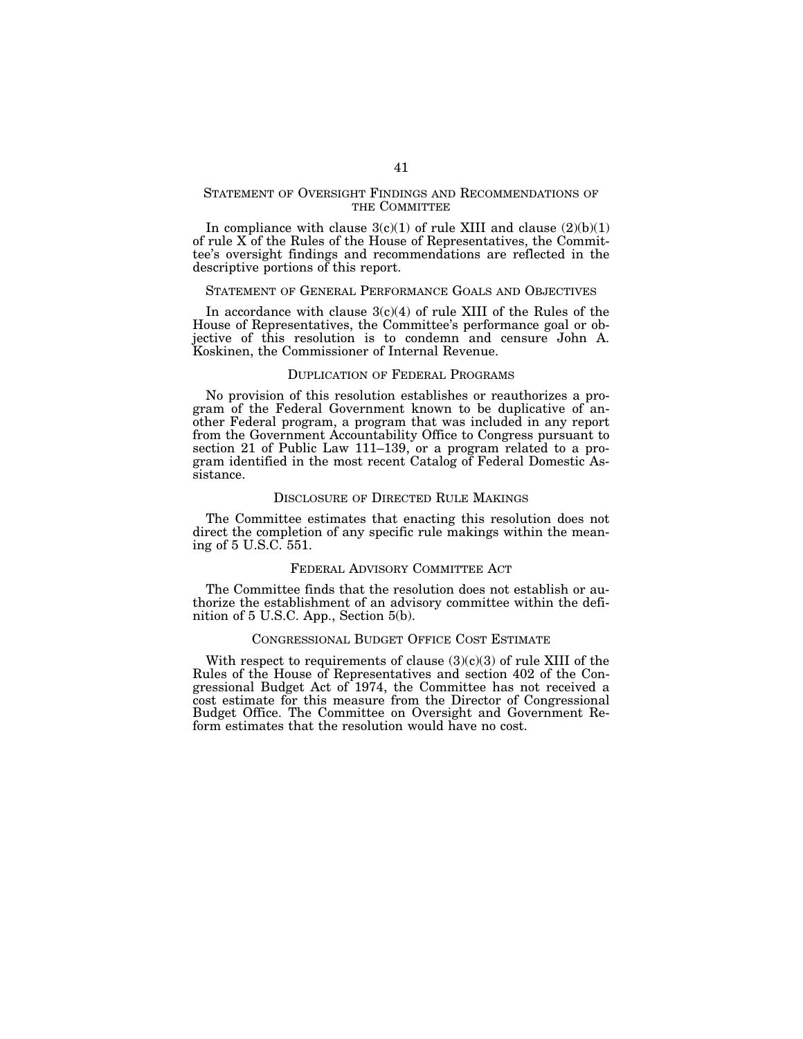### STATEMENT OF OVERSIGHT FINDINGS AND RECOMMENDATIONS OF THE COMMITTEE

In compliance with clause  $3(c)(1)$  of rule XIII and clause  $(2)(b)(1)$ of rule X of the Rules of the House of Representatives, the Committee's oversight findings and recommendations are reflected in the descriptive portions of this report.

### STATEMENT OF GENERAL PERFORMANCE GOALS AND OBJECTIVES

In accordance with clause  $3(c)(4)$  of rule XIII of the Rules of the House of Representatives, the Committee's performance goal or objective of this resolution is to condemn and censure John A. Koskinen, the Commissioner of Internal Revenue.

### DUPLICATION OF FEDERAL PROGRAMS

No provision of this resolution establishes or reauthorizes a program of the Federal Government known to be duplicative of another Federal program, a program that was included in any report from the Government Accountability Office to Congress pursuant to section 21 of Public Law 111–139, or a program related to a program identified in the most recent Catalog of Federal Domestic Assistance.

### DISCLOSURE OF DIRECTED RULE MAKINGS

The Committee estimates that enacting this resolution does not direct the completion of any specific rule makings within the meaning of 5 U.S.C. 551.

### FEDERAL ADVISORY COMMITTEE ACT

The Committee finds that the resolution does not establish or authorize the establishment of an advisory committee within the definition of 5 U.S.C. App., Section 5(b).

### CONGRESSIONAL BUDGET OFFICE COST ESTIMATE

With respect to requirements of clause  $(3)(c)(3)$  of rule XIII of the Rules of the House of Representatives and section 402 of the Congressional Budget Act of 1974, the Committee has not received a cost estimate for this measure from the Director of Congressional Budget Office. The Committee on Oversight and Government Reform estimates that the resolution would have no cost.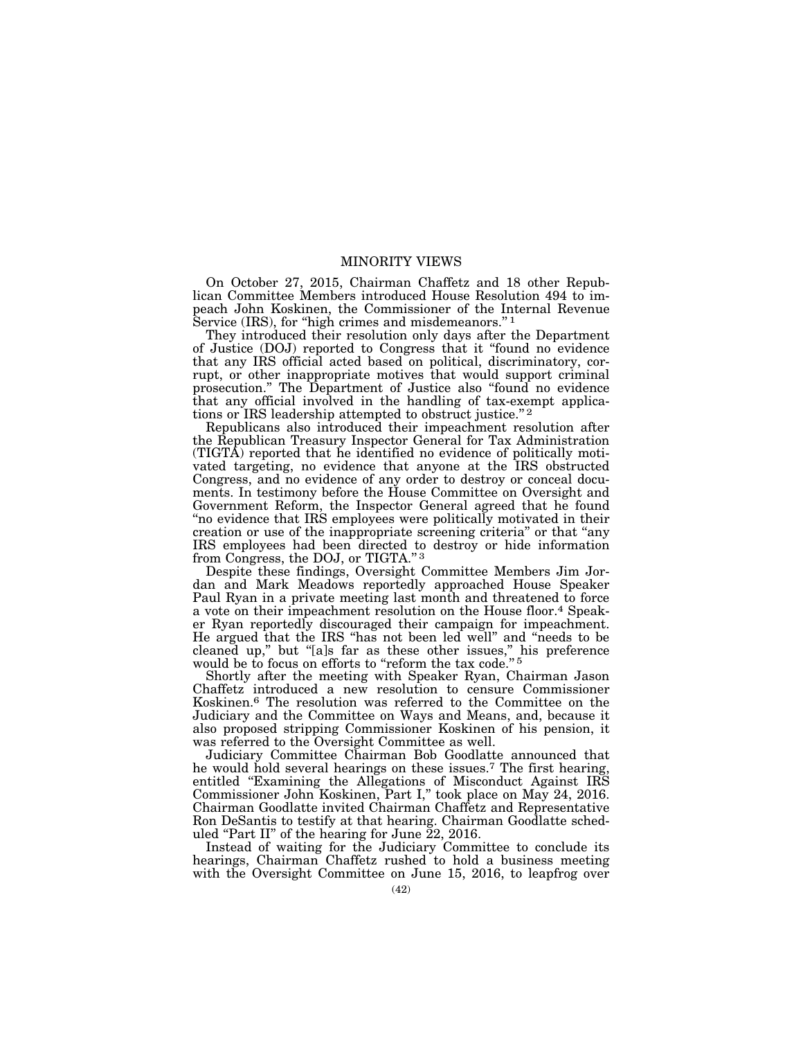# MINORITY VIEWS

On October 27, 2015, Chairman Chaffetz and 18 other Republican Committee Members introduced House Resolution 494 to impeach John Koskinen, the Commissioner of the Internal Revenue Service (IRS), for "high crimes and misdemeanors."<sup>1</sup>

They introduced their resolution only days after the Department of Justice (DOJ) reported to Congress that it ''found no evidence that any IRS official acted based on political, discriminatory, corrupt, or other inappropriate motives that would support criminal prosecution.'' The Department of Justice also ''found no evidence that any official involved in the handling of tax-exempt applications or IRS leadership attempted to obstruct justice."<sup>2</sup>

Republicans also introduced their impeachment resolution after the Republican Treasury Inspector General for Tax Administration (TIGTA) reported that he identified no evidence of politically motivated targeting, no evidence that anyone at the IRS obstructed Congress, and no evidence of any order to destroy or conceal documents. In testimony before the House Committee on Oversight and Government Reform, the Inspector General agreed that he found ''no evidence that IRS employees were politically motivated in their creation or use of the inappropriate screening criteria'' or that ''any IRS employees had been directed to destroy or hide information from Congress, the DOJ, or TIGTA."<sup>3</sup>

Despite these findings, Oversight Committee Members Jim Jordan and Mark Meadows reportedly approached House Speaker Paul Ryan in a private meeting last month and threatened to force a vote on their impeachment resolution on the House floor.4 Speaker Ryan reportedly discouraged their campaign for impeachment. He argued that the IRS ''has not been led well'' and ''needs to be cleaned up,'' but ''[a]s far as these other issues,'' his preference would be to focus on efforts to "reform the tax code."<sup>5</sup>

Shortly after the meeting with Speaker Ryan, Chairman Jason Chaffetz introduced a new resolution to censure Commissioner Koskinen.6 The resolution was referred to the Committee on the Judiciary and the Committee on Ways and Means, and, because it also proposed stripping Commissioner Koskinen of his pension, it was referred to the Oversight Committee as well.

Judiciary Committee Chairman Bob Goodlatte announced that he would hold several hearings on these issues.7 The first hearing, entitled ''Examining the Allegations of Misconduct Against IRS Commissioner John Koskinen, Part I,'' took place on May 24, 2016. Chairman Goodlatte invited Chairman Chaffetz and Representative Ron DeSantis to testify at that hearing. Chairman Goodlatte scheduled "Part II" of the hearing for June 22, 2016.

Instead of waiting for the Judiciary Committee to conclude its hearings, Chairman Chaffetz rushed to hold a business meeting with the Oversight Committee on June 15, 2016, to leapfrog over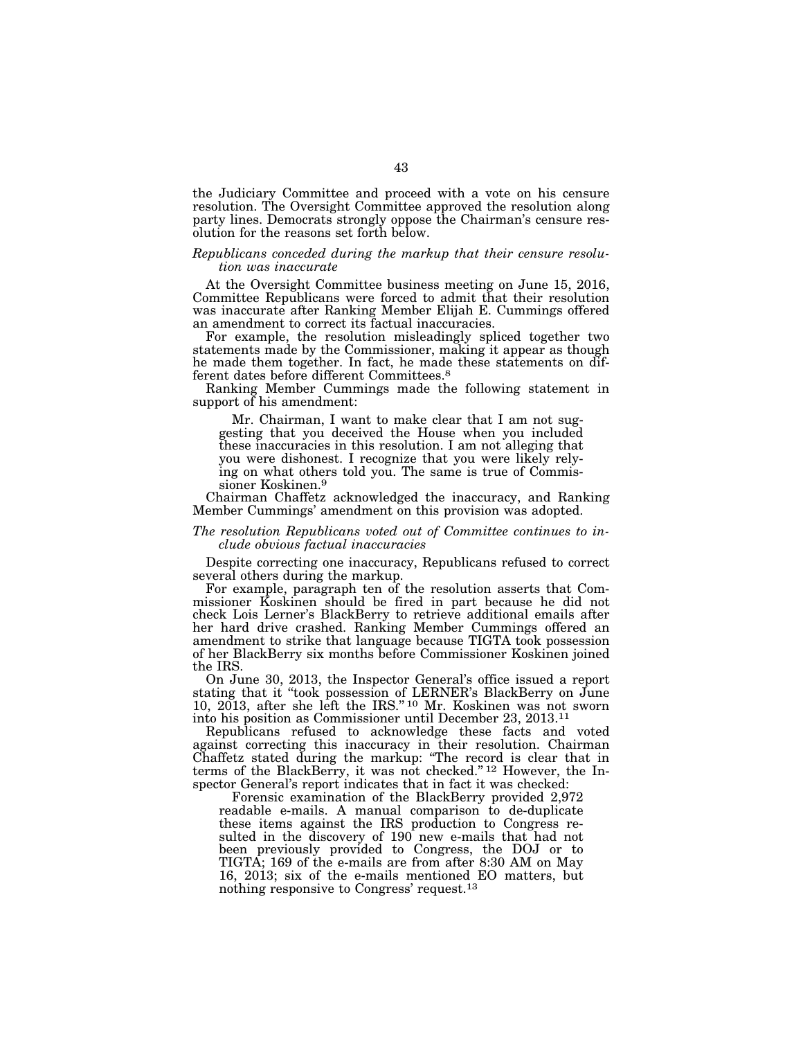the Judiciary Committee and proceed with a vote on his censure resolution. The Oversight Committee approved the resolution along party lines. Democrats strongly oppose the Chairman's censure resolution for the reasons set forth below.

### *Republicans conceded during the markup that their censure resolution was inaccurate*

At the Oversight Committee business meeting on June 15, 2016, Committee Republicans were forced to admit that their resolution was inaccurate after Ranking Member Elijah E. Cummings offered an amendment to correct its factual inaccuracies.

For example, the resolution misleadingly spliced together two statements made by the Commissioner, making it appear as though he made them together. In fact, he made these statements on different dates before different Committees.8

Ranking Member Cummings made the following statement in support of his amendment:

Mr. Chairman, I want to make clear that I am not suggesting that you deceived the House when you included these inaccuracies in this resolution. I am not alleging that you were dishonest. I recognize that you were likely relying on what others told you. The same is true of Commissioner Koskinen.9

Chairman Chaffetz acknowledged the inaccuracy, and Ranking Member Cummings' amendment on this provision was adopted.

### *The resolution Republicans voted out of Committee continues to include obvious factual inaccuracies*

Despite correcting one inaccuracy, Republicans refused to correct several others during the markup.

For example, paragraph ten of the resolution asserts that Commissioner Koskinen should be fired in part because he did not check Lois Lerner's BlackBerry to retrieve additional emails after her hard drive crashed. Ranking Member Cummings offered an amendment to strike that language because TIGTA took possession of her BlackBerry six months before Commissioner Koskinen joined the IRS.

On June 30, 2013, the Inspector General's office issued a report stating that it ''took possession of LERNER's BlackBerry on June 10, 2013, after she left the IRS.'' 10 Mr. Koskinen was not sworn into his position as Commissioner until December 23, 2013.11

Republicans refused to acknowledge these facts and voted against correcting this inaccuracy in their resolution. Chairman Chaffetz stated during the markup: ''The record is clear that in terms of the BlackBerry, it was not checked.'' 12 However, the Inspector General's report indicates that in fact it was checked:

Forensic examination of the BlackBerry provided 2,972 readable e-mails. A manual comparison to de-duplicate these items against the IRS production to Congress resulted in the discovery of 190<sup>'</sup> new e-mails that had not been previously provided to Congress, the DOJ or to TIGTA; 169 of the e-mails are from after 8:30 AM on May 16, 2013; six of the e-mails mentioned EO matters, but nothing responsive to Congress' request.13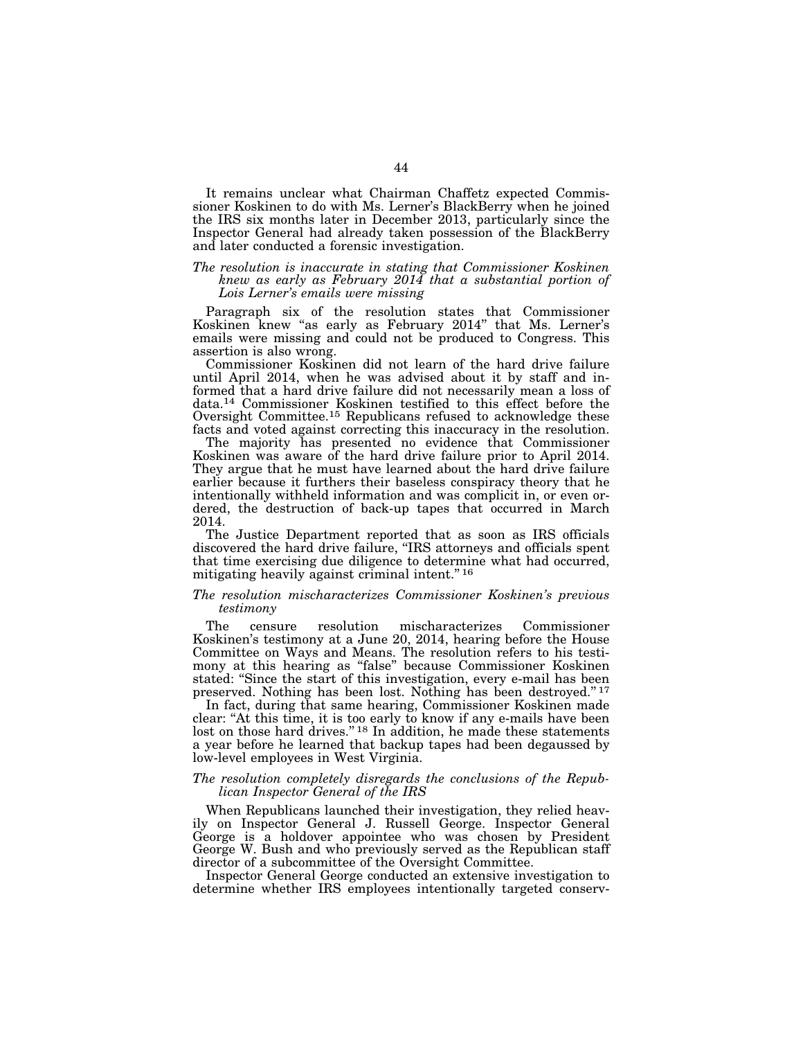It remains unclear what Chairman Chaffetz expected Commissioner Koskinen to do with Ms. Lerner's BlackBerry when he joined the IRS six months later in December 2013, particularly since the Inspector General had already taken possession of the BlackBerry and later conducted a forensic investigation.

### *The resolution is inaccurate in stating that Commissioner Koskinen knew as early as February 2014 that a substantial portion of Lois Lerner's emails were missing*

Paragraph six of the resolution states that Commissioner Koskinen knew "as early as February 2014" that Ms. Lerner's emails were missing and could not be produced to Congress. This assertion is also wrong.

Commissioner Koskinen did not learn of the hard drive failure until April 2014, when he was advised about it by staff and informed that a hard drive failure did not necessarily mean a loss of data.14 Commissioner Koskinen testified to this effect before the Oversight Committee.15 Republicans refused to acknowledge these facts and voted against correcting this inaccuracy in the resolution.

The majority has presented no evidence that Commissioner Koskinen was aware of the hard drive failure prior to April 2014. They argue that he must have learned about the hard drive failure earlier because it furthers their baseless conspiracy theory that he intentionally withheld information and was complicit in, or even ordered, the destruction of back-up tapes that occurred in March 2014.

The Justice Department reported that as soon as IRS officials discovered the hard drive failure, ''IRS attorneys and officials spent that time exercising due diligence to determine what had occurred, mitigating heavily against criminal intent."<sup>16</sup>

### *The resolution mischaracterizes Commissioner Koskinen's previous testimony*

The censure resolution mischaracterizes Commissioner Koskinen's testimony at a June 20, 2014, hearing before the House Committee on Ways and Means. The resolution refers to his testimony at this hearing as ''false'' because Commissioner Koskinen stated: ''Since the start of this investigation, every e-mail has been preserved. Nothing has been lost. Nothing has been destroyed.'' 17

In fact, during that same hearing, Commissioner Koskinen made clear: ''At this time, it is too early to know if any e-mails have been lost on those hard drives."<sup>18</sup> In addition, he made these statements a year before he learned that backup tapes had been degaussed by low-level employees in West Virginia.

### *The resolution completely disregards the conclusions of the Republican Inspector General of the IRS*

When Republicans launched their investigation, they relied heavily on Inspector General J. Russell George. Inspector General George is a holdover appointee who was chosen by President George W. Bush and who previously served as the Republican staff director of a subcommittee of the Oversight Committee.

Inspector General George conducted an extensive investigation to determine whether IRS employees intentionally targeted conserv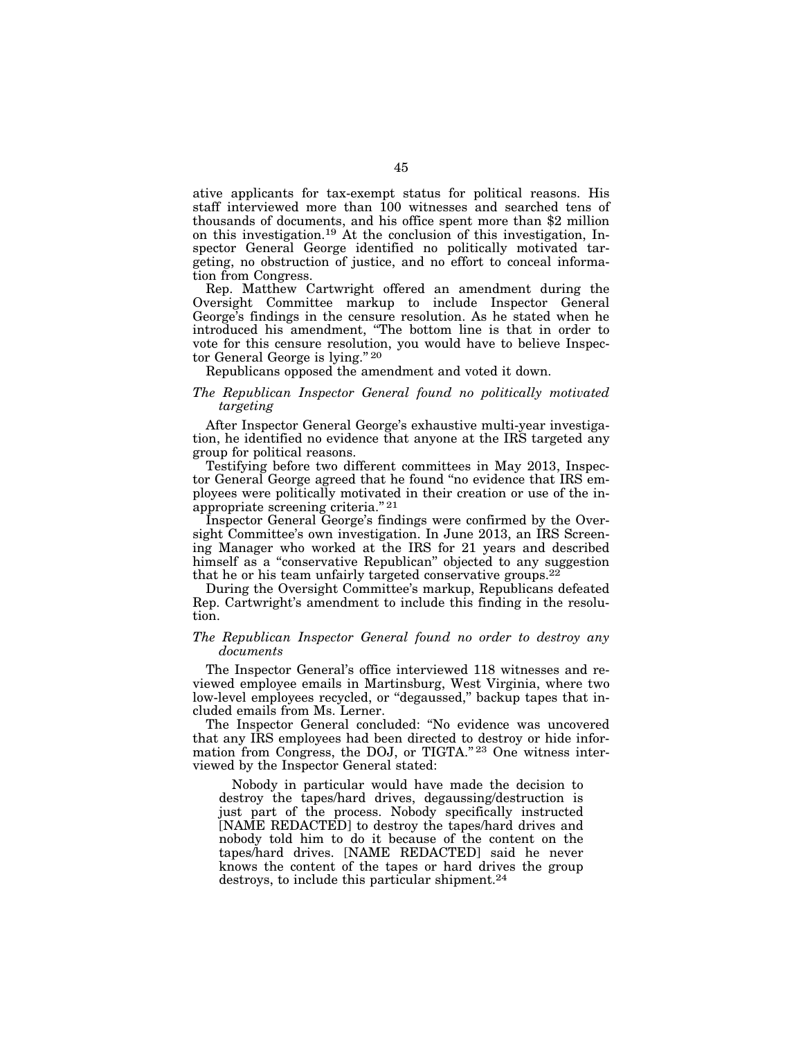ative applicants for tax-exempt status for political reasons. His staff interviewed more than 100 witnesses and searched tens of thousands of documents, and his office spent more than \$2 million on this investigation.19 At the conclusion of this investigation, Inspector General George identified no politically motivated targeting, no obstruction of justice, and no effort to conceal information from Congress.

Rep. Matthew Cartwright offered an amendment during the Oversight Committee markup to include Inspector General George's findings in the censure resolution. As he stated when he introduced his amendment, ''The bottom line is that in order to vote for this censure resolution, you would have to believe Inspector General George is lying.'' 20

Republicans opposed the amendment and voted it down.

### *The Republican Inspector General found no politically motivated targeting*

After Inspector General George's exhaustive multi-year investigation, he identified no evidence that anyone at the IRS targeted any group for political reasons.

Testifying before two different committees in May 2013, Inspector General George agreed that he found ''no evidence that IRS employees were politically motivated in their creation or use of the inappropriate screening criteria." 21

Inspector General George's findings were confirmed by the Oversight Committee's own investigation. In June 2013, an IRS Screening Manager who worked at the IRS for 21 years and described himself as a "conservative Republican" objected to any suggestion that he or his team unfairly targeted conservative groups.22

During the Oversight Committee's markup, Republicans defeated Rep. Cartwright's amendment to include this finding in the resolution.

### *The Republican Inspector General found no order to destroy any documents*

The Inspector General's office interviewed 118 witnesses and reviewed employee emails in Martinsburg, West Virginia, where two low-level employees recycled, or "degaussed," backup tapes that included emails from Ms. Lerner.

The Inspector General concluded: ''No evidence was uncovered that any IRS employees had been directed to destroy or hide information from Congress, the DOJ, or TIGTA."<sup>23</sup> One witness interviewed by the Inspector General stated:

Nobody in particular would have made the decision to destroy the tapes/hard drives, degaussing/destruction is just part of the process. Nobody specifically instructed [NAME REDACTED] to destroy the tapes/hard drives and nobody told him to do it because of the content on the tapes/hard drives. [NAME REDACTED] said he never knows the content of the tapes or hard drives the group destroys, to include this particular shipment.24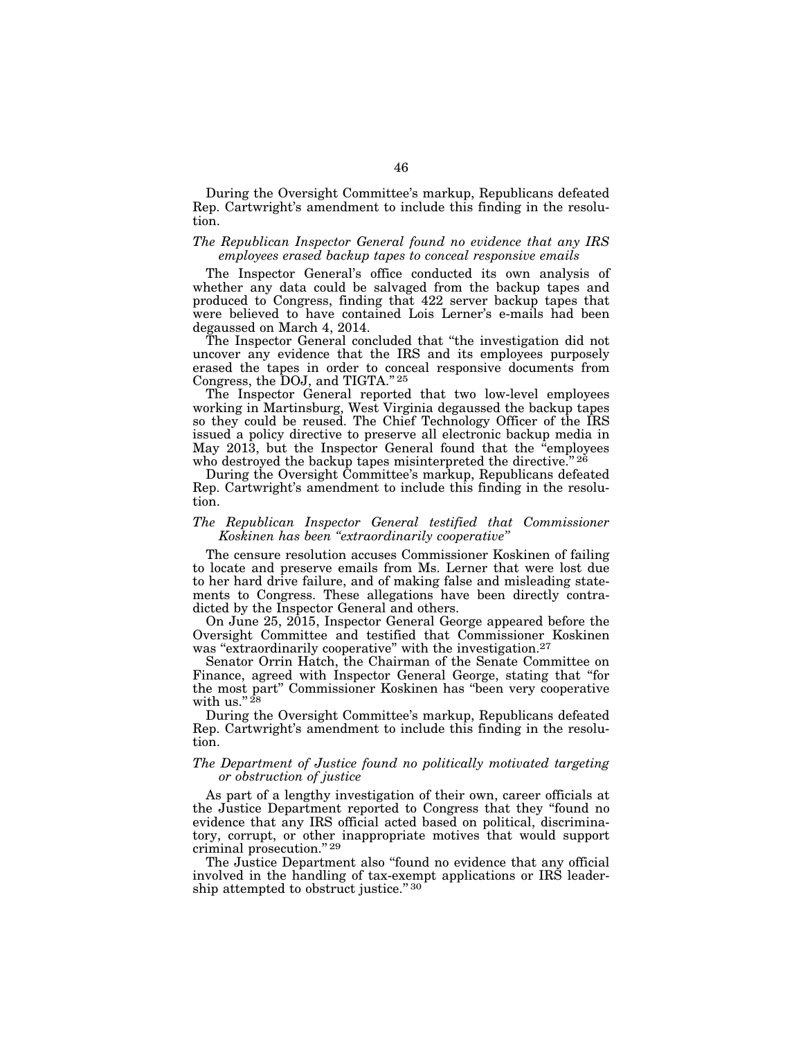During the Oversight Committee's markup, Republicans defeated Rep. Cartwright's amendment to include this finding in the resolution.

### *The Republican Inspector General found no evidence that any IRS employees erased backup tapes to conceal responsive emails*

The Inspector General's office conducted its own analysis of whether any data could be salvaged from the backup tapes and produced to Congress, finding that 422 server backup tapes that were believed to have contained Lois Lerner's e-mails had been degaussed on March 4, 2014.

The Inspector General concluded that ''the investigation did not uncover any evidence that the IRS and its employees purposely erased the tapes in order to conceal responsive documents from Congress, the DOJ, and TIGTA." 25

The Inspector General reported that two low-level employees working in Martinsburg, West Virginia degaussed the backup tapes so they could be reused. The Chief Technology Officer of the IRS issued a policy directive to preserve all electronic backup media in May 2013, but the Inspector General found that the "employees" who destroyed the backup tapes misinterpreted the directive."<sup>26</sup>

During the Oversight Committee's markup, Republicans defeated Rep. Cartwright's amendment to include this finding in the resolution.

### *The Republican Inspector General testified that Commissioner Koskinen has been ''extraordinarily cooperative''*

The censure resolution accuses Commissioner Koskinen of failing to locate and preserve emails from Ms. Lerner that were lost due to her hard drive failure, and of making false and misleading statements to Congress. These allegations have been directly contradicted by the Inspector General and others.

On June 25, 2015, Inspector General George appeared before the Oversight Committee and testified that Commissioner Koskinen was "extraordinarily cooperative" with the investigation.<sup>27</sup>

Senator Orrin Hatch, the Chairman of the Senate Committee on Finance, agreed with Inspector General George, stating that ''for the most part'' Commissioner Koskinen has ''been very cooperative with us." $28$ 

During the Oversight Committee's markup, Republicans defeated Rep. Cartwright's amendment to include this finding in the resolution.

### *The Department of Justice found no politically motivated targeting or obstruction of justice*

As part of a lengthy investigation of their own, career officials at the Justice Department reported to Congress that they ''found no evidence that any IRS official acted based on political, discriminatory, corrupt, or other inappropriate motives that would support criminal prosecution.'' 29

The Justice Department also ''found no evidence that any official involved in the handling of tax-exempt applications or IRS leadership attempted to obstruct justice." 30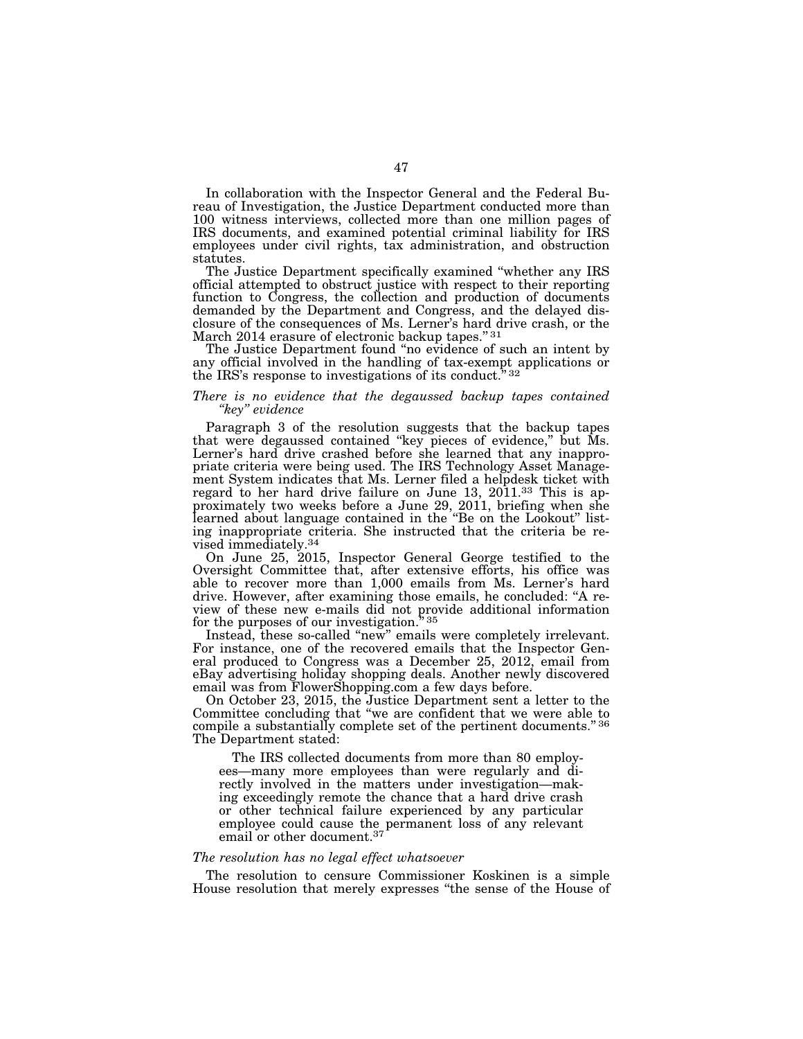In collaboration with the Inspector General and the Federal Bureau of Investigation, the Justice Department conducted more than 100 witness interviews, collected more than one million pages of IRS documents, and examined potential criminal liability for IRS employees under civil rights, tax administration, and obstruction statutes.

The Justice Department specifically examined ''whether any IRS official attempted to obstruct justice with respect to their reporting function to Congress, the collection and production of documents demanded by the Department and Congress, and the delayed disclosure of the consequences of Ms. Lerner's hard drive crash, or the March 2014 erasure of electronic backup tapes." 31

The Justice Department found ''no evidence of such an intent by any official involved in the handling of tax-exempt applications or the IRS's response to investigations of its conduct."<sup>32</sup>

### *There is no evidence that the degaussed backup tapes contained ''key'' evidence*

Paragraph 3 of the resolution suggests that the backup tapes that were degaussed contained "key pieces of evidence," but Ms. Lerner's hard drive crashed before she learned that any inappropriate criteria were being used. The IRS Technology Asset Management System indicates that Ms. Lerner filed a helpdesk ticket with regard to her hard drive failure on June 13, 2011.<sup>33</sup> This is approximately two weeks before a June 29, 2011, briefing when she learned about language contained in the ''Be on the Lookout'' listing inappropriate criteria. She instructed that the criteria be revised immediately.34

On June 25, 2015, Inspector General George testified to the Oversight Committee that, after extensive efforts, his office was able to recover more than 1,000 emails from Ms. Lerner's hard drive. However, after examining those emails, he concluded: ''A review of these new e-mails did not provide additional information for the purposes of our investigation.<sup>"35</sup>

Instead, these so-called ''new'' emails were completely irrelevant. For instance, one of the recovered emails that the Inspector General produced to Congress was a December 25, 2012, email from eBay advertising holiday shopping deals. Another newly discovered email was from FlowerShopping.com a few days before.

On October 23, 2015, the Justice Department sent a letter to the Committee concluding that ''we are confident that we were able to compile a substantially complete set of the pertinent documents.'' 36 The Department stated:

The IRS collected documents from more than 80 employees—many more employees than were regularly and directly involved in the matters under investigation—making exceedingly remote the chance that a hard drive crash or other technical failure experienced by any particular employee could cause the permanent loss of any relevant email or other document.<sup>37</sup>

### *The resolution has no legal effect whatsoever*

The resolution to censure Commissioner Koskinen is a simple House resolution that merely expresses ''the sense of the House of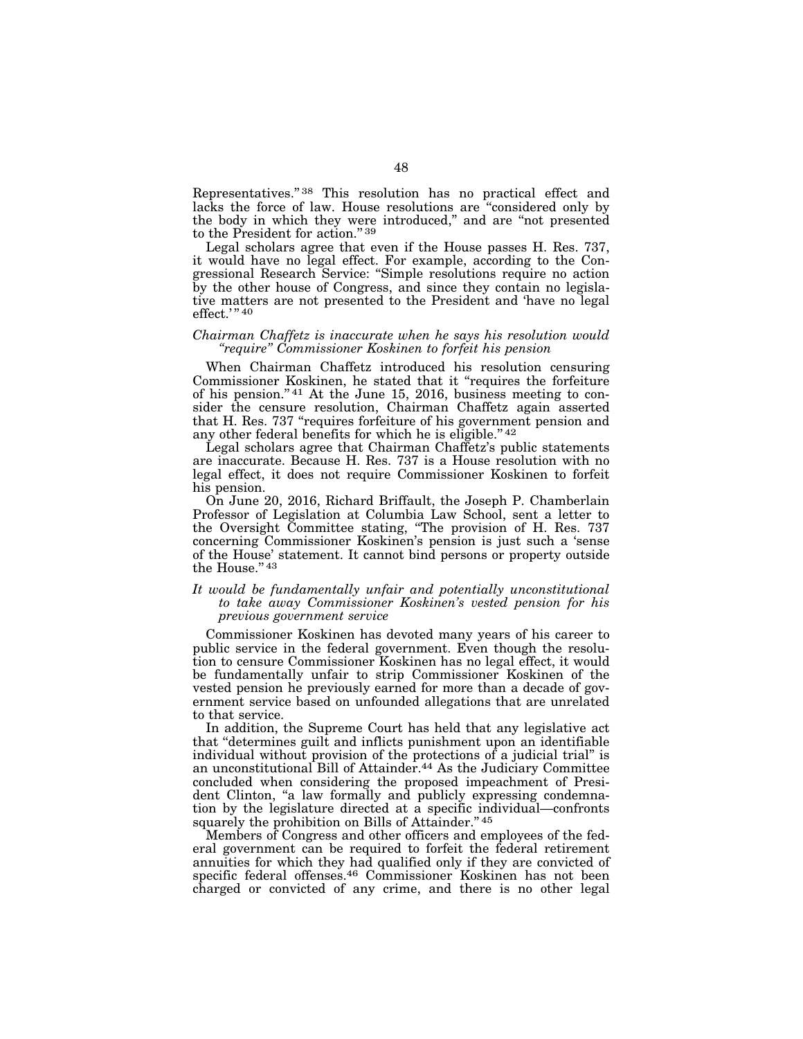Representatives."<sup>38</sup> This resolution has no practical effect and lacks the force of law. House resolutions are ''considered only by the body in which they were introduced,'' and are ''not presented to the President for action."<sup>39</sup>

Legal scholars agree that even if the House passes H. Res. 737, it would have no legal effect. For example, according to the Congressional Research Service: ''Simple resolutions require no action by the other house of Congress, and since they contain no legislative matters are not presented to the President and 'have no legal effect.'" 40

### *Chairman Chaffetz is inaccurate when he says his resolution would ''require'' Commissioner Koskinen to forfeit his pension*

When Chairman Chaffetz introduced his resolution censuring Commissioner Koskinen, he stated that it "requires the forfeiture of his pension." $41$  At the June 15, 2016, business meeting to consider the censure resolution, Chairman Chaffetz again asserted that H. Res. 737 "requires forfeiture of his government pension and any other federal benefits for which he is eligible." <sup>42</sup>

Legal scholars agree that Chairman Chaffetz's public statements are inaccurate. Because H. Res. 737 is a House resolution with no legal effect, it does not require Commissioner Koskinen to forfeit his pension.

On June 20, 2016, Richard Briffault, the Joseph P. Chamberlain Professor of Legislation at Columbia Law School, sent a letter to the Oversight Committee stating, ''The provision of H. Res. 737 concerning Commissioner Koskinen's pension is just such a 'sense of the House' statement. It cannot bind persons or property outside the House." 43

### *It would be fundamentally unfair and potentially unconstitutional to take away Commissioner Koskinen's vested pension for his previous government service*

Commissioner Koskinen has devoted many years of his career to public service in the federal government. Even though the resolution to censure Commissioner Koskinen has no legal effect, it would be fundamentally unfair to strip Commissioner Koskinen of the vested pension he previously earned for more than a decade of government service based on unfounded allegations that are unrelated to that service.

In addition, the Supreme Court has held that any legislative act that ''determines guilt and inflicts punishment upon an identifiable individual without provision of the protections of a judicial trial'' is an unconstitutional Bill of Attainder.44 As the Judiciary Committee concluded when considering the proposed impeachment of President Clinton, "a law formally and publicly expressing condemnation by the legislature directed at a specific individual—confronts squarely the prohibition on Bills of Attainder." 45

Members of Congress and other officers and employees of the federal government can be required to forfeit the federal retirement annuities for which they had qualified only if they are convicted of specific federal offenses.<sup>46</sup> Commissioner Koskinen has not been charged or convicted of any crime, and there is no other legal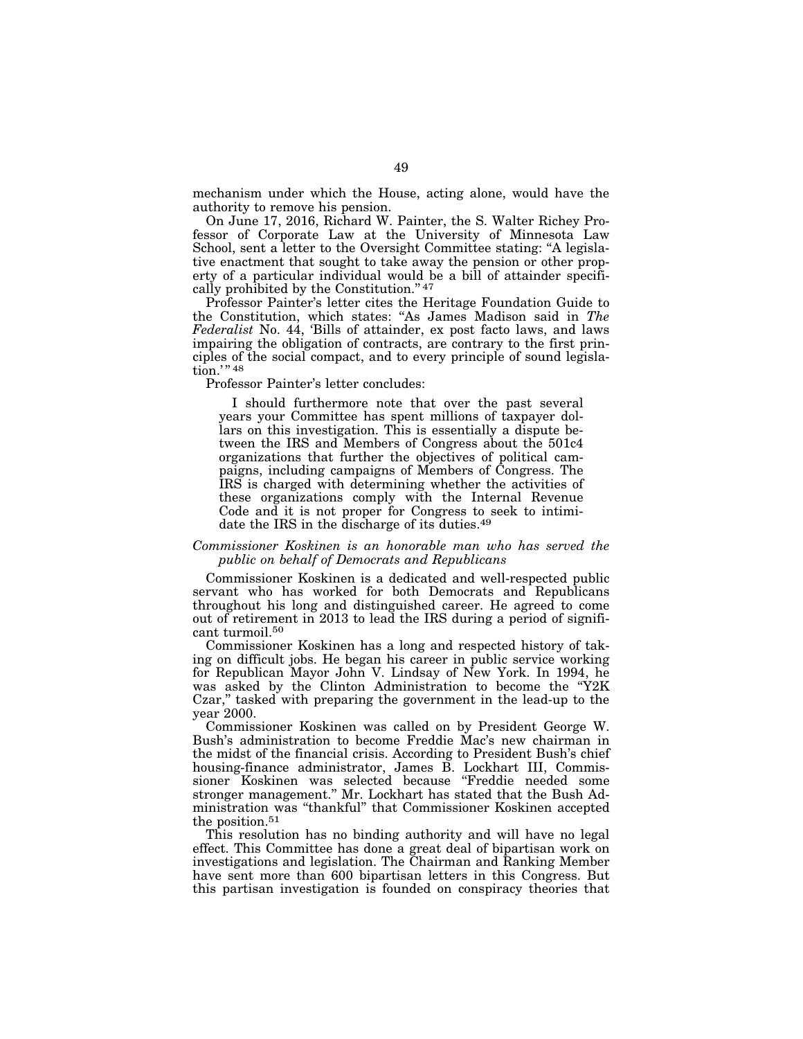mechanism under which the House, acting alone, would have the authority to remove his pension.

On June 17, 2016, Richard W. Painter, the S. Walter Richey Professor of Corporate Law at the University of Minnesota Law School, sent a letter to the Oversight Committee stating: ''A legislative enactment that sought to take away the pension or other property of a particular individual would be a bill of attainder specifically prohibited by the Constitution." 47

Professor Painter's letter cites the Heritage Foundation Guide to the Constitution, which states: ''As James Madison said in *The Federalist* No. 44, 'Bills of attainder, ex post facto laws, and laws impairing the obligation of contracts, are contrary to the first principles of the social compact, and to every principle of sound legisla- $\overline{\text{tion}}$ ." 48

Professor Painter's letter concludes:

I should furthermore note that over the past several years your Committee has spent millions of taxpayer dollars on this investigation. This is essentially a dispute between the IRS and Members of Congress about the 501c4 organizations that further the objectives of political campaigns, including campaigns of Members of Congress. The IRS is charged with determining whether the activities of these organizations comply with the Internal Revenue Code and it is not proper for Congress to seek to intimidate the IRS in the discharge of its duties.49

### *Commissioner Koskinen is an honorable man who has served the public on behalf of Democrats and Republicans*

Commissioner Koskinen is a dedicated and well-respected public servant who has worked for both Democrats and Republicans throughout his long and distinguished career. He agreed to come out of retirement in 2013 to lead the IRS during a period of significant turmoil.50

Commissioner Koskinen has a long and respected history of taking on difficult jobs. He began his career in public service working for Republican Mayor John V. Lindsay of New York. In 1994, he was asked by the Clinton Administration to become the "Y2K Czar,'' tasked with preparing the government in the lead-up to the year 2000.

Commissioner Koskinen was called on by President George W. Bush's administration to become Freddie Mac's new chairman in the midst of the financial crisis. According to President Bush's chief housing-finance administrator, James B. Lockhart III, Commissioner Koskinen was selected because ''Freddie needed some stronger management.'' Mr. Lockhart has stated that the Bush Administration was ''thankful'' that Commissioner Koskinen accepted the position.<sup>51</sup>

This resolution has no binding authority and will have no legal effect. This Committee has done a great deal of bipartisan work on investigations and legislation. The Chairman and Ranking Member have sent more than 600 bipartisan letters in this Congress. But this partisan investigation is founded on conspiracy theories that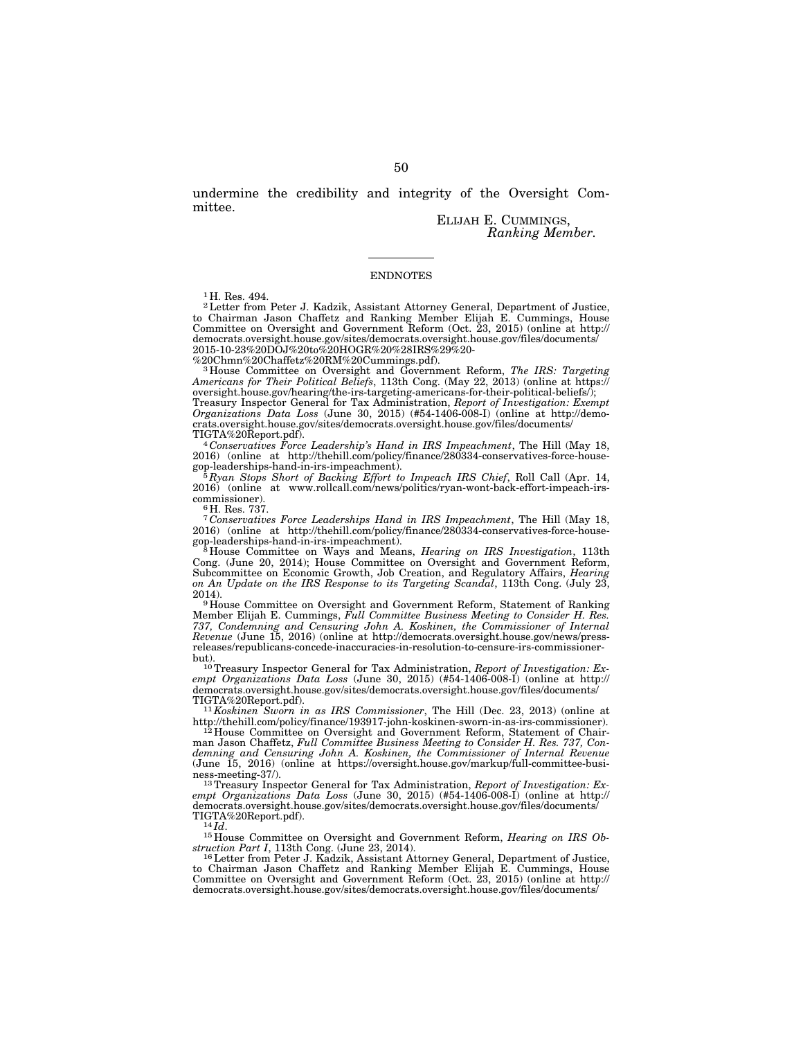undermine the credibility and integrity of the Oversight Committee.

ELIJAH E. CUMMINGS, *Ranking Member.* 

### ENDNOTES

1 H. Res. 494.

2Letter from Peter J. Kadzik, Assistant Attorney General, Department of Justice, to Chairman Jason Chaffetz and Ranking Member Elijah E. Cummings, House Committee on Oversight and Government Reform (Oct. 23, 2015) (online at http:// democrats.oversight.house.gov/sites/democrats.oversight.house.gov/files/documents/ 2015-10-23%20DOJ%20to%20HOGR%20%28IRS%29%20-

<sup>3</sup> House Committee on Oversight and Government Reform, *The IRS: Targeting Americans for Their Political Beliefs*, 113th Cong. (May 22, 2013) (online at https:// oversight.house.gov/hearing/the-irs-targeting-americans-for-their-political-beliefs/); Treasury Inspector General for Tax Administration, *Report of Investigation: Exempt Organizations Data Loss* (June 30, 2015) (#54-1406-008-I) (online at http://democrats.oversight.house.gov/sites/democrats.oversight.house.gov/files/documents/

<sup>4</sup> Conservatives Force Leadership's Hand in IRS Impeachment, The Hill (May 18, 2016) (online at http://thehill.com/policy/finance/280334-conservatives-force-housegop-leaderships-hand-in-irs-impeachment). 5 *Ryan Stops Short of Backing Effort to Impeach IRS Chief*, Roll Call (Apr. 14,

2016) (online at www.rollcall.com/news/politics/ryan-wont-back-effort-impeach-irscommissioner).<br><sup>6</sup> H. Res. 737.

7 *Conservatives Force Leaderships Hand in IRS Impeachment*, The Hill (May 18, 2016) (online at http://thehill.com/policy/finance/280334-conservatives-force-housegop-leaderships-hand-in-irs-impeachment). 8 House Committee on Ways and Means, *Hearing on IRS Investigation*, 113th

Cong. (June 20, 2014); House Committee on Oversight and Government Reform, Subcommittee on Economic Growth, Job Creation, and Regulatory Affairs, *Hearing on An Update on the IRS Response to its Targeting Scandal*, 113th Cong. (July 23,

<sup>9</sup> House Committee on Oversight and Government Reform, Statement of Ranking Member Elijah E. Cummings, *Full Committee Business Meeting to Consider H. Res. 737, Condemning and Censuring John A. Koskinen, the Commissioner of Internal Revenue* (June 15, 2016) (online at http://democrats.oversight.house.gov/news/pressreleases/republicans-concede-inaccuracies-in-resolution-to-censure-irs-commissioner-

<sup>10</sup> Treasury Inspector General for Tax Administration, *Report of Investigation: Exempt Organizations Data Loss* (June 30, 2015) (#54-1406-008-I) (online at http:// democrats.oversight.house.gov/sites/democrats.oversight.house.gov/files/documents/

<sup>11</sup> *Koskinen Sworn in as IRS Commissioner*, The Hill (Dec. 23, 2013) (online at http://thehill.com/policy/finance/193917-john-koskinen-sworn-in-as-irs-commissioner).<br>
<sup>12</sup> House Committee on Oversight and Government Reform, Statement of Chair-

man Jason Chaffetz, *Full Committee Business Meeting to Consider H. Res. 737, Condemning and Censuring John A. Koskinen, the Commissioner of Internal Revenue*  (June 15, 2016) (online at https://oversight.house.gov/markup/full-committee-business-meeting-37/).<br><sup>13</sup>Treasury Inspector General for Tax Administration, *Report of Investigation: Ex-*

*empt Organizations Data Loss* (June 30, 2015) (#54-1406-008-I) (online at http:// democrats.oversight.house.gov/sites/democrats.oversight.house.gov/files/documents/

<sup>14</sup>*Id.* <sup>15</sup> House Committee on Oversight and Government Reform, *Hearing on IRS Obstruction Part I*, 113th Cong. (June 23, 2014).

<sup>16</sup> Letter from Peter J. Kadzik, Assistant Attorney General, Department of Justice, to Chairman Jason Chaffetz and Ranking Member Elijah E. Cummings, House Committee on Oversight and Government Reform (Oct. 23, 2015) (online at http:// democrats.oversight.house.gov/sites/democrats.oversight.house.gov/files/documents/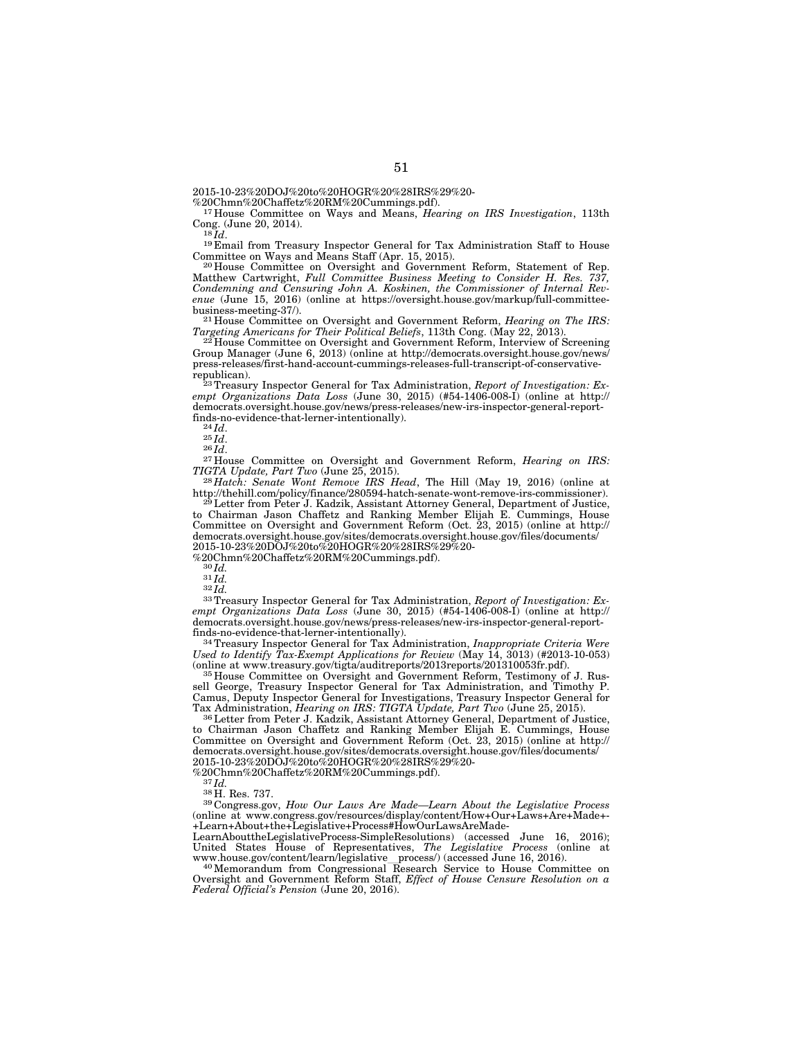2015-10-23%20DOJ%20to%20HOGR%20%28IRS%29%20-

%20Chmn%20Chaffetz%20RM%20Cummings.pdf). 17 House Committee on Ways and Means, *Hearing on IRS Investigation*, 113th

<sup>18</sup>*Id.* <sup>19</sup> Email from Treasury Inspector General for Tax Administration Staff to House Committee on Ways and Means Staff (Apr. 15, 2015).

<sup>20</sup>House Committee on Oversight and Government Reform, Statement of Rep. Matthew Cartwright, *Full Committee Business Meeting to Consider H. Res. 737, Condemning and Censuring John A. Koskinen, the Commissioner of Internal Revenue* (June 15, 2016) (online at https://oversight.house.gov/markup/full-committee-

<sup>21</sup> House Committee on Oversight and Government Reform, *Hearing on The IRS:* Targeting Americans for Their Political Beliefs, 113th Cong. (May 22, 2013).

<sup>22</sup> House Committee on Oversight and Government Reform, Interview of Screening Group Manager (June 6, 2013) (online at http://democrats.oversight.house.gov/news/ press-releases/first-hand-account-cummings-releases-full-transcript-of-conservativerepublican). 23Treasury Inspector General for Tax Administration, *Report of Investigation: Ex-*

*empt Organizations Data Loss* (June 30, 2015) (#54-1406-008-I) (online at http:// democrats.oversight.house.gov/news/press-releases/new-irs-inspector-general-report-

finds-no-evidence-that-lerner-intentionally). 24 *Id*. 25 *Id*. 26 *Id*. 27 House Committee on Oversight and Government Reform, *Hearing on IRS: TIGTA Update, Part Two* (June 25, 2015). 28 *Hatch: Senate Wont Remove IRS Head*, The Hill (May 19, 2016) (online at

http://thehill.com/policy/finance/280594-hatch-senate-wont-remove-irs-commissioner). 29Letter from Peter J. Kadzik, Assistant Attorney General, Department of Justice,

to Chairman Jason Chaffetz and Ranking Member Elijah E. Cummings, House Committee on Oversight and Government Reform (Oct. 23, 2015) (online at http:// democrats.oversight.house.gov/sites/democrats.oversight.house.gov/files/documents/ 2015-10-23%20DOJ%20to%20HOGR%20%28IRS%29%20-

%20Chmn%20Chaffetz%20RM%20Cummings.pdf).<br><sup>30</sup>*Id.*<br><sup>31</sup>*Id.*<br><sup>32</sup>*Id.*<br><sup>33</sup>Treasury Inspector General for Tax Administration, *Report of Investigation: Exempt Organizations Data Loss* (June 30, 2015) (#54-1406-008-I) (online at http:// democrats.oversight.house.gov/news/press-releases/new-irs-inspector-general-report-

<sup>34</sup> Treasury Inspector General for Tax Administration, *Inappropriate Criteria Were Used to Identify Tax-Exempt Applications for Review* (May 14, 3013) (#2013-10-053)

35 House Committee on Oversight and Government Reform, Testimony of J. Russell George, Treasury Inspector General for Tax Administration, and Timothy P. Camus, Deputy Inspector General for Investigations, Treasury Inspector General for Tax Administration, *Hearing on IRS: TIGTA Update, Part Two* (June 25, 2015). 36Letter from Peter J. Kadzik, Assistant Attorney General, Department of Justice,

to Chairman Jason Chaffetz and Ranking Member Elijah E. Cummings, House Committee on Oversight and Government Reform (Oct. 23, 2015) (online at http:// democrats.oversight.house.gov/sites/democrats.oversight.house.gov/files/documents/ 2015-10-23%20DOJ%20to%20HOGR%20%28IRS%29%20-

%20Chmn%20Chaffetz%20RM%20Cummings.pdf). 37 *Id.* <sup>38</sup> H. Res. 737. 39 Congress.gov, *How Our Laws Are Made—Learn About the Legislative Process*  (online at www.congress.gov/resources/display/content/How+Our+Laws+Are+Made+- +Learn+About+the+Legislative+Process#HowOurLawsAreMade-

LearnAbouttheLegislativeProcess-SimpleResolutions) (accessed June 16, 2016); United States House of Representatives, *The Legislative Process* (online at www.house.gov/content/learn/legislativelprocess/) (accessed June 16, 2016).<br><sup>40</sup>Memorandum from Congressional Research Service to House Committee on

Oversight and Government Reform Staff, *Effect of House Censure Resolution on a Federal Official's Pension* (June 20, 2016).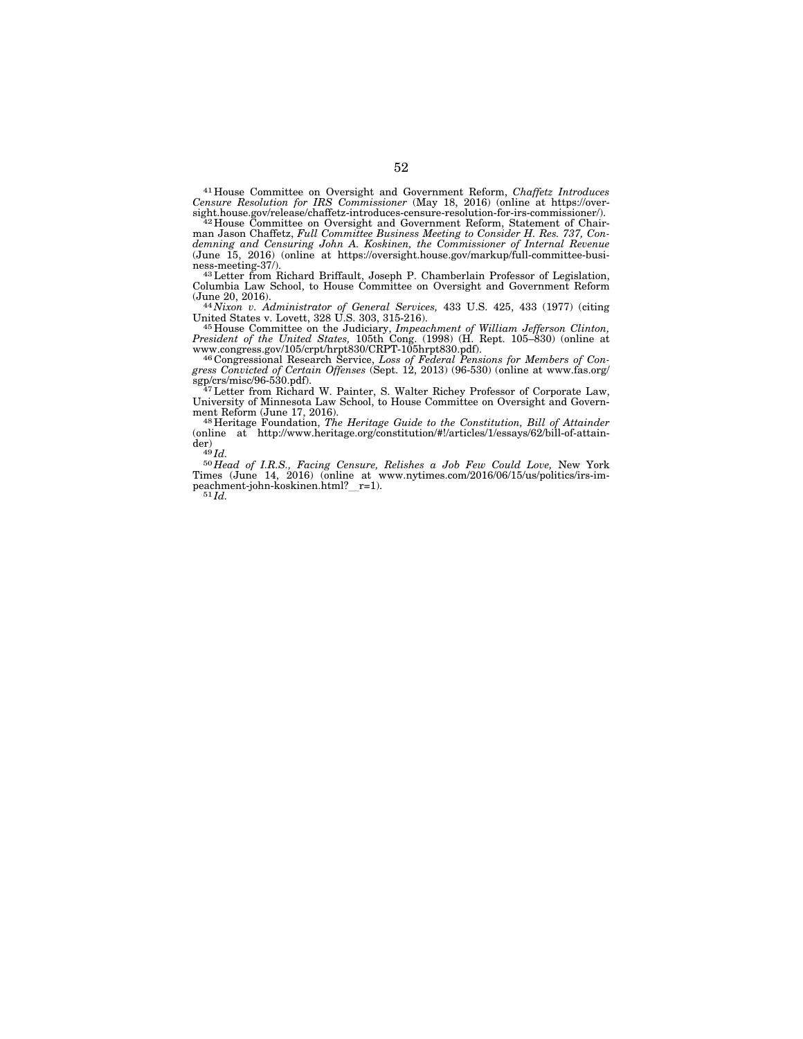41 House Committee on Oversight and Government Reform, *Chaffetz Introduces Censure Resolution for IRS Commissioner* (May 18, 2016) (online at https://over-

sight.house.gov/release/chaffetz-introduces-censure-resolution-for-irs-commissioner/). 42 House Committee on Oversight and Government Reform, Statement of Chairman Jason Chaffetz, *Full Committee Business Meeting to Consider H. Res. 737, Condemning and Censuring John A. Koskinen, the Commissioner of Internal Revenue*  (June 15, 2016) (online at https://oversight.house.gov/markup/full-committee-busi-

ness-meeting-37/).<br><sup>43</sup>Letter from Richard Briffault, Joseph P. Chamberlain Professor of Legislation, Columbia Law School, to House Committee on Oversight and Government Reform

<sup>44</sup> *Nixon v. Administrator of General Services*, 433 U.S. 425, 433 (1977) (citing United States v. Lovett, 328 U.S. 303, 315-216). United States v. Lovett, 328 U.S. 303, 315-216). 45 House Committee on the Judiciary, *Impeachment of William Jefferson Clinton,* 

*President of the United States,* 105th Cong. (1998) (H. Rept. 105–830) (online at www.congress.gov/105/crpt/hrpt830/CRPT-105hrpt830.pdf). 46 Congressional Research Service, *Loss of Federal Pensions for Members of Con-*

*gress Convicted of Certain Offenses* (Sept. 12, 2013) (96-530) (online at www.fas.org/ sgp/crs/misc/96-530.pdf). 47 Letter from Richard W. Painter, S. Walter Richey Professor of Corporate Law,

University of Minnesota Law School, to House Committee on Oversight and Govern-<br>ment Reform (June 17, 2016).

<sup>48</sup> Heritage Foundation, *The Heritage Guide to the Constitution*, *Bill of Attainder* (online at http://www.heritage.org/constitution/#!/articles/1/essays/62/bill-of-attain-<br>der) der) 49 *Id.* <sup>50</sup> *Head of I.R.S., Facing Censure, Relishes a Job Few Could Love,* New York

Times (June 14, 2016) (online at www.nytimes.com/2016/06/15/us/politics/irs-impeachment-john-koskinen.html? $r=1$ .<br> $51 Id.$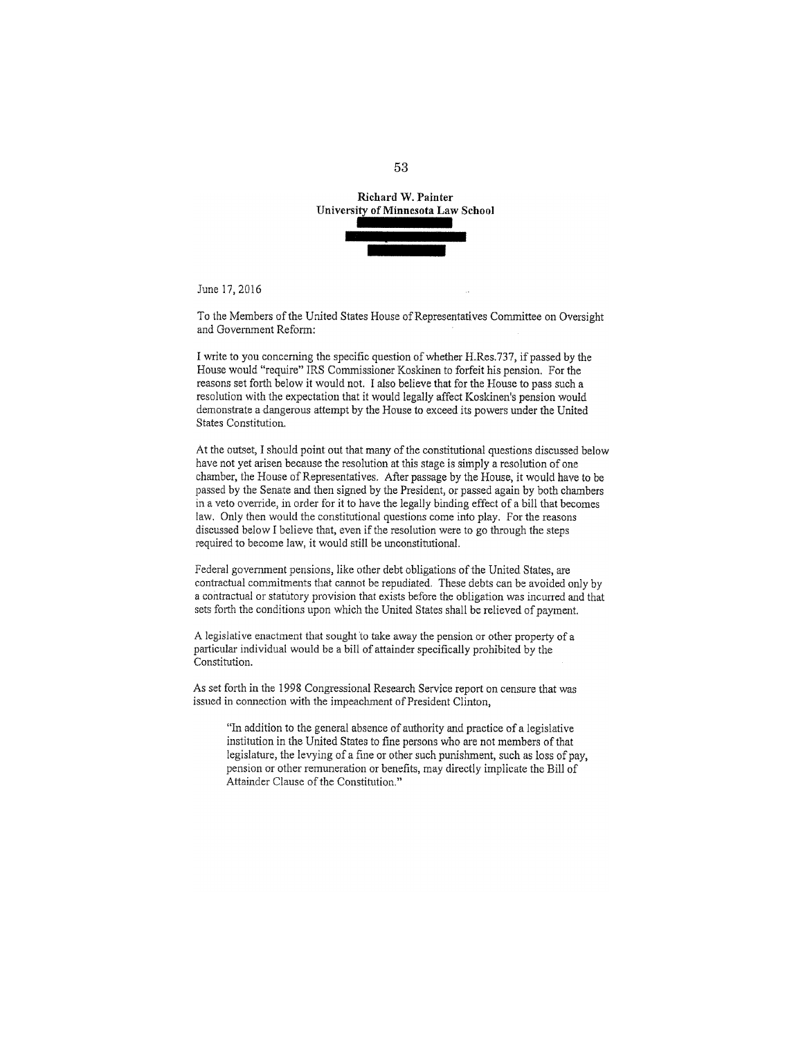

June 17, 2016

To the Members of the United States House of Representatives Committee on Oversight and Government Reform:

I write to you concerning the specific question of whether H.Res.737, if passed by the House would "require" IRS Commissioner Koskinen to forfeit his pension. For the reasons set forth below it would not. I also believe that for the House to pass such a resolution with the expectation that it would legally affect Koskinen's pension would demonstrate a dangerous attempt by the House to exceed its powers under the United States Constitution.

At the outset, I should point out that many of the constitutional questions discussed below have not yet arisen because the resolution at this stage is simply a resolution of one chamber, the House of Representatives. After passage by the House, it would have to be passed by the Senate and then signed by the President, or passed again by both chambers in a veto override, in order for it to have the legally binding effect of a bill that becomes law. Only then would the constitutional questions come into play. For the reasons discussed below I believe that, even if the resolution were to go through the steps required to become law, it would still be unconstitutional.

Federal government pensions, like other debt obligations of the United States, are contractual commitments that cannot be repudiated. These debts can be avoided only by a contractual or statutory provision that exists before the obligation was incurred and that sets forth the conditions upon which the United States shall be relieved of payment.

A legislative enactment that sought to take away the pension or other property of a particular individual would be a bill of attainder specifically prohibited by the Constitution.

As set forth in the 1998 Congressional Research Service report on censure that was issued in connection with the impeachment of President Clinton,

"In addition to the general absence of authority and practice of a legislative institution in the United States to fine persons who are not members of that legislature, the levying of a fine or other such punishment, such as loss of pay, pension or other remuneration or benefits, may directly implicate the Bill of Attainder Clause of the Constitution."

53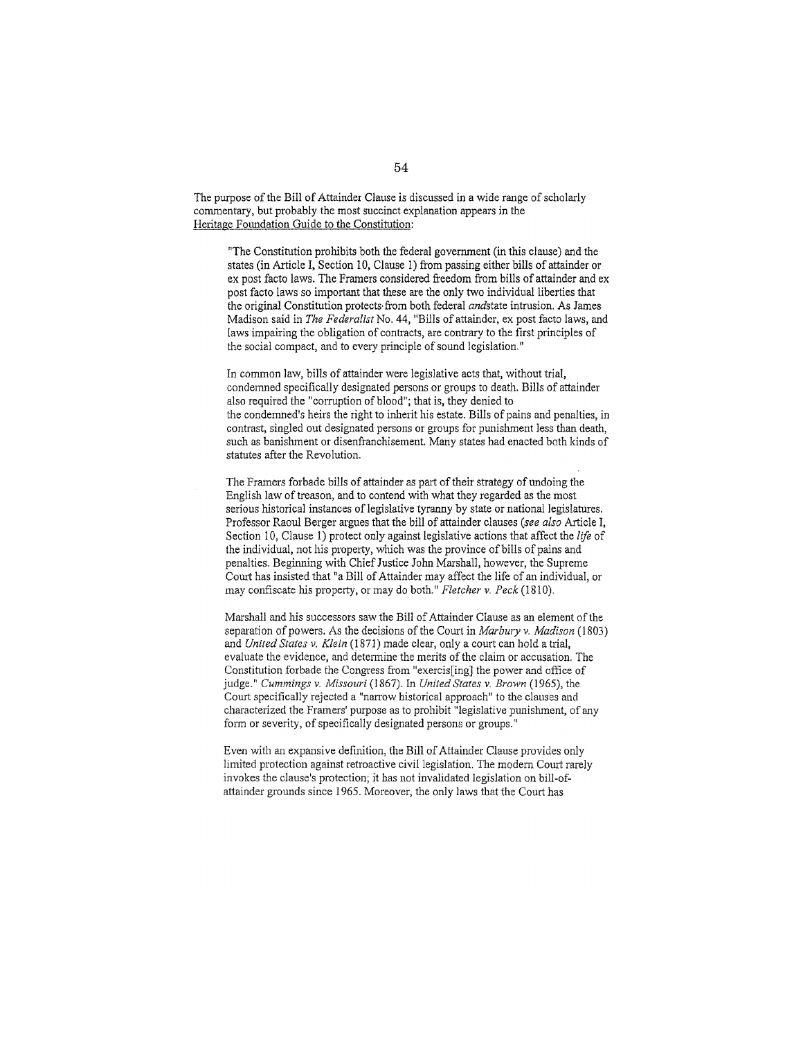The purpose of the Bill of Attainder Clause is discussed in a wide range of scholarly commentary, but probably the most succinct explanation appears in the Heritage Foundation Guide to the Constitution:

"The Constitution prohibits both the federal government (in this clause) and the states (in Article I, Section 10, Clause 1) from passing either bills of attainder or ex post facto laws. The Framers considered freedom from bills of attainder and ex nost facto laws so important that these are the only two individual liberties that the original Constitution protects from both federal *andstate* intrusion. As James Madison said in The Federalist No. 44, "Bills of attainder, ex post facto laws, and laws impairing the obligation of contracts, are contrary to the first principles of the social compact, and to every principle of sound legislation."

In common law, bills of attainder were legislative acts that, without trial, condemned specifically designated persons or groups to death. Bills of attainder also required the "corruption of blood"; that is, they denied to the condemned's heirs the right to inherit his estate. Bills of pains and penalties, in contrast, singled out designated persons or groups for punishment less than death, such as banishment or disenfranchisement. Many states had enacted both kinds of statutes after the Revolution.

The Framers forbade bills of attainder as part of their strategy of undoing the English law of treason, and to contend with what they regarded as the most serious historical instances of legislative tyranny by state or national legislatures. Professor Raoul Berger argues that the bill of attainder clauses (see also Article I, Section 10, Clause 1) protect only against legislative actions that affect the life of the individual, not his property, which was the province of bills of pains and penalties. Beginning with Chief Justice John Marshall, however, the Supreme Court has insisted that "a Bill of Attainder may affect the life of an individual, or may confiscate his property, or may do both." Fletcher v. Peck (1810).

Marshall and his successors saw the Bill of Attainder Clause as an element of the separation of powers. As the decisions of the Court in Marbury v. Madison (1803) and United States v. Klein (1871) made clear, only a court can hold a trial, evaluate the evidence, and determine the merits of the claim or accusation. The Constitution forbade the Congress from "exercis[ing] the power and office of judge." Cummings v. Missouri (1867). In United States v. Brown (1965), the Court specifically rejected a "narrow historical approach" to the clauses and characterized the Framers' purpose as to prohibit "legislative punishment, of any form or severity, of specifically designated persons or groups."

Even with an expansive definition, the Bill of Attainder Clause provides only limited protection against retroactive civil legislation. The modern Court rarely invokes the clause's protection; it has not invalidated legislation on bill-ofattainder grounds since 1965. Moreover, the only laws that the Court has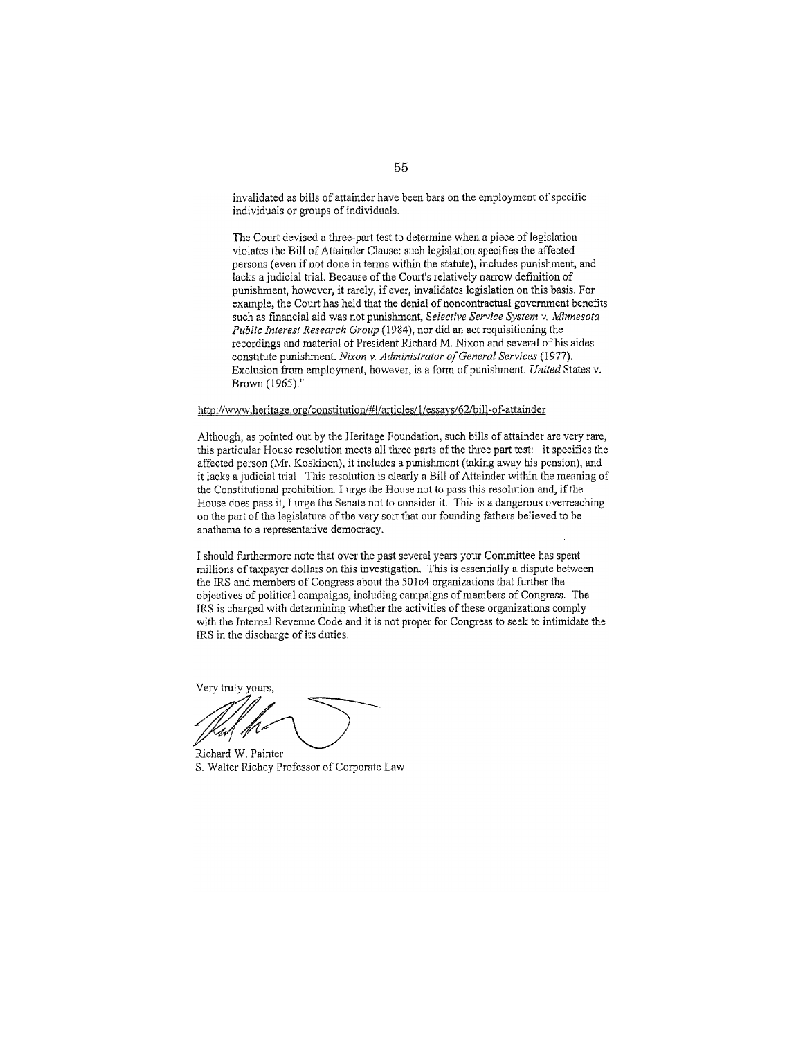invalidated as bills of attainder have been bars on the employment of specific individuals or groups of individuals.

The Court devised a three-part test to determine when a piece of legislation violates the Bill of Attainder Clause: such legislation specifies the affected persons (even if not done in terms within the statute), includes punishment, and lacks a judicial trial. Because of the Court's relatively narrow definition of punishment, however, it rarely, if ever, invalidates legislation on this basis. For example, the Court has held that the denial of noncontractual government benefits such as financial aid was not punishment, Selective Service System v. Minnesota *Public Interest Research Group* (1984), nor did an act requisitioning the recordings and material of President Richard M. Nixon and several of his aides constitute punishment. Nixon v. Administrator of General Services (1977). Exclusion from employment, however, is a form of punishment. United States v. Brown (1965)."

### http://www.heritage.org/constitution/#!/articles/1/essays/62/bill-of-attainder

Although, as pointed out by the Heritage Foundation, such bills of attainder are very rare, this particular House resolution meets all three parts of the three part test: it specifies the affected person (Mr. Koskinen), it includes a punishment (taking away his pension), and it lacks a judicial trial. This resolution is clearly a Bill of Attainder within the meaning of the Constitutional prohibition. I urge the House not to pass this resolution and, if the House does pass it, I urge the Senate not to consider it. This is a dangerous overreaching on the part of the legislature of the very sort that our founding fathers believed to be anathema to a representative democracy.

I should furthermore note that over the past several years your Committee has spent millions of taxpayer dollars on this investigation. This is essentially a dispute between the IRS and members of Congress about the 501c4 organizations that further the objectives of political campaigns, including campaigns of members of Congress. The IRS is charged with determining whether the activities of these organizations comply with the Internal Revenue Code and it is not proper for Congress to seek to intimidate the IRS in the discharge of its duties.

Very truly yours,

Richard W. Painter S. Walter Richey Professor of Corporate Law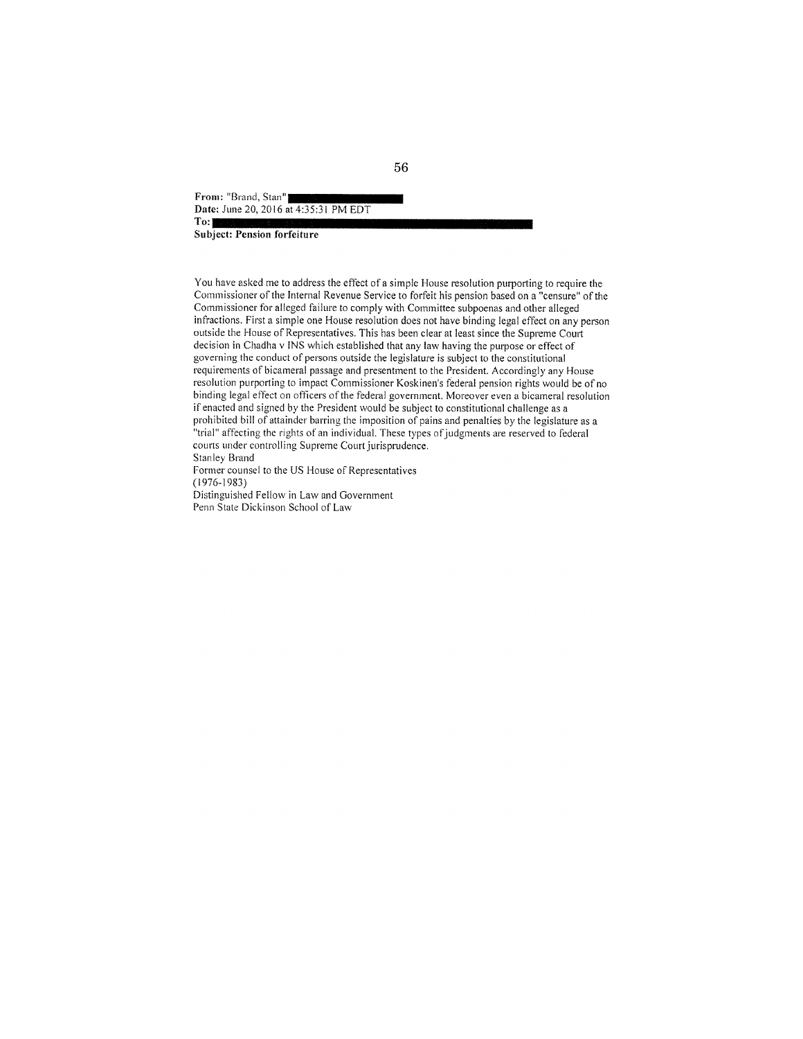From: "Brand, Stan" Date: June 20, 2016 at 4:35:31 PM EDT  $To:$ 

Subject: Pension forfeiture

You have asked me to address the effect of a simple House resolution purporting to require the Commissioner of the Internal Revenue Service to forfeit his pension based on a "censure" of the Commissioner for alleged failure to comply with Committee subpoenas and other alleged infractions. First a simple one House resolution does not have binding legal effect on any person outside the House of Representatives. This has been clear at least since the Supreme Court decision in Chadha v INS which established that any law having the purpose or effect of governing the conduct of persons outside the legislature is subject to the constitutional requirements of bicameral passage and presentment to the President. Accordingly any House resolution purporting to impact Commissioner Koskinen's federal pension rights would be of no binding legal effect on officers of the federal government. Moreover even a bicameral resolution if enacted and signed by the President would be subject to constitutional challenge as a prohibited bill of attainder barring the imposition of pains and penalties by the legislature as a "trial" affecting the rights of an individual. These types of judgments are reserved to federal courts under controlling Supreme Court jurisprudence. **Stanley Brand** 

Former counsel to the US House of Representatives  $(1976 - 1983)$ Distinguished Fellow in Law and Government Penn State Dickinson School of Law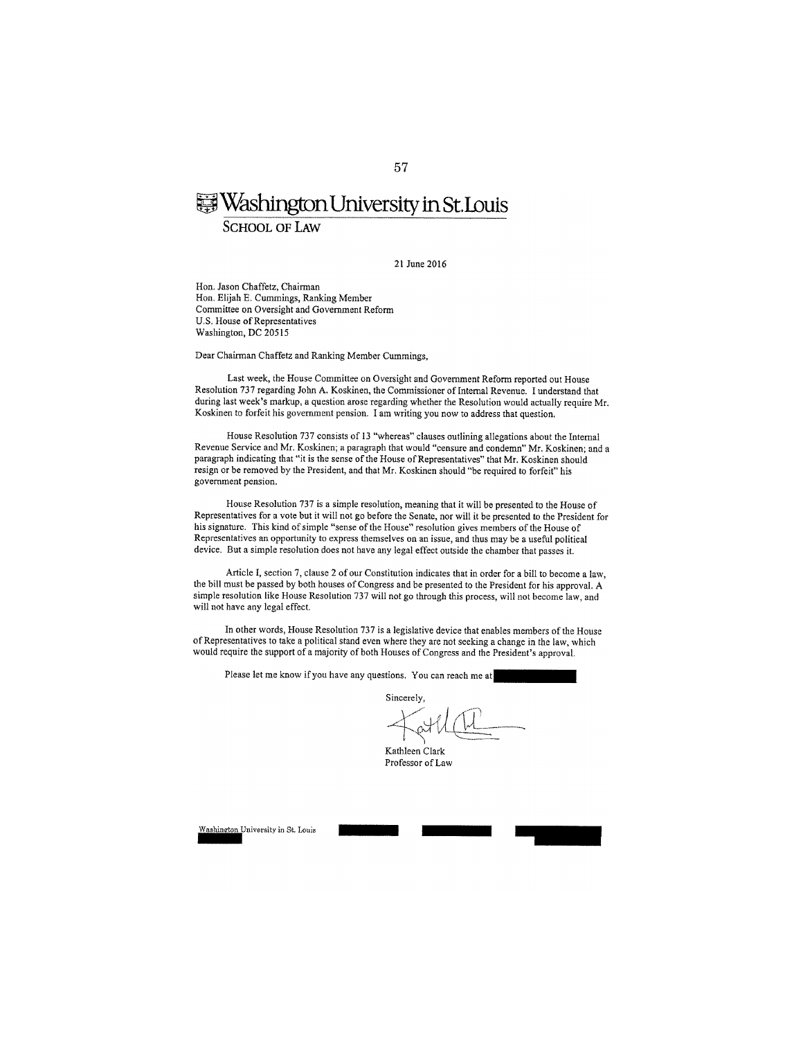# Washington University in St. Louis

**SCHOOL OF LAW** 

21 June 2016

Hon. Jason Chaffetz, Chairman Hon. Elijah E. Cummings, Ranking Member Committee on Oversight and Government Reform U.S. House of Representatives Washington, DC 20515

Dear Chairman Chaffetz and Ranking Member Cummings,

Last week, the House Committee on Oversight and Government Reform reported out House Resolution 737 regarding John A. Koskinen, the Commissioner of Internal Revenue. I understand that during last week's markup, a question arose regarding whether the Resolution would actually require Mr. Koskinen to forfeit his government pension. I am writing you now to address that question.

House Resolution 737 consists of 13 "whereas" clauses outlining allegations about the Internal Revenue Service and Mr. Koskinen; a paragraph that would "censure and condemn" Mr. Koskinen; and a paragraph indicating that "it is the sense of the House of Representatives" that Mr. Koskinen should resign or be removed by the President, and that Mr. Koskinen should "be required to forfeit" his government pension.

House Resolution 737 is a simple resolution, meaning that it will be presented to the House of Representatives for a vote but it will not go before the Senate, nor will it be presented to the President for his signature. This kind of simple "sense of the House" resolution gives members of the House of Representatives an opportunity to express themselves on an issue, and thus may be a useful political device. But a simple resolution does not have any legal effect outside the chamber that passes it.

Article I, section 7, clause 2 of our Constitution indicates that in order for a bill to become a law, the bill must be passed by both houses of Congress and be presented to the President for his approval. A simple resolution like House Resolution 737 will not go through this process, will not become law, and will not have any legal effect.

In other words, House Resolution 737 is a legislative device that enables members of the House of Representatives to take a political stand even where they are not seeking a change in the law, which would require the support of a majority of both Houses of Congress and the President's approval.

Please let me know if you have any questions. You can reach me at

Sincerely.

Kathleen Clark Professor of Law

Washington University in St. Louis

57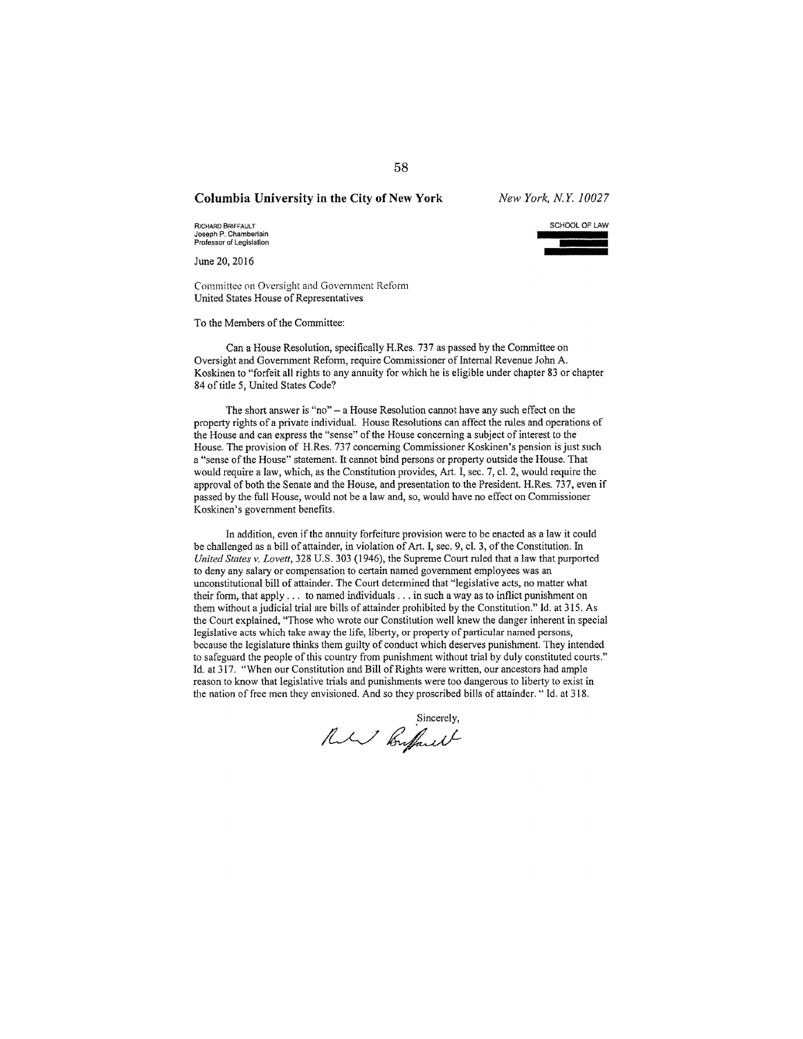### Columbia University in the City of New York

Richard BriFFAULT<br>Joseph P. Chamberlain<br>Professor of Legislation

June 20, 2016

Committee on Oversight and Government Reform United States House of Representatives

To the Members of the Committee:

Can a House Resolution, specifically H.Res. 737 as passed by the Committee on Oversight and Government Reform, require Commissioner of Internal Revenue John A. Koskinen to "forfeit all rights to any annuity for which he is eligible under chapter 83 or chapter 84 of title 5, United States Code?

The short answer is "no" - a House Resolution cannot have any such effect on the property rights of a private individual. House Resolutions can affect the rules and operations of the House and can express the "sense" of the House concerning a subject of interest to the House. The provision of H.Res. 737 concerning Commissioner Koskinen's pension is just such a "sense of the House" statement. It cannot bind persons or property outside the House. That would require a law, which, as the Constitution provides, Art. I, sec. 7, cl. 2, would require the approval of both the Senate and the House, and presentation to the President. H.Res. 737, even if passed by the full House, would not be a law and, so, would have no effect on Commissioner Koskinen's government benefits.

In addition, even if the annuity forfeiture provision were to be enacted as a law it could be challenged as a bill of attainder, in violation of Art. I, sec. 9, cl. 3, of the Constitution. In United States v. Lovett, 328 U.S. 303 (1946), the Supreme Court ruled that a law that purported to deny any salary or compensation to certain named government employees was an unconstitutional bill of attainder. The Court determined that "legislative acts, no matter what their form, that apply . . . to named individuals . . . in such a way as to inflict punishment on them without a judicial trial are bills of attainder prohibited by the Constitution." Id. at 315. As the Court explained, "Those who wrote our Constitution well knew the danger inherent in special legislative acts which take away the life, liberty, or property of particular named persons, because the legislature thinks them guilty of conduct which deserves punishment. They intended to safeguard the people of this country from punishment without trial by duly constituted courts." Id. at 317. "When our Constitution and Bill of Rights were written, our ancestors had ample reason to know that legislative trials and punishments were too dangerous to liberty to exist in the nation of free men they envisioned. And so they proscribed bills of attainder. "Id. at 318.

Sincerely,



SCHOOL OF LAW

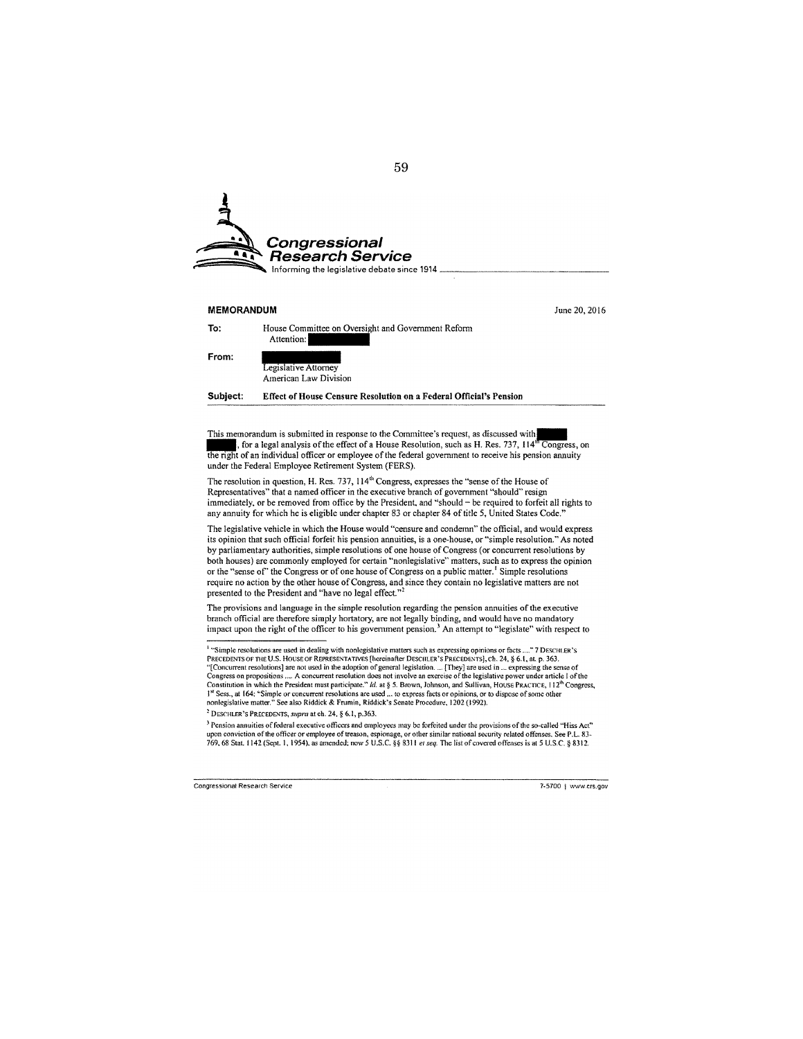|                   | <b>Congressional</b><br>Research Service<br>Informing the legislative debate since 1914 |               |
|-------------------|-----------------------------------------------------------------------------------------|---------------|
| <b>MEMORANDUM</b> |                                                                                         | June 20, 2016 |
| To:               | House Committee on Oversight and Government Reform<br>Attention:                        |               |
| From:             | Legislative Attorney<br>American Law Division                                           |               |
| Subject:          | Effect of House Censure Resolution on a Federal Official's Pension                      |               |

59

This memorandum is submitted in response to the Committee's request, as discussed with , for a legal analysis of the effect of a House Resolution, such as H. Res. 737, 114<sup>th</sup> Congress, on the right of an individual officer or employee of the federal government to receive his pension annuity under the Federal Employee Retirement System (FERS).

The resolution in question, H. Res. 737, 114<sup>th</sup> Congress, expresses the "sense of the House of Representatives" that a named officer in the executive branch of government "should" resign immediately, or be removed from office by the President, and "should - be required to forfeit all rights to any annuity for which he is eligible under chapter 83 or chapter 84 of title 5, United States Code.'

The legislative vehicle in which the House would "censure and condemn" the official, and would express its opinion that such official forfeit his pension annuities, is a one-house, or "simple resolution." As noted by parliamentary authorities, simple resolutions of one house of Congress (or concurrent resolutions by both houses) are commonly employed for certain "nonlegislative" matters, such as to express the opinion or the "sense of" the Congress or of one house of Congress on a public matter.' Simple resolutions require no action by the other house of Congress, and since they contain no legislative matters are not presented to the President and "have no legal effect."<sup>2</sup>

The provisions and language in the simple resolution regarding the pension annuities of the executive branch official are therefore simply hortatory, are not legally binding, and would have no mandatory impact upon the right of the officer to his government pension.<sup>3</sup> An attempt to "legislate" with respect to

The state of the state of the state of the state of the state of the state of the state of the state of the state of the state of the state of the state of the state of the PRECEDENTS of THE U.S. HOUSE OF REPRESENTATIVES [ "[Concurrent resolutions] are not used in the adoption of general legislation. ... [They] are used in ... expressing the sense of<br>Congress on propositions .... A concurrent resolution does not involve an exercise of the le Constitution in which the President must participate." Id. at § 5. Brown, Johnson, and Sullivan, HOUSE PRACTICE,  $112^{th}$  Congress, 1<sup>8</sup> Sess., at 164: "Simple or concurrent resolutions are used ... to express facts or op nonlegislative matter." See also Riddick & Frumin, Riddick's Senate Procedure, 1202 (1992).

<sup>2</sup> DESCHLER'S PRECEDENTS, supra at ch. 24, § 6.1, p.363.

<sup>3</sup> Pension annuities of federal executive officers and employees may be forfeited under the provisions of the so-called "Hiss Act" upon conviction of the officer or employee of treason, espionage, or other similar national security related offenses. See P.L. 83-<br>769, 68 Stat. 1142 (Sept. 1, 1954), as amended; now 5 U.S.C. §§ 8311 *et seq.* The list of

Congressional Research Service

 $\lambda$ 

7-5700 | www.crs.gov